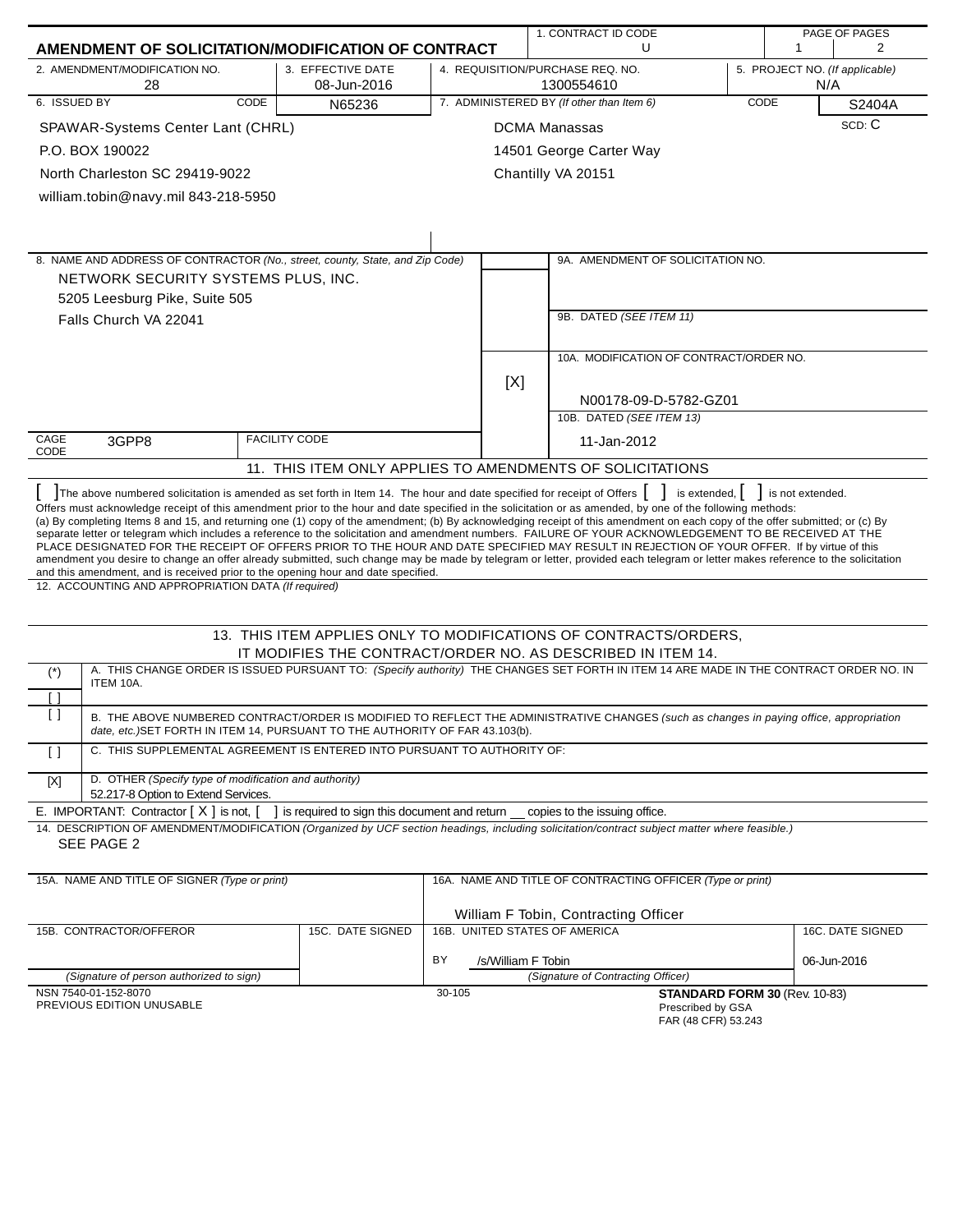|                                                                                                                                                                                                                                                                                                                                                                                                                                                                                                                                                                                                                                                                                                                                                                                                                                                                                                                             |                                                                                 |        |                                                             | 1. CONTRACT ID CODE                                              | PAGE OF PAGES |                                             |                                |  |
|-----------------------------------------------------------------------------------------------------------------------------------------------------------------------------------------------------------------------------------------------------------------------------------------------------------------------------------------------------------------------------------------------------------------------------------------------------------------------------------------------------------------------------------------------------------------------------------------------------------------------------------------------------------------------------------------------------------------------------------------------------------------------------------------------------------------------------------------------------------------------------------------------------------------------------|---------------------------------------------------------------------------------|--------|-------------------------------------------------------------|------------------------------------------------------------------|---------------|---------------------------------------------|--------------------------------|--|
| AMENDMENT OF SOLICITATION/MODIFICATION OF CONTRACT                                                                                                                                                                                                                                                                                                                                                                                                                                                                                                                                                                                                                                                                                                                                                                                                                                                                          |                                                                                 |        |                                                             | U                                                                |               | 1                                           | $\overline{2}$                 |  |
| 2. AMENDMENT/MODIFICATION NO.<br>3. EFFECTIVE DATE<br>08-Jun-2016<br>28                                                                                                                                                                                                                                                                                                                                                                                                                                                                                                                                                                                                                                                                                                                                                                                                                                                     |                                                                                 |        |                                                             | 4. REQUISITION/PURCHASE REQ. NO.<br>1300554610                   |               | N/A                                         | 5. PROJECT NO. (If applicable) |  |
| 6. ISSUED BY<br>CODE                                                                                                                                                                                                                                                                                                                                                                                                                                                                                                                                                                                                                                                                                                                                                                                                                                                                                                        | N65236                                                                          |        | 7. ADMINISTERED BY (If other than Item 6)<br>CODE<br>S2404A |                                                                  |               |                                             |                                |  |
| SPAWAR-Systems Center Lant (CHRL)                                                                                                                                                                                                                                                                                                                                                                                                                                                                                                                                                                                                                                                                                                                                                                                                                                                                                           |                                                                                 |        |                                                             | <b>DCMA Manassas</b>                                             |               |                                             | SCD: C                         |  |
| P.O. BOX 190022                                                                                                                                                                                                                                                                                                                                                                                                                                                                                                                                                                                                                                                                                                                                                                                                                                                                                                             |                                                                                 |        |                                                             | 14501 George Carter Way                                          |               |                                             |                                |  |
| North Charleston SC 29419-9022                                                                                                                                                                                                                                                                                                                                                                                                                                                                                                                                                                                                                                                                                                                                                                                                                                                                                              |                                                                                 |        |                                                             | Chantilly VA 20151                                               |               |                                             |                                |  |
| william.tobin@navy.mil 843-218-5950                                                                                                                                                                                                                                                                                                                                                                                                                                                                                                                                                                                                                                                                                                                                                                                                                                                                                         |                                                                                 |        |                                                             |                                                                  |               |                                             |                                |  |
|                                                                                                                                                                                                                                                                                                                                                                                                                                                                                                                                                                                                                                                                                                                                                                                                                                                                                                                             |                                                                                 |        |                                                             |                                                                  |               |                                             |                                |  |
|                                                                                                                                                                                                                                                                                                                                                                                                                                                                                                                                                                                                                                                                                                                                                                                                                                                                                                                             |                                                                                 |        |                                                             |                                                                  |               |                                             |                                |  |
| 8. NAME AND ADDRESS OF CONTRACTOR (No., street, county, State, and Zip Code)                                                                                                                                                                                                                                                                                                                                                                                                                                                                                                                                                                                                                                                                                                                                                                                                                                                |                                                                                 |        |                                                             | 9A. AMENDMENT OF SOLICITATION NO.                                |               |                                             |                                |  |
| NETWORK SECURITY SYSTEMS PLUS, INC.                                                                                                                                                                                                                                                                                                                                                                                                                                                                                                                                                                                                                                                                                                                                                                                                                                                                                         |                                                                                 |        |                                                             |                                                                  |               |                                             |                                |  |
| 5205 Leesburg Pike, Suite 505                                                                                                                                                                                                                                                                                                                                                                                                                                                                                                                                                                                                                                                                                                                                                                                                                                                                                               |                                                                                 |        |                                                             |                                                                  |               |                                             |                                |  |
| Falls Church VA 22041                                                                                                                                                                                                                                                                                                                                                                                                                                                                                                                                                                                                                                                                                                                                                                                                                                                                                                       |                                                                                 |        |                                                             | 9B. DATED (SEE ITEM 11)                                          |               |                                             |                                |  |
|                                                                                                                                                                                                                                                                                                                                                                                                                                                                                                                                                                                                                                                                                                                                                                                                                                                                                                                             |                                                                                 |        |                                                             |                                                                  |               |                                             |                                |  |
|                                                                                                                                                                                                                                                                                                                                                                                                                                                                                                                                                                                                                                                                                                                                                                                                                                                                                                                             |                                                                                 |        |                                                             | 10A. MODIFICATION OF CONTRACT/ORDER NO.                          |               |                                             |                                |  |
|                                                                                                                                                                                                                                                                                                                                                                                                                                                                                                                                                                                                                                                                                                                                                                                                                                                                                                                             |                                                                                 |        | [X]                                                         |                                                                  |               |                                             |                                |  |
|                                                                                                                                                                                                                                                                                                                                                                                                                                                                                                                                                                                                                                                                                                                                                                                                                                                                                                                             |                                                                                 |        |                                                             | N00178-09-D-5782-GZ01                                            |               |                                             |                                |  |
|                                                                                                                                                                                                                                                                                                                                                                                                                                                                                                                                                                                                                                                                                                                                                                                                                                                                                                                             |                                                                                 |        |                                                             | 10B. DATED (SEE ITEM 13)                                         |               |                                             |                                |  |
| CAGE<br>3GPP8<br>CODE                                                                                                                                                                                                                                                                                                                                                                                                                                                                                                                                                                                                                                                                                                                                                                                                                                                                                                       | <b>FACILITY CODE</b>                                                            |        |                                                             | 11-Jan-2012                                                      |               |                                             |                                |  |
|                                                                                                                                                                                                                                                                                                                                                                                                                                                                                                                                                                                                                                                                                                                                                                                                                                                                                                                             |                                                                                 |        |                                                             | 11. THIS ITEM ONLY APPLIES TO AMENDMENTS OF SOLICITATIONS        |               |                                             |                                |  |
| The above numbered solicitation is amended as set forth in Item 14. The hour and date specified for receipt of Offers [ ]                                                                                                                                                                                                                                                                                                                                                                                                                                                                                                                                                                                                                                                                                                                                                                                                   |                                                                                 |        |                                                             |                                                                  |               | is extended, $\vert \vert$ is not extended. |                                |  |
| Offers must acknowledge receipt of this amendment prior to the hour and date specified in the solicitation or as amended, by one of the following methods:<br>(a) By completing Items 8 and 15, and returning one (1) copy of the amendment; (b) By acknowledging receipt of this amendment on each copy of the offer submitted; or (c) By<br>separate letter or telegram which includes a reference to the solicitation and amendment numbers. FAILURE OF YOUR ACKNOWLEDGEMENT TO BE RECEIVED AT THE<br>PLACE DESIGNATED FOR THE RECEIPT OF OFFERS PRIOR TO THE HOUR AND DATE SPECIFIED MAY RESULT IN REJECTION OF YOUR OFFER. If by virtue of this<br>amendment you desire to change an offer already submitted, such change may be made by telegram or letter, provided each telegram or letter makes reference to the solicitation<br>and this amendment, and is received prior to the opening hour and date specified. |                                                                                 |        |                                                             |                                                                  |               |                                             |                                |  |
| 12. ACCOUNTING AND APPROPRIATION DATA (If required)                                                                                                                                                                                                                                                                                                                                                                                                                                                                                                                                                                                                                                                                                                                                                                                                                                                                         |                                                                                 |        |                                                             |                                                                  |               |                                             |                                |  |
|                                                                                                                                                                                                                                                                                                                                                                                                                                                                                                                                                                                                                                                                                                                                                                                                                                                                                                                             |                                                                                 |        |                                                             | 13. THIS ITEM APPLIES ONLY TO MODIFICATIONS OF CONTRACTS/ORDERS, |               |                                             |                                |  |
| A. THIS CHANGE ORDER IS ISSUED PURSUANT TO: (Specify authority) THE CHANGES SET FORTH IN ITEM 14 ARE MADE IN THE CONTRACT ORDER NO. IN                                                                                                                                                                                                                                                                                                                                                                                                                                                                                                                                                                                                                                                                                                                                                                                      |                                                                                 |        |                                                             | IT MODIFIES THE CONTRACT/ORDER NO. AS DESCRIBED IN ITEM 14.      |               |                                             |                                |  |
| $(\dot{z})$<br>ITEM 10A.                                                                                                                                                                                                                                                                                                                                                                                                                                                                                                                                                                                                                                                                                                                                                                                                                                                                                                    |                                                                                 |        |                                                             |                                                                  |               |                                             |                                |  |
| Ιl<br>ן ו                                                                                                                                                                                                                                                                                                                                                                                                                                                                                                                                                                                                                                                                                                                                                                                                                                                                                                                   |                                                                                 |        |                                                             |                                                                  |               |                                             |                                |  |
| B. THE ABOVE NUMBERED CONTRACT/ORDER IS MODIFIED TO REFLECT THE ADMINISTRATIVE CHANGES (such as changes in paying office, appropriation<br>date, etc.) SET FORTH IN ITEM 14, PURSUANT TO THE AUTHORITY OF FAR 43.103(b).                                                                                                                                                                                                                                                                                                                                                                                                                                                                                                                                                                                                                                                                                                    |                                                                                 |        |                                                             |                                                                  |               |                                             |                                |  |
| C. THIS SUPPLEMENTAL AGREEMENT IS ENTERED INTO PURSUANT TO AUTHORITY OF:<br>$\left[\right]$                                                                                                                                                                                                                                                                                                                                                                                                                                                                                                                                                                                                                                                                                                                                                                                                                                 |                                                                                 |        |                                                             |                                                                  |               |                                             |                                |  |
| D. OTHER (Specify type of modification and authority)<br>[X]<br>52.217-8 Option to Extend Services.                                                                                                                                                                                                                                                                                                                                                                                                                                                                                                                                                                                                                                                                                                                                                                                                                         |                                                                                 |        |                                                             |                                                                  |               |                                             |                                |  |
| E. IMPORTANT: Contractor $[X]$ is not, $[$                                                                                                                                                                                                                                                                                                                                                                                                                                                                                                                                                                                                                                                                                                                                                                                                                                                                                  | ] is required to sign this document and return __ copies to the issuing office. |        |                                                             |                                                                  |               |                                             |                                |  |
| 14. DESCRIPTION OF AMENDMENT/MODIFICATION (Organized by UCF section headings, including solicitation/contract subject matter where feasible.)<br>SEE PAGE 2                                                                                                                                                                                                                                                                                                                                                                                                                                                                                                                                                                                                                                                                                                                                                                 |                                                                                 |        |                                                             |                                                                  |               |                                             |                                |  |
| 15A. NAME AND TITLE OF SIGNER (Type or print)                                                                                                                                                                                                                                                                                                                                                                                                                                                                                                                                                                                                                                                                                                                                                                                                                                                                               |                                                                                 |        |                                                             | 16A. NAME AND TITLE OF CONTRACTING OFFICER (Type or print)       |               |                                             |                                |  |
|                                                                                                                                                                                                                                                                                                                                                                                                                                                                                                                                                                                                                                                                                                                                                                                                                                                                                                                             |                                                                                 |        |                                                             |                                                                  |               |                                             |                                |  |
|                                                                                                                                                                                                                                                                                                                                                                                                                                                                                                                                                                                                                                                                                                                                                                                                                                                                                                                             |                                                                                 |        |                                                             | William F Tobin, Contracting Officer                             |               |                                             |                                |  |
| 15B. CONTRACTOR/OFFEROR                                                                                                                                                                                                                                                                                                                                                                                                                                                                                                                                                                                                                                                                                                                                                                                                                                                                                                     | 15C. DATE SIGNED                                                                |        |                                                             | 16B. UNITED STATES OF AMERICA                                    |               |                                             | 16C. DATE SIGNED               |  |
|                                                                                                                                                                                                                                                                                                                                                                                                                                                                                                                                                                                                                                                                                                                                                                                                                                                                                                                             |                                                                                 | BY     | /s/William F Tobin                                          |                                                                  |               |                                             | 06-Jun-2016                    |  |
| (Signature of person authorized to sign)                                                                                                                                                                                                                                                                                                                                                                                                                                                                                                                                                                                                                                                                                                                                                                                                                                                                                    |                                                                                 |        |                                                             | (Signature of Contracting Officer)                               |               |                                             |                                |  |
| NSN 7540-01-152-8070<br>PREVIOUS EDITION UNUSABLE                                                                                                                                                                                                                                                                                                                                                                                                                                                                                                                                                                                                                                                                                                                                                                                                                                                                           |                                                                                 | 30-105 |                                                             | Prescribed by GSA                                                |               | STANDARD FORM 30 (Rev. 10-83)               |                                |  |

FAR (48 CFR) 53.243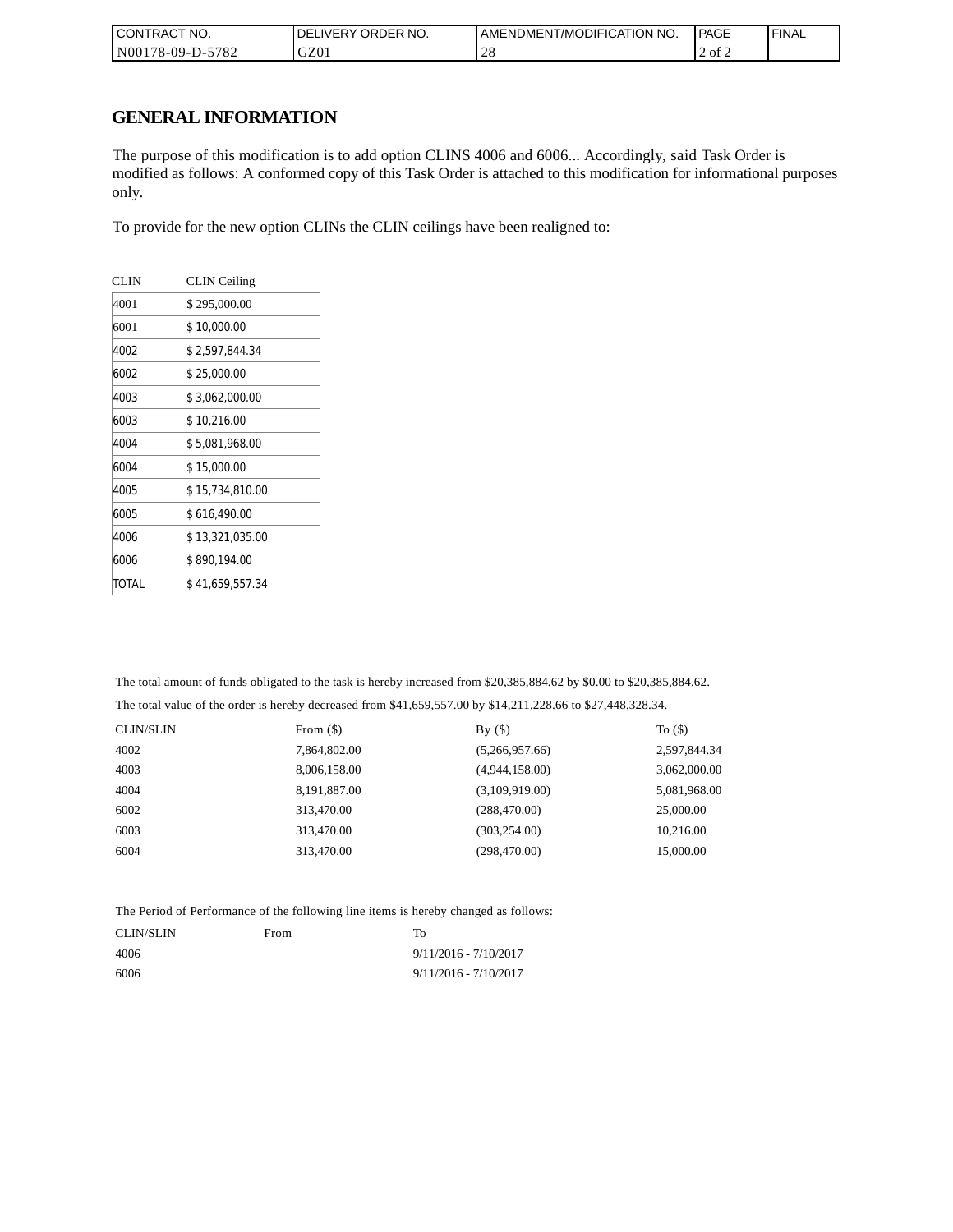| <b>CONTRACT NO.</b> | ' ORDER NO.<br><b>DELIVERY</b> | AMENDMENT/MODIFICATION NO. | PAGE   | ' FINAL |
|---------------------|--------------------------------|----------------------------|--------|---------|
| N00178-09-D-5782    | GZ01                           | $\bigcap$<br>$\angle C$    | 2 of 2 |         |

## **GENERAL INFORMATION**

The purpose of this modification is to add option CLINS 4006 and 6006... Accordingly, said Task Order is modified as follows: A conformed copy of this Task Order is attached to this modification for informational purposes only.

To provide for the new option CLINs the CLIN ceilings have been realigned to:

| <b>CLIN</b> | <b>CLIN</b> Ceiling |
|-------------|---------------------|
| 4001        | \$295,000.00        |
| 6001        | \$10,000.00         |
| 4002        | \$2,597,844.34      |
| 6002        | \$25,000.00         |
| 4003        | \$3,062,000.00      |
| 6003        | \$10,216.00         |
| 4004        | \$5,081,968.00      |
| 6004        | \$15,000.00         |
| 4005        | \$15,734,810.00     |
| 6005        | \$616,490.00        |
| 4006        | \$13,321,035.00     |
| 6006        | \$ 890,194.00       |
| TOTAL       | \$ 41,659,557.34    |

The total amount of funds obligated to the task is hereby increased from \$20,385,884.62 by \$0.00 to \$20,385,884.62.

The total value of the order is hereby decreased from \$41,659,557.00 by \$14,211,228.66 to \$27,448,328.34.

| <b>CLIN/SLIN</b> | From $(\$)$  | By()           | To $($ )     |
|------------------|--------------|----------------|--------------|
| 4002             | 7,864,802.00 | (5,266,957.66) | 2,597,844.34 |
| 4003             | 8,006,158.00 | (4,944,158.00) | 3,062,000.00 |
| 4004             | 8,191,887.00 | (3,109,919.00) | 5,081,968.00 |
| 6002             | 313,470.00   | (288, 470.00)  | 25,000.00    |
| 6003             | 313,470.00   | (303, 254.00)  | 10.216.00    |
| 6004             | 313,470.00   | (298, 470.00)  | 15,000.00    |

The Period of Performance of the following line items is hereby changed as follows:

| CLIN/SLIN | From | To                      |
|-----------|------|-------------------------|
| 4006      |      | $9/11/2016 - 7/10/2017$ |
| 6006      |      | $9/11/2016 - 7/10/2017$ |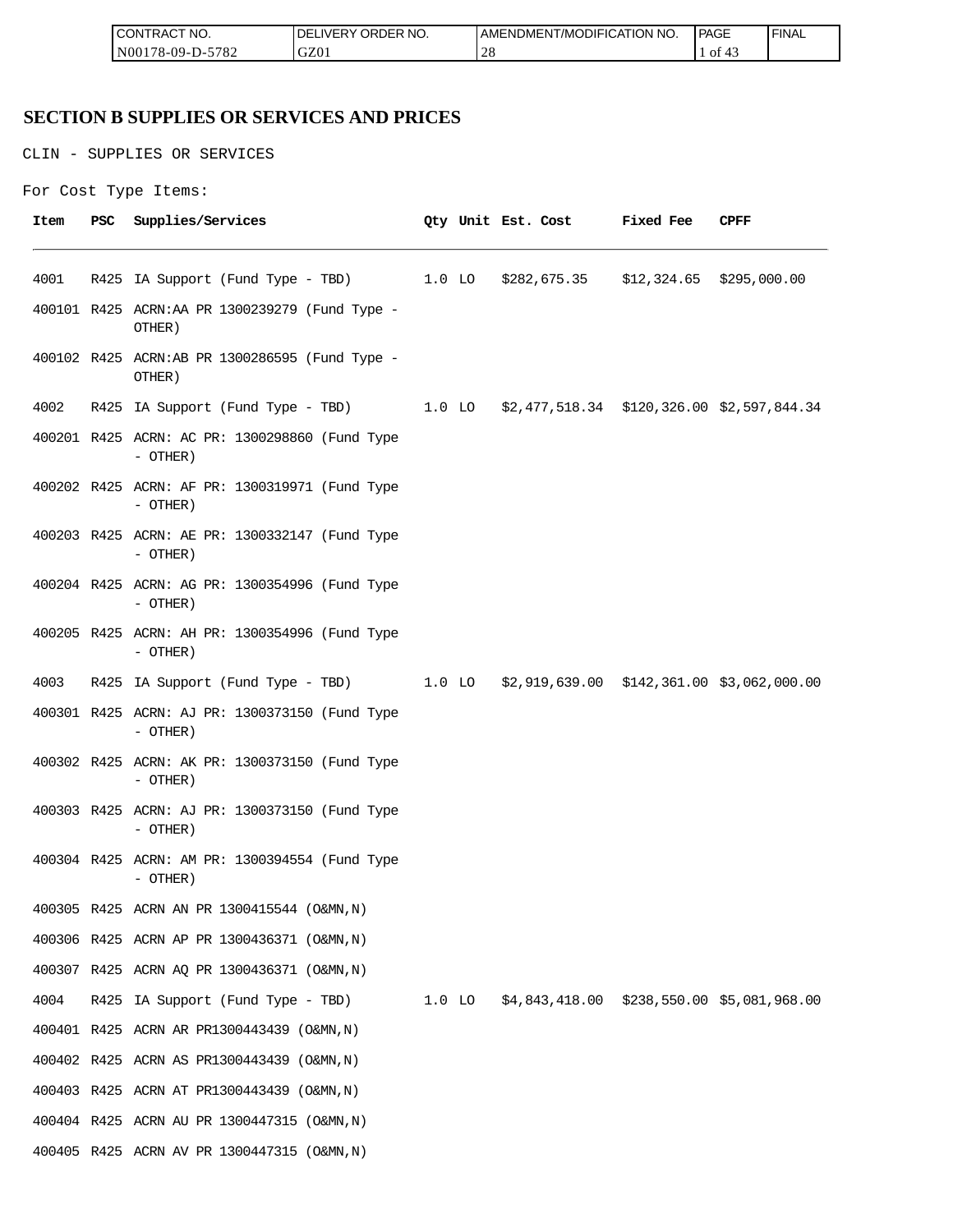| <b>ICON</b><br>°CT NO.<br>∵I RAC | $\sim$ $\sim$ $\sim$<br>R NO.<br>JR'<br>≀DE!<br>⊣د، | ICATION NO.<br>ODIFIO<br>AME<br>-NDMEN.<br>l /MC | PAGE<br>____ | <b>FINAL</b> |
|----------------------------------|-----------------------------------------------------|--------------------------------------------------|--------------|--------------|
| 5700<br>N00<br>/8-09-D-<br>ے ہ≀  | GZ0                                                 | $\sim$<br>∠∪                                     | - O1         |              |

## **SECTION B SUPPLIES OR SERVICES AND PRICES**

CLIN - SUPPLIES OR SERVICES

```
For Cost Type Items:
```

| Item | PSC | Supplies/Services                                                                   |  | Qty Unit Est. Cost | <b>Fixed Fee</b> | CPFF |
|------|-----|-------------------------------------------------------------------------------------|--|--------------------|------------------|------|
| 4001 |     | R425 IA Support (Fund Type - TBD) 1.0 LO \$282,675.35 \$12,324.65 \$295,000.00      |  |                    |                  |      |
|      |     | 400101 R425 ACRN:AA PR 1300239279 (Fund Type -<br>OTHER)                            |  |                    |                  |      |
|      |     | 400102 R425 ACRN:AB PR 1300286595 (Fund Type -<br>OTHER)                            |  |                    |                  |      |
| 4002 |     | R425 IA Support (Fund Type - TBD) 1.0 LO \$2,477,518.34 \$120,326.00 \$2,597,844.34 |  |                    |                  |      |
|      |     | 400201 R425 ACRN: AC PR: 1300298860 (Fund Type<br>- OTHER)                          |  |                    |                  |      |
|      |     | 400202 R425 ACRN: AF PR: 1300319971 (Fund Type<br>- OTHER)                          |  |                    |                  |      |
|      |     | 400203 R425 ACRN: AE PR: 1300332147 (Fund Type<br>$-$ OTHER)                        |  |                    |                  |      |
|      |     | 400204 R425 ACRN: AG PR: 1300354996 (Fund Type<br>- OTHER)                          |  |                    |                  |      |
|      |     | 400205 R425 ACRN: AH PR: 1300354996 (Fund Type<br>$-$ OTHER)                        |  |                    |                  |      |
| 4003 |     | R425 IA Support (Fund Type - TBD) 1.0 LO \$2,919,639.00 \$142,361.00 \$3,062,000.00 |  |                    |                  |      |
|      |     | 400301 R425 ACRN: AJ PR: 1300373150 (Fund Type<br>$-$ OTHER)                        |  |                    |                  |      |
|      |     | 400302 R425 ACRN: AK PR: 1300373150 (Fund Type<br>- OTHER)                          |  |                    |                  |      |
|      |     | 400303 R425 ACRN: AJ PR: 1300373150 (Fund Type<br>- OTHER)                          |  |                    |                  |      |
|      |     | 400304 R425 ACRN: AM PR: 1300394554 (Fund Type<br>- OTHER)                          |  |                    |                  |      |
|      |     | 400305 R425 ACRN AN PR 1300415544 (O&MN, N)                                         |  |                    |                  |      |
|      |     | 400306 R425 ACRN AP PR 1300436371 (O&MN, N)                                         |  |                    |                  |      |
|      |     | 400307 R425 ACRN AQ PR 1300436371 (O&MN, N)                                         |  |                    |                  |      |
| 4004 |     | R425 IA Support (Fund Type - TBD) 1.0 LO \$4,843,418.00 \$238,550.00 \$5,081,968.00 |  |                    |                  |      |
|      |     | 400401 R425 ACRN AR PR1300443439 (O&MN, N)                                          |  |                    |                  |      |
|      |     | 400402 R425 ACRN AS PR1300443439 (O&MN, N)                                          |  |                    |                  |      |
|      |     | 400403 R425 ACRN AT PR1300443439 (O&MN, N)                                          |  |                    |                  |      |
|      |     | 400404 R425 ACRN AU PR 1300447315 (O&MN, N)                                         |  |                    |                  |      |
|      |     | 400405 R425 ACRN AV PR 1300447315 (O&MN, N)                                         |  |                    |                  |      |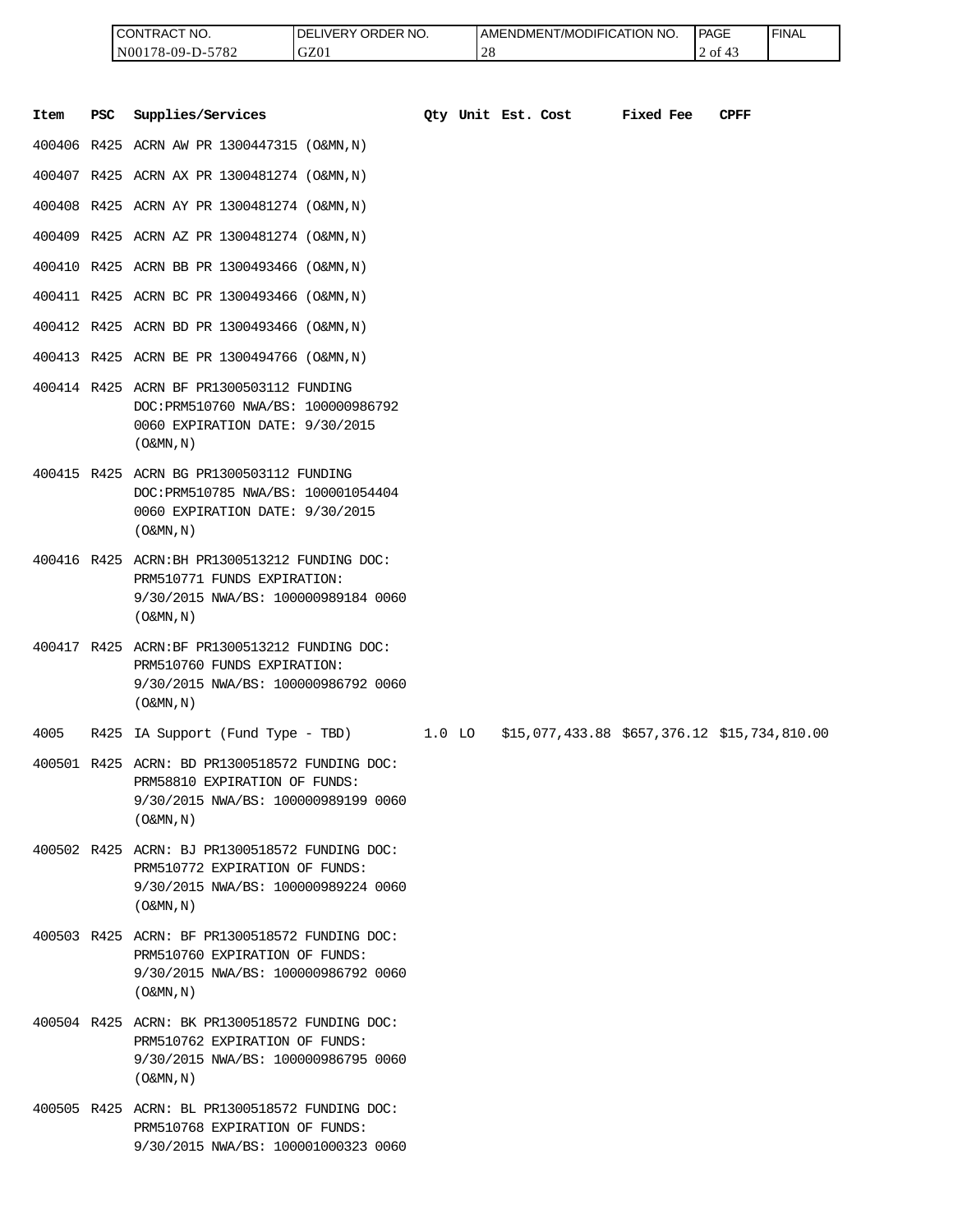| <b>ICONTRACT NO.</b> | LIVERY ORDER NO.<br>DEL | <b>I AMENDMENT/MODIFICATION NO.</b> | PAGE | 'FINAL |
|----------------------|-------------------------|-------------------------------------|------|--------|
| N00178-09-D-5782     | GZ01                    | $\bigcap$<br>-4 C                   | 2 of |        |

|      |            | CONTRACT NO.<br>N00178-09-D-5782                                                                                                                     | DELIVERY ORDER NO.<br>GZ01 |          | 28                 | AMENDMENT/MODIFICATION NO.                   |           | PAGE<br>2 of 43 | <b>FINAL</b> |
|------|------------|------------------------------------------------------------------------------------------------------------------------------------------------------|----------------------------|----------|--------------------|----------------------------------------------|-----------|-----------------|--------------|
| Item | <b>PSC</b> | Supplies/Services                                                                                                                                    |                            |          | Oty Unit Est. Cost |                                              | Fixed Fee | <b>CPFF</b>     |              |
|      |            | 400406 R425 ACRN AW PR 1300447315 (O&MN,N)                                                                                                           |                            |          |                    |                                              |           |                 |              |
|      |            | 400407 R425 ACRN AX PR 1300481274 (O&MN, N)                                                                                                          |                            |          |                    |                                              |           |                 |              |
|      |            | 400408 R425 ACRN AY PR 1300481274 (O&MN, N)                                                                                                          |                            |          |                    |                                              |           |                 |              |
|      |            | 400409 R425 ACRN AZ PR 1300481274 (O&MN, N)                                                                                                          |                            |          |                    |                                              |           |                 |              |
|      |            | 400410 R425 ACRN BB PR 1300493466 (O&MN,N)                                                                                                           |                            |          |                    |                                              |           |                 |              |
|      |            | 400411 R425 ACRN BC PR 1300493466 (O&MN, N)                                                                                                          |                            |          |                    |                                              |           |                 |              |
|      |            | 400412 R425 ACRN BD PR 1300493466 (O&MN, N)                                                                                                          |                            |          |                    |                                              |           |                 |              |
|      |            | 400413 R425 ACRN BE PR 1300494766 (O&MN,N)                                                                                                           |                            |          |                    |                                              |           |                 |              |
|      |            | 400414 R425 ACRN BF PR1300503112 FUNDING<br>DOC: PRM510760 NWA/BS: 100000986792<br>0060 EXPIRATION DATE: 9/30/2015<br>$($ O&MN, $N$ $)$              |                            |          |                    |                                              |           |                 |              |
|      |            | 400415 R425 ACRN BG PR1300503112 FUNDING<br>DOC: PRM510785 NWA/BS: 100001054404<br>0060 EXPIRATION DATE: 9/30/2015<br>$($ O&MN, $N$ $)$              |                            |          |                    |                                              |           |                 |              |
|      |            | 400416 R425 ACRN: BH PR1300513212 FUNDING DOC:<br>PRM510771 FUNDS EXPIRATION:<br>9/30/2015 NWA/BS: 100000989184 0060<br>$($ O&MN, $N$ $)$            |                            |          |                    |                                              |           |                 |              |
|      |            | 400417 R425 ACRN:BF PR1300513212 FUNDING DOC:<br>PRM510760 FUNDS EXPIRATION:<br>9/30/2015 NWA/BS: 100000986792 0060<br>$($ O&MN, N)                  |                            |          |                    |                                              |           |                 |              |
| 4005 |            | R425 IA Support (Fund Type - TBD)                                                                                                                    |                            | $1.0$ LO |                    | \$15,077,433.88 \$657,376.12 \$15,734,810.00 |           |                 |              |
|      |            | 400501 R425 ACRN: BD PR1300518572 FUNDING DOC:<br>PRM58810 EXPIRATION OF FUNDS:<br>9/30/2015 NWA/BS: 100000989199 0060<br>$($ O&MN, $\overline{N}$ ) |                            |          |                    |                                              |           |                 |              |
|      |            | 400502 R425 ACRN: BJ PR1300518572 FUNDING DOC:<br>PRM510772 EXPIRATION OF FUNDS:<br>9/30/2015 NWA/BS: 100000989224 0060<br>$($ O&MN, N)              |                            |          |                    |                                              |           |                 |              |
|      |            | 400503 R425 ACRN: BF PR1300518572 FUNDING DOC:<br>PRM510760 EXPIRATION OF FUNDS:<br>9/30/2015 NWA/BS: 100000986792 0060<br>$($ O&MN, N)              |                            |          |                    |                                              |           |                 |              |
|      |            | 400504 R425 ACRN: BK PR1300518572 FUNDING DOC:<br>PRM510762 EXPIRATION OF FUNDS:<br>9/30/2015 NWA/BS: 100000986795 0060<br>$($ O&MN, N)              |                            |          |                    |                                              |           |                 |              |
|      |            | 400505 R425 ACRN: BL PR1300518572 FUNDING DOC:<br>PRM510768 EXPIRATION OF FUNDS:<br>9/30/2015 NWA/BS: 100001000323 0060                              |                            |          |                    |                                              |           |                 |              |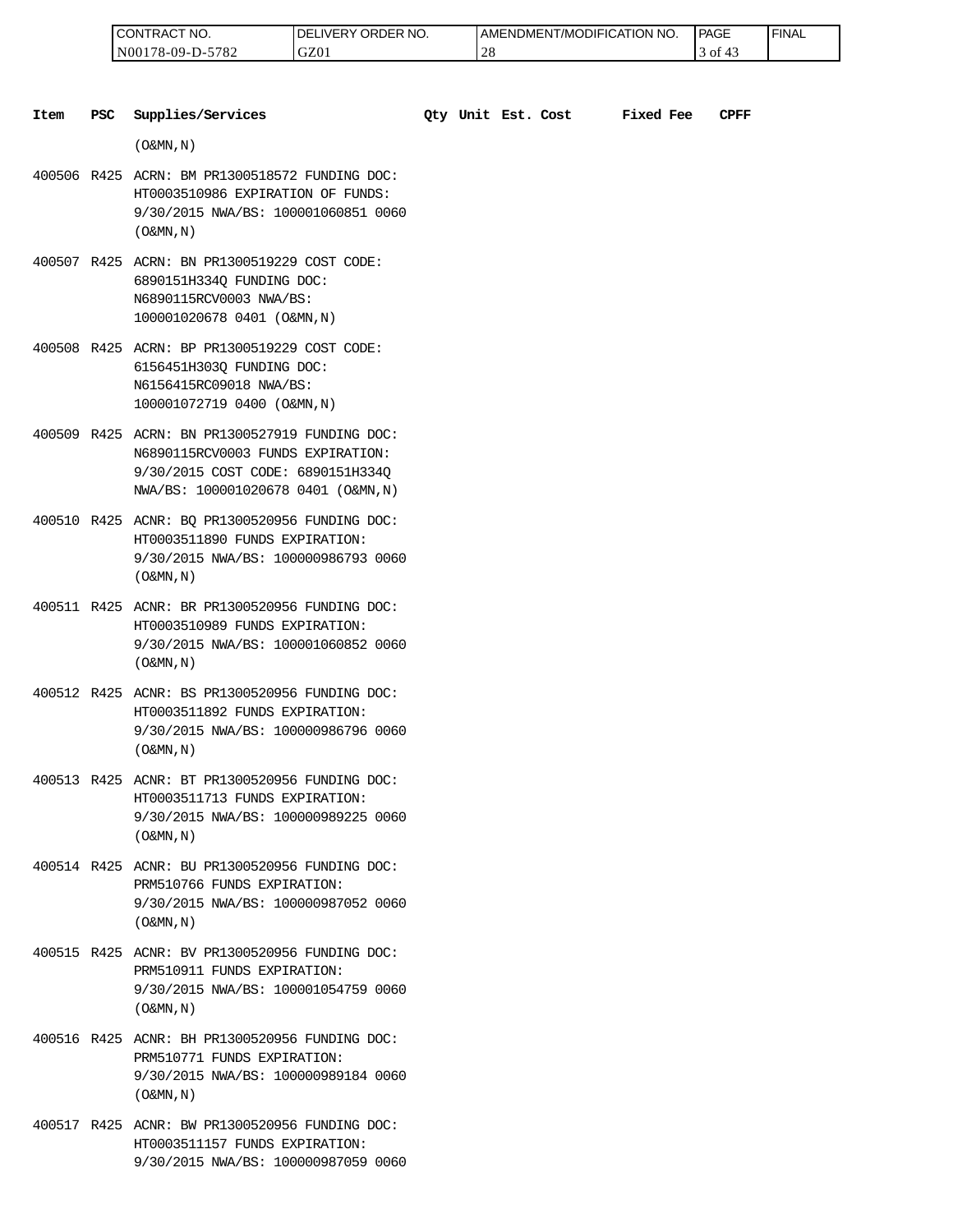| 'NO.<br>CONTRAC <sub>1</sub> | ' ORDER NO.<br>$\_$ IVERY $^{\prime}$<br>DEI | AMENDMENT/MODIFICATION_<br>NO. | <b>PAGE</b> | ' FINAL |
|------------------------------|----------------------------------------------|--------------------------------|-------------|---------|
| N00178-09-D-5782             | GZ01                                         | $\cap$ C<br>$\angle C$         | ΟĪ          |         |

| Item | <b>PSC</b> | Supplies/Services                                                                                                                                               |  | Qty Unit Est. Cost | <b>Fixed Fee</b> | CPFF |
|------|------------|-----------------------------------------------------------------------------------------------------------------------------------------------------------------|--|--------------------|------------------|------|
|      |            | $($ O&MN, N)                                                                                                                                                    |  |                    |                  |      |
|      |            | 400506 R425 ACRN: BM PR1300518572 FUNDING DOC:<br>HT0003510986 EXPIRATION OF FUNDS:<br>9/30/2015 NWA/BS: 100001060851 0060<br>$($ O&MN, $\overline{N}$ )        |  |                    |                  |      |
|      |            | 400507 R425 ACRN: BN PR1300519229 COST CODE:<br>6890151H3340 FUNDING DOC:<br>N6890115RCV0003 NWA/BS:<br>100001020678 0401 (O&MN, N)                             |  |                    |                  |      |
|      |            | 400508 R425 ACRN: BP PR1300519229 COST CODE:<br>6156451H303Q FUNDING DOC:<br>N6156415RC09018 NWA/BS:<br>100001072719 0400 (O&MN, N)                             |  |                    |                  |      |
|      |            | 400509 R425 ACRN: BN PR1300527919 FUNDING DOC:<br>N6890115RCV0003 FUNDS EXPIRATION:<br>9/30/2015 COST CODE: 6890151H334Q<br>NWA/BS: 100001020678 0401 (O&MN, N) |  |                    |                  |      |
|      |            | 400510 R425 ACNR: BQ PR1300520956 FUNDING DOC:<br>HT0003511890 FUNDS EXPIRATION:<br>9/30/2015 NWA/BS: 100000986793 0060<br>$($ O&MN, $N$ $)$                    |  |                    |                  |      |
|      |            | 400511 R425 ACNR: BR PR1300520956 FUNDING DOC:<br>HT0003510989 FUNDS EXPIRATION:<br>9/30/2015 NWA/BS: 100001060852 0060<br>$($ O&MN, N)                         |  |                    |                  |      |
|      |            | 400512 R425 ACNR: BS PR1300520956 FUNDING DOC:<br>HT0003511892 FUNDS EXPIRATION:<br>9/30/2015 NWA/BS: 100000986796 0060<br>$($ O&MN, N)                         |  |                    |                  |      |
|      |            | 400513 R425 ACNR: BT PR1300520956 FUNDING DOC:<br>HT0003511713 FUNDS EXPIRATION:<br>9/30/2015 NWA/BS: 100000989225 0060<br>$($ O&MN, N)                         |  |                    |                  |      |
|      |            | 400514 R425 ACNR: BU PR1300520956 FUNDING DOC:<br>PRM510766 FUNDS EXPIRATION:<br>9/30/2015 NWA/BS: 100000987052 0060<br>$($ O&MN, $\overline{N}$ )              |  |                    |                  |      |
|      |            | 400515 R425 ACNR: BV PR1300520956 FUNDING DOC:<br>PRM510911 FUNDS EXPIRATION:<br>9/30/2015 NWA/BS: 100001054759 0060<br>$($ O&MN, N)                            |  |                    |                  |      |
|      |            | 400516 R425 ACNR: BH PR1300520956 FUNDING DOC:<br>PRM510771 FUNDS EXPIRATION:<br>9/30/2015 NWA/BS: 100000989184 0060<br>$($ O&MN, N)                            |  |                    |                  |      |

400517 R425 ACNR: BW PR1300520956 FUNDING DOC: HT0003511157 FUNDS EXPIRATION: 9/30/2015 NWA/BS: 100000987059 0060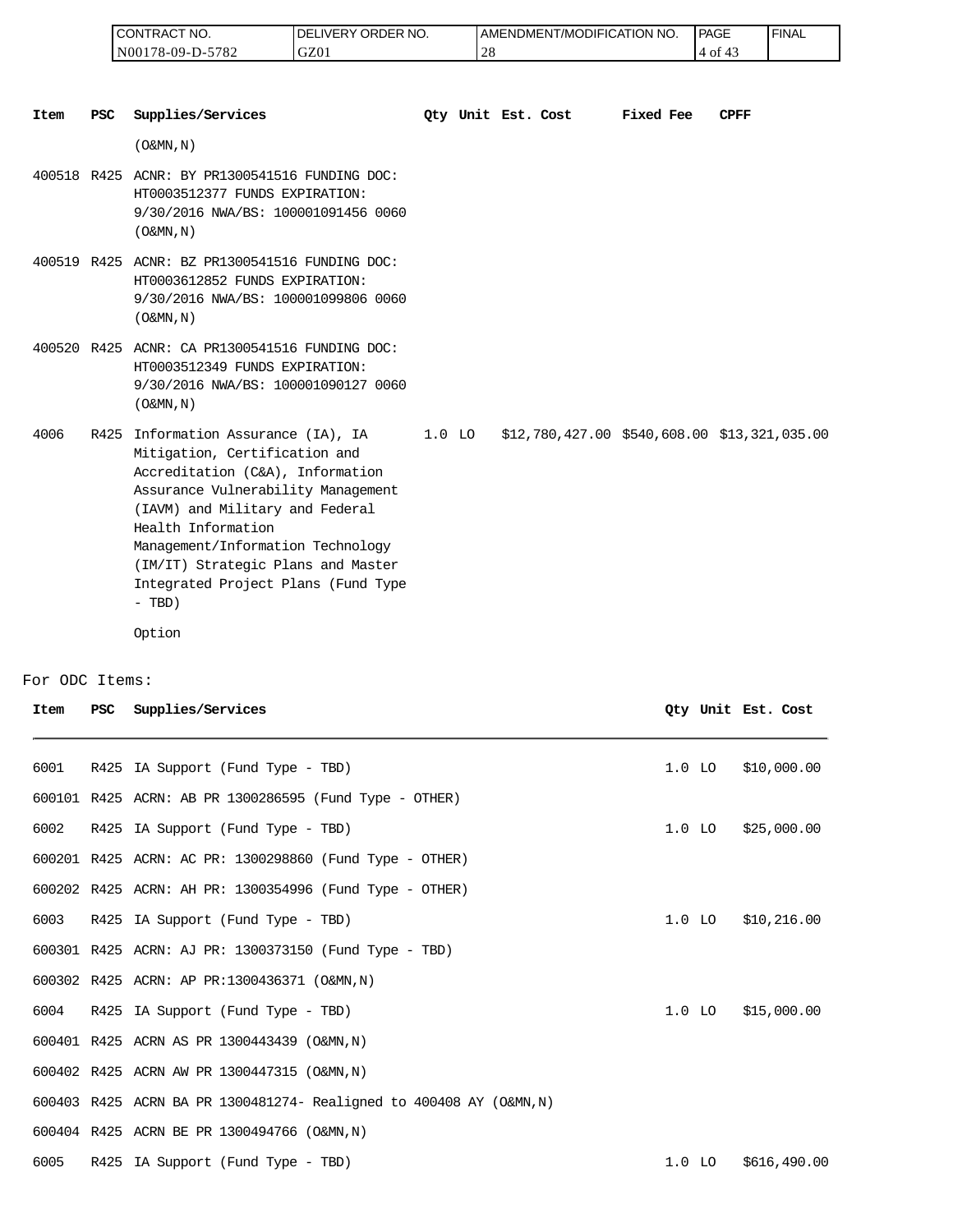| I CONTRACT NO.   | NO.<br>' ORDER<br><b>DELIVERY</b> | ' NO<br>AMENDMENT/MODIFICATION | <b>PAGE</b> | 'FINAL |
|------------------|-----------------------------------|--------------------------------|-------------|--------|
| N00178-09-D-5782 | GZ01                              |                                | 4 of        |        |

| <b>Item</b> | <b>PSC</b> | Supplies/Services                                                                                                                                                                                                                                                                                                                          | Oty Unit Est. Cost |  | Fixed Fee | <b>CPFF</b>                                     |
|-------------|------------|--------------------------------------------------------------------------------------------------------------------------------------------------------------------------------------------------------------------------------------------------------------------------------------------------------------------------------------------|--------------------|--|-----------|-------------------------------------------------|
|             |            | $($ O&MN, N)                                                                                                                                                                                                                                                                                                                               |                    |  |           |                                                 |
|             |            | 400518 R425 ACNR: BY PR1300541516 FUNDING DOC:<br>HT0003512377 FUNDS EXPIRATION:<br>9/30/2016 NWA/BS: 100001091456 0060<br>$(0\&MN, N)$                                                                                                                                                                                                    |                    |  |           |                                                 |
|             |            | 400519 R425 ACNR: BZ PR1300541516 FUNDING DOC:<br>HT0003612852 FUNDS EXPIRATION:<br>9/30/2016 NWA/BS: 100001099806 0060<br>$(0\&MN, N)$                                                                                                                                                                                                    |                    |  |           |                                                 |
|             |            | 400520 R425 ACNR: CA PR1300541516 FUNDING DOC:<br>HT0003512349 FUNDS EXPIRATION:<br>9/30/2016 NWA/BS: 100001090127 0060<br>$($ O&MN, N)                                                                                                                                                                                                    |                    |  |           |                                                 |
| 4006        | R425       | Information Assurance (IA), IA<br>Mitigation, Certification and<br>Accreditation (C&A), Information<br>Assurance Vulnerability Management<br>(IAVM) and Military and Federal<br>Health Information<br>Management/Information Technology<br>(IM/IT) Strategic Plans and Master<br>Integrated Project Plans (Fund Type<br>$- TBD)$<br>Option | $1.0$ LO           |  |           | $$12,780,427.00$ $$540,608.00$ $$13,321,035.00$ |

#### For ODC Items:

| Item | <b>PSC</b> | Supplies/Services                                                   |          | Oty Unit Est. Cost |              |
|------|------------|---------------------------------------------------------------------|----------|--------------------|--------------|
|      |            |                                                                     |          |                    |              |
| 6001 |            | R425 IA Support (Fund Type - TBD)                                   | $1.0$ LO |                    | \$10,000.00  |
|      |            | 600101 R425 ACRN: AB PR 1300286595 (Fund Type - OTHER)              |          |                    |              |
| 6002 |            | R425 IA Support (Fund Type - TBD)                                   | $1.0$ LO |                    | \$25,000.00  |
|      |            | 600201 R425 ACRN: AC PR: 1300298860 (Fund Type - OTHER)             |          |                    |              |
|      |            | 600202 R425 ACRN: AH PR: 1300354996 (Fund Type - OTHER)             |          |                    |              |
| 6003 |            | R425 IA Support (Fund Type - TBD)                                   | $1.0$ LO |                    | \$10,216.00  |
|      |            | 600301 R425 ACRN: AJ PR: 1300373150 (Fund Type - TBD)               |          |                    |              |
|      |            | 600302 R425 ACRN: AP PR:1300436371 (O&MN, N)                        |          |                    |              |
| 6004 |            | R425 IA Support (Fund Type - TBD)                                   |          | 1.0 <sub>LO</sub>  | \$15,000.00  |
|      |            | 600401 R425 ACRN AS PR 1300443439 (O&MN, N)                         |          |                    |              |
|      |            | 600402 R425 ACRN AW PR 1300447315 (O&MN, N)                         |          |                    |              |
|      |            | 600403 R425 ACRN BA PR 1300481274- Realigned to 400408 AY (O&MN, N) |          |                    |              |
|      |            | 600404 R425 ACRN BE PR 1300494766 (O&MN, N)                         |          |                    |              |
| 6005 |            | R425 IA Support (Fund Type - TBD)                                   | $1.0$ LO |                    | \$616,490.00 |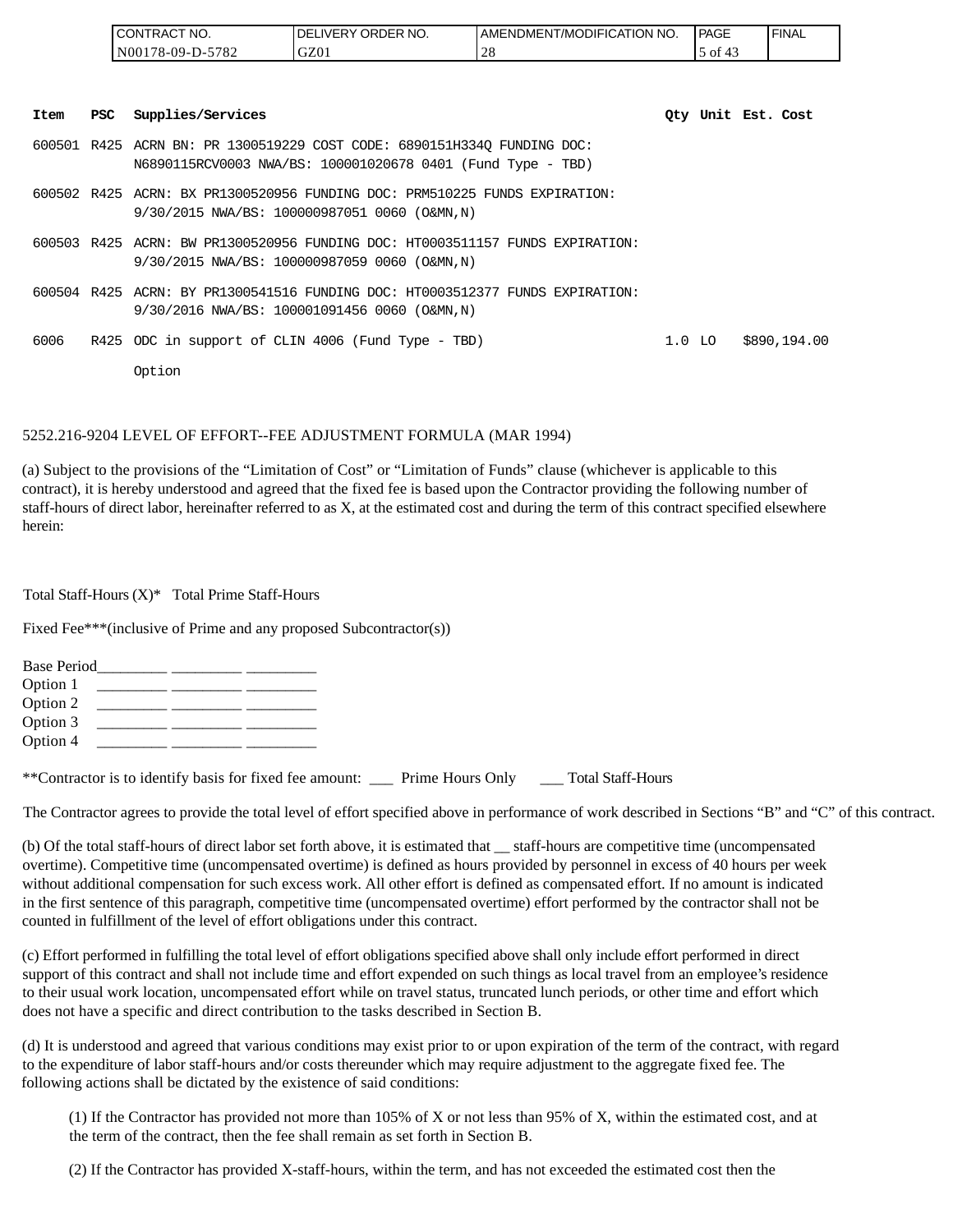|      |     | CONTRACT NO.      | DELIVERY ORDER NO.                                                                                                                     | AMENDMENT/MODIFICATION NO. |          | PAGE    | <b>FINAL</b>       |
|------|-----|-------------------|----------------------------------------------------------------------------------------------------------------------------------------|----------------------------|----------|---------|--------------------|
|      |     | N00178-09-D-5782  | GZ01                                                                                                                                   | 28                         |          | 5 of 43 |                    |
| Item | PSC | Supplies/Services |                                                                                                                                        |                            |          |         | Oty Unit Est. Cost |
|      |     |                   | 600501 R425 ACRN BN: PR 1300519229 COST CODE: 6890151H334Q FUNDING DOC:<br>N6890115RCV0003 NWA/BS: 100001020678 0401 (Fund Type - TBD) |                            |          |         |                    |
|      |     |                   | 600502 R425 ACRN: BX PR1300520956 FUNDING DOC: PRM510225 FUNDS EXPIRATION:<br>9/30/2015 NWA/BS: 100000987051 0060 (O&MN,N)             |                            |          |         |                    |
|      |     |                   | 600503 R425 ACRN: BW PR1300520956 FUNDING DOC: HT0003511157 FUNDS EXPIRATION:<br>9/30/2015 NWA/BS: 100000987059 0060 (O&MN,N)          |                            |          |         |                    |
|      |     |                   | 600504 R425 ACRN: BY PR1300541516 FUNDING DOC: HT0003512377 FUNDS EXPIRATION:<br>9/30/2016 NWA/BS: 100001091456 0060 (O&MN,N)          |                            |          |         |                    |
| 6006 |     |                   | R425 ODC in support of CLIN 4006 (Fund Type - TBD)                                                                                     |                            | $1.0$ LO |         | \$890,194.00       |
|      |     | Option            |                                                                                                                                        |                            |          |         |                    |

#### 5252.216-9204 LEVEL OF EFFORT--FEE ADJUSTMENT FORMULA (MAR 1994)

(a) Subject to the provisions of the "Limitation of Cost" or "Limitation of Funds" clause (whichever is applicable to this contract), it is hereby understood and agreed that the fixed fee is based upon the Contractor providing the following number of staff-hours of direct labor, hereinafter referred to as X, at the estimated cost and during the term of this contract specified elsewhere herein:

Total Staff-Hours (X)\* Total Prime Staff-Hours

Fixed Fee\*\*\*(inclusive of Prime and any proposed Subcontractor(s))

| <b>Base Period</b> |  |  |  |
|--------------------|--|--|--|
| Option 1           |  |  |  |
| Option 2           |  |  |  |
| Option 3           |  |  |  |
| Option 4           |  |  |  |
|                    |  |  |  |

\*\*Contractor is to identify basis for fixed fee amount: \_\_\_ Prime Hours Only \_\_\_ Total Staff-Hours

The Contractor agrees to provide the total level of effort specified above in performance of work described in Sections "B" and "C" of this contract.

(b) Of the total staff-hours of direct labor set forth above, it is estimated that \_\_ staff-hours are competitive time (uncompensated overtime). Competitive time (uncompensated overtime) is defined as hours provided by personnel in excess of 40 hours per week without additional compensation for such excess work. All other effort is defined as compensated effort. If no amount is indicated in the first sentence of this paragraph, competitive time (uncompensated overtime) effort performed by the contractor shall not be counted in fulfillment of the level of effort obligations under this contract.

(c) Effort performed in fulfilling the total level of effort obligations specified above shall only include effort performed in direct support of this contract and shall not include time and effort expended on such things as local travel from an employee's residence to their usual work location, uncompensated effort while on travel status, truncated lunch periods, or other time and effort which does not have a specific and direct contribution to the tasks described in Section B.

(d) It is understood and agreed that various conditions may exist prior to or upon expiration of the term of the contract, with regard to the expenditure of labor staff-hours and/or costs thereunder which may require adjustment to the aggregate fixed fee. The following actions shall be dictated by the existence of said conditions:

(1) If the Contractor has provided not more than 105% of X or not less than 95% of X, within the estimated cost, and at the term of the contract, then the fee shall remain as set forth in Section B.

(2) If the Contractor has provided X-staff-hours, within the term, and has not exceeded the estimated cost then the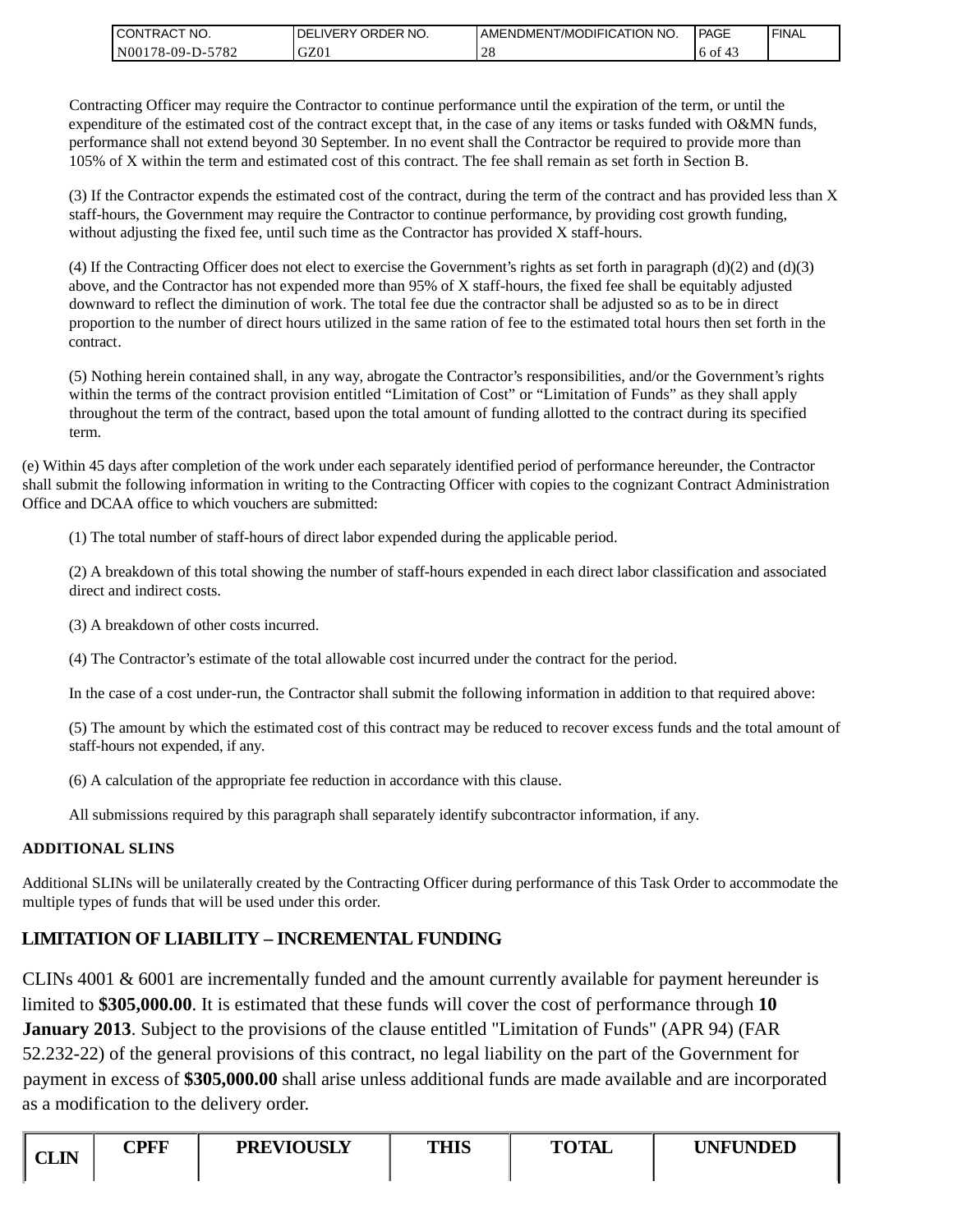| I CONTRACT NO.   | NO.<br>' ORDER<br><b>DELIVERY</b> | ' NO.<br>AMENDMENT/MODIFICATION | PAGE                     | ' FINAL |
|------------------|-----------------------------------|---------------------------------|--------------------------|---------|
| N00178-09-D-5782 | GZ01                              |                                 | $\overline{A}$<br>.to of |         |

Contracting Officer may require the Contractor to continue performance until the expiration of the term, or until the expenditure of the estimated cost of the contract except that, in the case of any items or tasks funded with O&MN funds, performance shall not extend beyond 30 September. In no event shall the Contractor be required to provide more than 105% of X within the term and estimated cost of this contract. The fee shall remain as set forth in Section B.

(3) If the Contractor expends the estimated cost of the contract, during the term of the contract and has provided less than X staff-hours, the Government may require the Contractor to continue performance, by providing cost growth funding, without adjusting the fixed fee, until such time as the Contractor has provided X staff-hours.

(4) If the Contracting Officer does not elect to exercise the Government's rights as set forth in paragraph  $(d)(2)$  and  $(d)(3)$ above, and the Contractor has not expended more than 95% of X staff-hours, the fixed fee shall be equitably adjusted downward to reflect the diminution of work. The total fee due the contractor shall be adjusted so as to be in direct proportion to the number of direct hours utilized in the same ration of fee to the estimated total hours then set forth in the contract.

(5) Nothing herein contained shall, in any way, abrogate the Contractor's responsibilities, and/or the Government's rights within the terms of the contract provision entitled "Limitation of Cost" or "Limitation of Funds" as they shall apply throughout the term of the contract, based upon the total amount of funding allotted to the contract during its specified term.

(e) Within 45 days after completion of the work under each separately identified period of performance hereunder, the Contractor shall submit the following information in writing to the Contracting Officer with copies to the cognizant Contract Administration Office and DCAA office to which vouchers are submitted:

(1) The total number of staff-hours of direct labor expended during the applicable period.

(2) A breakdown of this total showing the number of staff-hours expended in each direct labor classification and associated direct and indirect costs.

(3) A breakdown of other costs incurred.

(4) The Contractor's estimate of the total allowable cost incurred under the contract for the period.

In the case of a cost under-run, the Contractor shall submit the following information in addition to that required above:

(5) The amount by which the estimated cost of this contract may be reduced to recover excess funds and the total amount of staff-hours not expended, if any.

(6) A calculation of the appropriate fee reduction in accordance with this clause.

All submissions required by this paragraph shall separately identify subcontractor information, if any.

### **ADDITIONAL SLINS**

Additional SLINs will be unilaterally created by the Contracting Officer during performance of this Task Order to accommodate the multiple types of funds that will be used under this order.

# **LIMITATION OF LIABILITY – INCREMENTAL FUNDING**

CLINs 4001 & 6001 are incrementally funded and the amount currently available for payment hereunder is limited to **\$305,000.00**. It is estimated that these funds will cover the cost of performance through **10 January 2013**. Subject to the provisions of the clause entitled "Limitation of Funds" (APR 94) (FAR 52.232-22) of the general provisions of this contract, no legal liability on the part of the Government for payment in excess of **\$305,000.00** shall arise unless additional funds are made available and are incorporated as a modification to the delivery order. CONTRACT ROO CONFIGENT CONTRACT INTO THE CONTRACT INTO THE CONTRACT INTO THE CONTRACT INTO THE CONTRACT INTO THE CONTRACT INTO THE CONTRACT INTO THE CONTRACT INTO THE CONTRACT INTO THE CONTRACT INTO THE CONTRACT INTO THE C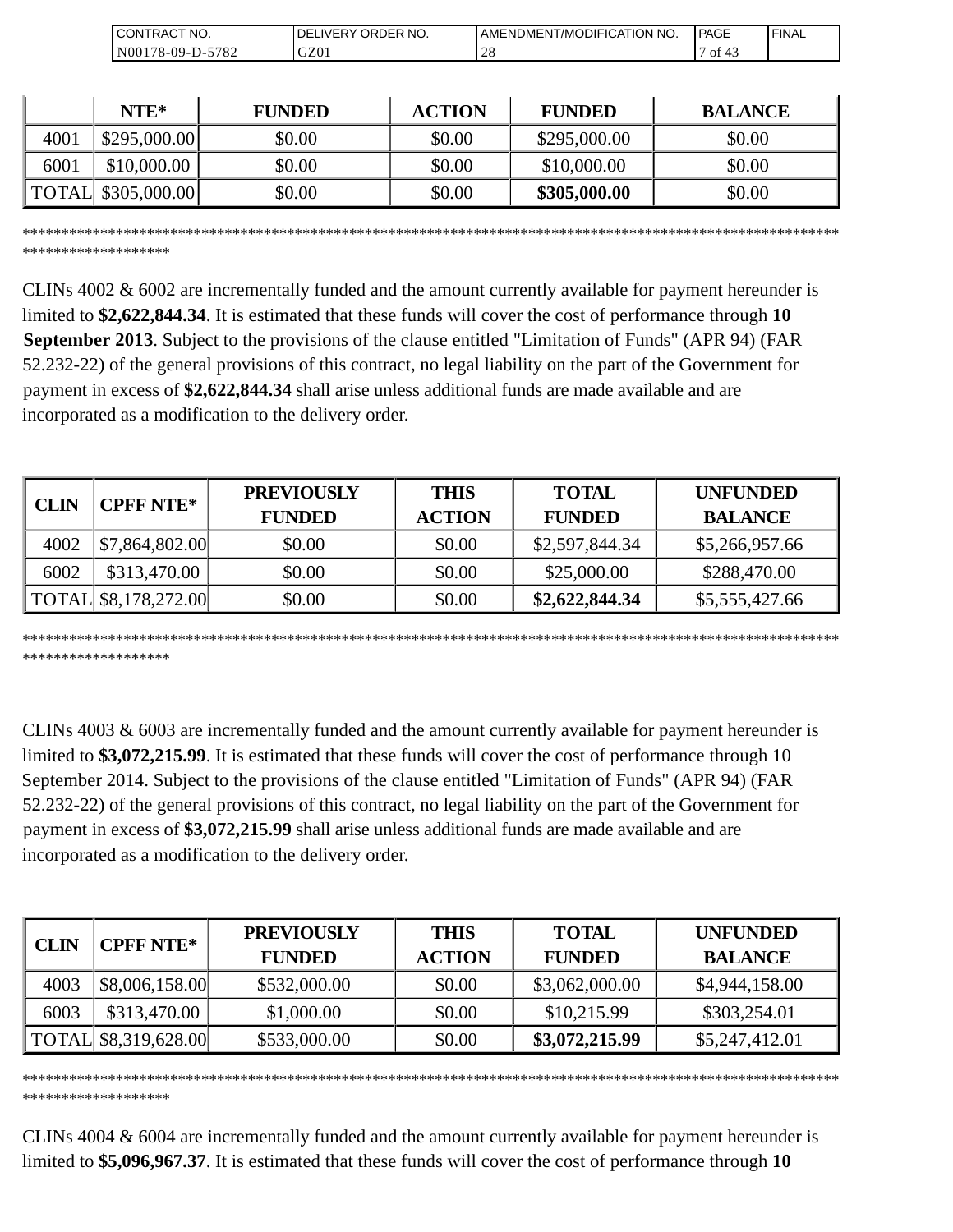| `NO.<br>эN<br>TRAC.                          | `NO.<br>₹DER<br>וR.<br>תר<br>.vF' | 'NO.<br><b>ATION</b><br>DMENT/MODIFICAT<br>AME.<br>∙NI | <b>PAGE</b> | 'FINAL |
|----------------------------------------------|-----------------------------------|--------------------------------------------------------|-------------|--------|
| 570 <sup>o</sup><br>$8-09-I$<br>100'<br>⊿ه ' | $\Gamma$<br>JZU.                  | 2 G                                                    | ОI          |        |

|      | $NTE*$       | <b>FUNDED</b> | <b>ACTION</b> | <b>FUNDED</b> | <b>BALANCE</b> |
|------|--------------|---------------|---------------|---------------|----------------|
| 4001 | \$295,000.00 | \$0.00        | \$0.00        | \$295,000.00  | \$0.00         |
| 6001 | \$10,000.00  | \$0.00        | \$0.00        | \$10,000.00   | \$0.00         |
|      |              | \$0.00        | \$0.00        | \$305,000.00  | \$0.00         |

\*\*\*\*\*\*\*\*\*\*\*\*\*\*\*\*\*\*\*\*\*\*\*\*\*\*\*\*\*\*\*\*\*\*\*\*\*\*\*\*\*\*\*\*\*\*\*\*\*\*\*\*\*\*\*\*\*\*\*\*\*\*\*\*\*\*\*\*\*\*\*\*\*\*\*\*\*\*\*\*\*\*\*\*\*\*\*\*\*\*\*\*\*\*\*\*\*\*\*\*\*\*\*\*\*

\*\*\*\*\*\*\*\*\*\*\*\*\*\*\*\*\*\*\*

\*\*\*\*\*\*\*\*\*\*\*\*\*\*\*\*\*\*\*

CLINs 4002 & 6002 are incrementally funded and the amount currently available for payment hereunder is limited to **\$2,622,844.34**. It is estimated that these funds will cover the cost of performance through **10 September 2013**. Subject to the provisions of the clause entitled "Limitation of Funds" (APR 94) (FAR 52.232-22) of the general provisions of this contract, no legal liability on the part of the Government for payment in excess of **\$2,622,844.34** shall arise unless additional funds are made available and are incorporated as a modification to the delivery order.

| <b>CLIN</b> |                                             | <b>PREVIOUSLY</b> | <b>THIS</b>   | <b>TOTAL</b>   | <b>UNFUNDED</b> |
|-------------|---------------------------------------------|-------------------|---------------|----------------|-----------------|
|             | <b>CPFF NTE*</b>                            | <b>FUNDED</b>     | <b>ACTION</b> | <b>FUNDED</b>  | <b>BALANCE</b>  |
| 4002        | $\left  \frac{1}{2} \right $ \$7,864,802.00 | \$0.00            | \$0.00        | \$2,597,844.34 | \$5,266,957.66  |
| 6002        | \$313,470.00                                | \$0.00            | \$0.00        | \$25,000.00    | \$288,470.00    |
|             | $\text{TOTAL}$ \$8,178,272.00               | \$0.00            | \$0.00        | \$2,622,844.34 | \$5,555,427.66  |

\*\*\*\*\*\*\*\*\*\*\*\*\*\*\*\*\*\*\*\*\*\*\*\*\*\*\*\*\*\*\*\*\*\*\*\*\*\*\*\*\*\*\*\*\*\*\*\*\*\*\*\*\*\*\*\*\*\*\*\*\*\*\*\*\*\*\*\*\*\*\*\*\*\*\*\*\*\*\*\*\*\*\*\*\*\*\*\*\*\*\*\*\*\*\*\*\*\*\*\*\*\*\*\*\* \*\*\*\*\*\*\*\*\*\*\*\*\*\*\*\*\*\*\*

CLINs 4003 & 6003 are incrementally funded and the amount currently available for payment hereunder is limited to **\$3,072,215.99**. It is estimated that these funds will cover the cost of performance through 10 September 2014. Subject to the provisions of the clause entitled "Limitation of Funds" (APR 94) (FAR 52.232-22) of the general provisions of this contract, no legal liability on the part of the Government for payment in excess of **\$3,072,215.99** shall arise unless additional funds are made available and are incorporated as a modification to the delivery order.

| <b>CLIN</b> | <b>CPFF NTE*</b>                     | <b>PREVIOUSLY</b><br><b>FUNDED</b> | <b>THIS</b><br><b>ACTION</b> | <b>TOTAL</b><br><b>FUNDED</b> | <b>UNFUNDED</b><br><b>BALANCE</b> |
|-------------|--------------------------------------|------------------------------------|------------------------------|-------------------------------|-----------------------------------|
| 4003        | \$8,006,158.00                       | \$532,000.00                       | \$0.00                       | \$3,062,000.00                | \$4,944,158.00                    |
| 6003        | \$313,470.00                         | \$1,000.00                         | \$0.00                       | \$10,215.99                   | \$303,254.01                      |
|             | $\vert$ TOTAL $\vert$ \$8,319,628.00 | \$533,000.00                       | \$0.00                       | \$3,072,215.99                | \$5,247,412.01                    |

CLINs 4004 & 6004 are incrementally funded and the amount currently available for payment hereunder is

limited to **\$5,096,967.37**. It is estimated that these funds will cover the cost of performance through **10**

\*\*\*\*\*\*\*\*\*\*\*\*\*\*\*\*\*\*\*\*\*\*\*\*\*\*\*\*\*\*\*\*\*\*\*\*\*\*\*\*\*\*\*\*\*\*\*\*\*\*\*\*\*\*\*\*\*\*\*\*\*\*\*\*\*\*\*\*\*\*\*\*\*\*\*\*\*\*\*\*\*\*\*\*\*\*\*\*\*\*\*\*\*\*\*\*\*\*\*\*\*\*\*\*\*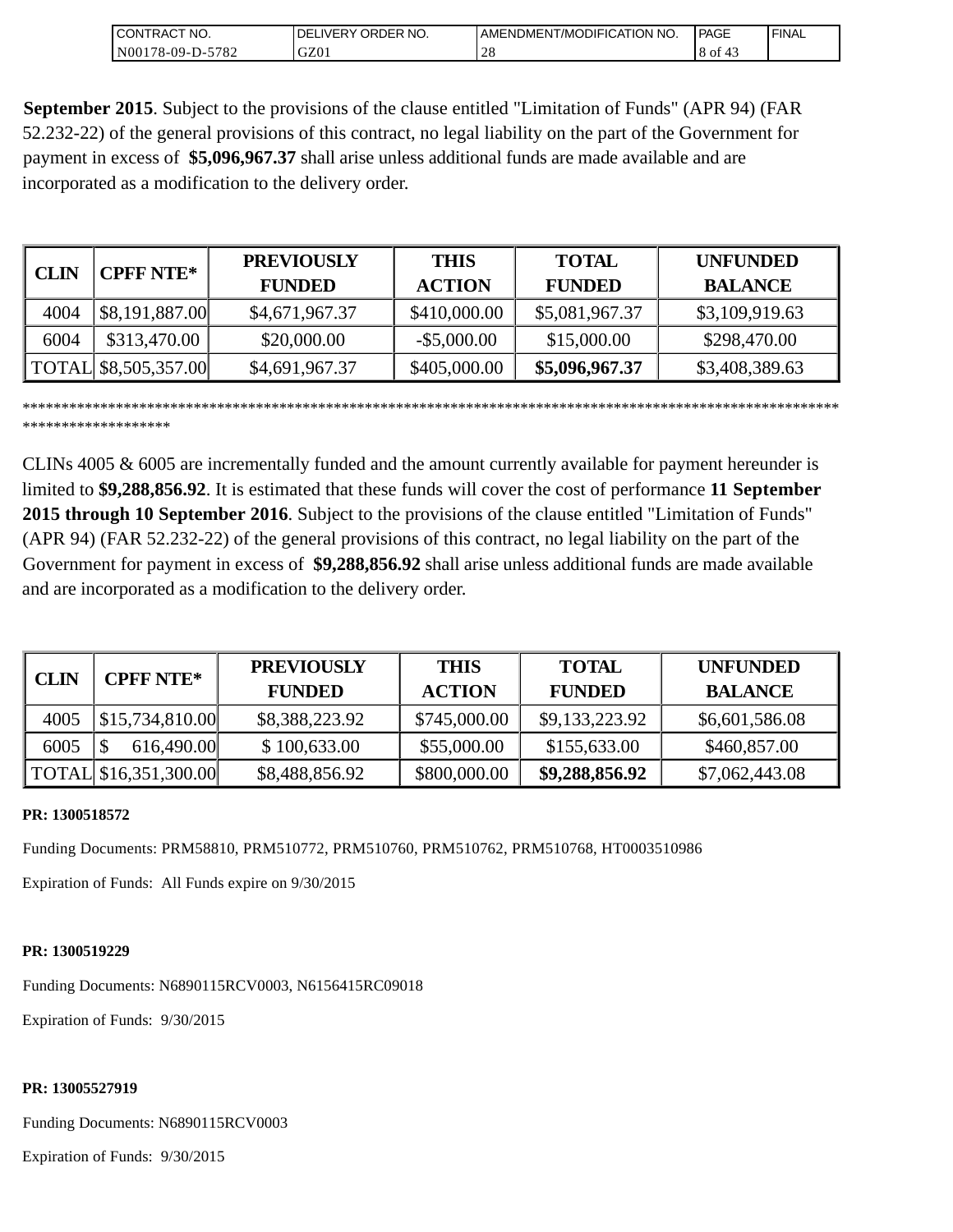| NO.<br>CONTRAC <sub>1</sub> | `ORDER NO.<br>_IVERY (<br>DEI | I AMENDMENT/MODIFICATION !<br>' NO. | PAGE | ' FINAL |
|-----------------------------|-------------------------------|-------------------------------------|------|---------|
| 5782<br>N00178-09-D-5       | GZ01                          | $\sim$<br>$\angle$ C                | 8 of |         |

**September 2015**. Subject to the provisions of the clause entitled "Limitation of Funds" (APR 94) (FAR 52.232-22) of the general provisions of this contract, no legal liability on the part of the Government for payment in excess of **\$5,096,967.37** shall arise unless additional funds are made available and are incorporated as a modification to the delivery order.

| <b>CLIN</b> | <b>CPFF NTE*</b>     | <b>PREVIOUSLY</b> | <b>THIS</b>    | <b>TOTAL</b>   | <b>UNFUNDED</b> |
|-------------|----------------------|-------------------|----------------|----------------|-----------------|
|             |                      | <b>FUNDED</b>     | <b>ACTION</b>  | <b>FUNDED</b>  | <b>BALANCE</b>  |
| 4004        | \$8,191,887.00       | \$4,671,967.37    | \$410,000.00   | \$5,081,967.37 | \$3,109,919.63  |
| 6004        | \$313,470.00         | \$20,000.00       | $-$ \$5,000.00 | \$15,000.00    | \$298,470.00    |
|             | TOTAL \$8,505,357.00 | \$4,691,967.37    | \$405,000.00   | \$5,096,967.37 | \$3,408,389.63  |

\*\*\*\*\*\*\*\*\*\*\*\*\*\*\*\*\*\*\*\*\*\*\*\*\*\*\*\*\*\*\*\*\*\*\*\*\*\*\*\*\*\*\*\*\*\*\*\*\*\*\*\*\*\*\*\*\*\*\*\*\*\*\*\*\*\*\*\*\*\*\*\*\*\*\*\*\*\*\*\*\*\*\*\*\*\*\*\*\*\*\*\*\*\*\*\*\*\*\*\*\*\*\*\*\* \*\*\*\*\*\*\*\*\*\*\*\*\*\*\*\*\*\*\*

CLINs 4005 & 6005 are incrementally funded and the amount currently available for payment hereunder is limited to **\$9,288,856.92**. It is estimated that these funds will cover the cost of performance **11 September 2015 through 10 September 2016**. Subject to the provisions of the clause entitled "Limitation of Funds" (APR 94) (FAR 52.232-22) of the general provisions of this contract, no legal liability on the part of the Government for payment in excess of **\$9,288,856.92** shall arise unless additional funds are made available and are incorporated as a modification to the delivery order.

| CLIN | <b>CPFF NTE*</b>      | <b>PREVIOUSLY</b> | <b>THIS</b>   | <b>TOTAL</b>   | <b>UNFUNDED</b> |
|------|-----------------------|-------------------|---------------|----------------|-----------------|
|      |                       | <b>FUNDED</b>     | <b>ACTION</b> | <b>FUNDED</b>  | <b>BALANCE</b>  |
| 4005 | \$15,734,810.00       | \$8,388,223.92    | \$745,000.00  | \$9,133,223.92 | \$6,601,586.08  |
| 6005 | 616,490.00            | \$100,633.00      | \$55,000.00   | \$155,633.00   | \$460,857.00    |
|      | TOTAL \$16,351,300.00 | \$8,488,856.92    | \$800,000.00  | \$9,288,856.92 | \$7,062,443.08  |

### **PR: 1300518572**

Funding Documents: PRM58810, PRM510772, PRM510760, PRM510762, PRM510768, HT0003510986

Expiration of Funds: All Funds expire on 9/30/2015

#### **PR: 1300519229**

Funding Documents: N6890115RCV0003, N6156415RC09018

Expiration of Funds: 9/30/2015

#### **PR: 13005527919**

Funding Documents: N6890115RCV0003

Expiration of Funds: 9/30/2015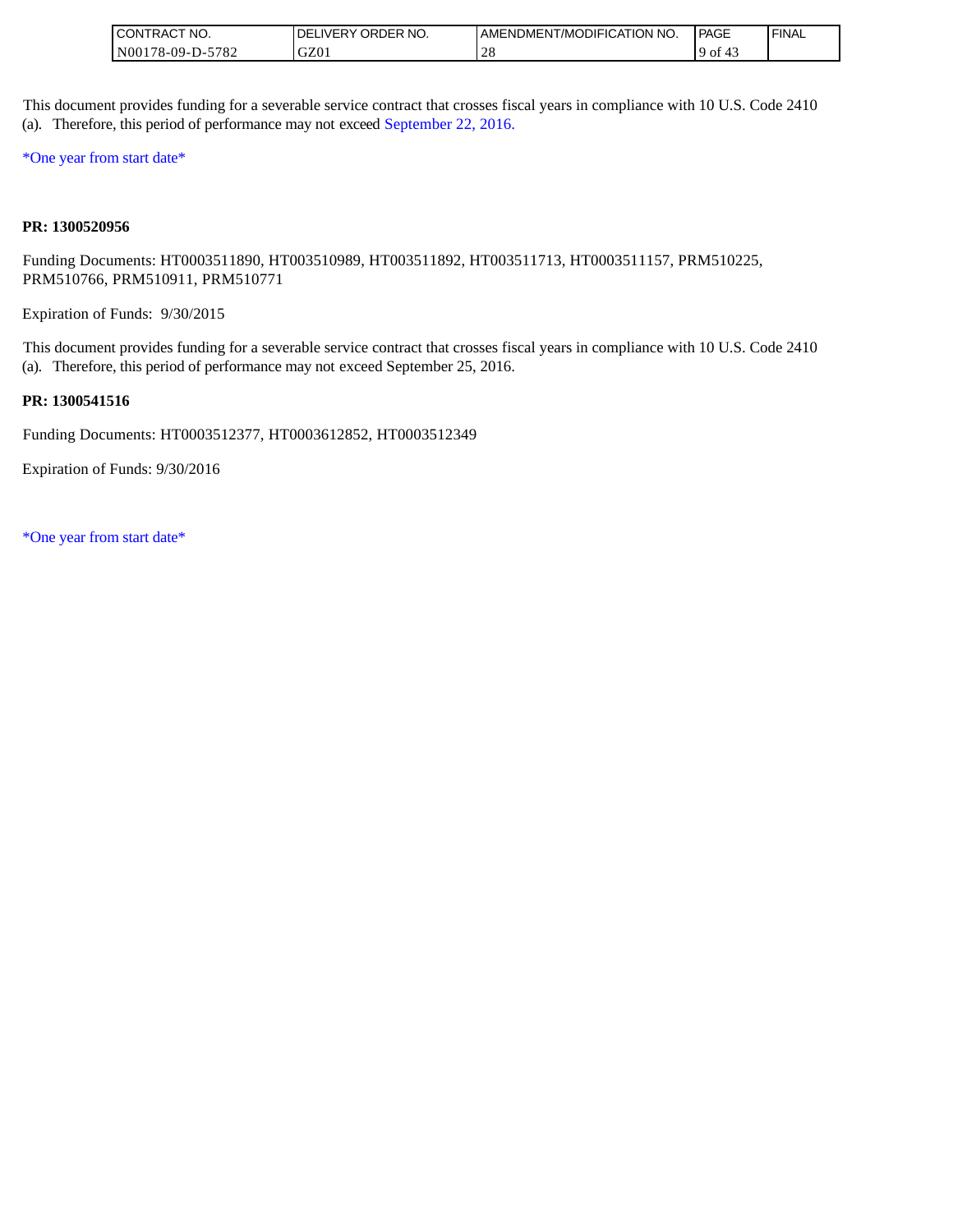| " NO.<br>ICONTRAC,                                           | <b>ORDER</b><br>NO.<br>∟IVERY<br>·DE. | <b>LAMENDMENT/MODIFICATION NO.</b> | l PAGE | ' FINAL |
|--------------------------------------------------------------|---------------------------------------|------------------------------------|--------|---------|
| 5782<br>1 N <sub>00</sub><br>$^{\circ}$ 178-09-D- $_{\circ}$ | GZ0 <sub>1</sub>                      | $^{\circ}$ $\cap$ $\circ$<br>2 C   | 9 of   |         |

This document provides funding for a severable service contract that crosses fiscal years in compliance with 10 U.S. Code 2410 (a). Therefore, this period of performance may not exceed September 22, 2016.

\*One year from start date\*

#### **PR: 1300520956**

Funding Documents: HT0003511890, HT003510989, HT003511892, HT003511713, HT0003511157, PRM510225, PRM510766, PRM510911, PRM510771

Expiration of Funds: 9/30/2015

This document provides funding for a severable service contract that crosses fiscal years in compliance with 10 U.S. Code 2410 (a). Therefore, this period of performance may not exceed September 25, 2016.

#### **PR: 1300541516**

Funding Documents: HT0003512377, HT0003612852, HT0003512349

Expiration of Funds: 9/30/2016

\*One year from start date\*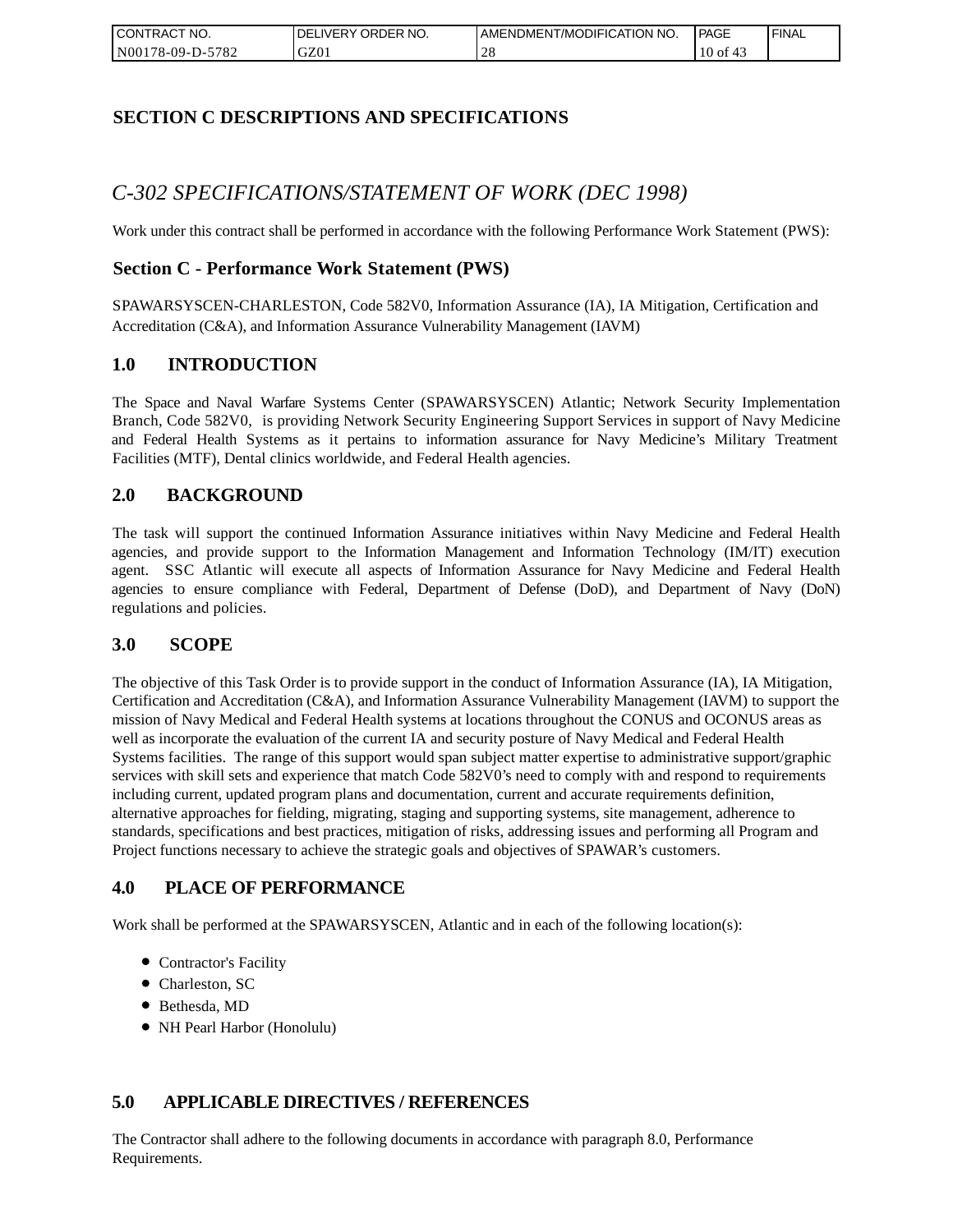| I CONTRACT NO.   | `NO.<br>DELIVERY ORDER | AMENDMENT/MODIFICATION NO. | <b>PAGE</b>    | ' FINAL |
|------------------|------------------------|----------------------------|----------------|---------|
| N00178-09-D-5782 | GZ01                   |                            | $10$ of<br>-43 |         |

## **SECTION C DESCRIPTIONS AND SPECIFICATIONS**

# *C-302 SPECIFICATIONS/STATEMENT OF WORK (DEC 1998)*

Work under this contract shall be performed in accordance with the following Performance Work Statement (PWS):

## **Section C - Performance Work Statement (PWS)**

SPAWARSYSCEN-CHARLESTON, Code 582V0, Information Assurance (IA), IA Mitigation, Certification and Accreditation (C&A), and Information Assurance Vulnerability Management (IAVM)

### **1.0 INTRODUCTION**

The Space and Naval Warfare Systems Center (SPAWARSYSCEN) Atlantic; Network Security Implementation Branch, Code 582V0, is providing Network Security Engineering Support Services in support of Navy Medicine and Federal Health Systems as it pertains to information assurance for Navy Medicine's Military Treatment Facilities (MTF), Dental clinics worldwide, and Federal Health agencies.

## **2.0 BACKGROUND**

The task will support the continued Information Assurance initiatives within Navy Medicine and Federal Health agencies, and provide support to the Information Management and Information Technology (IM/IT) execution agent. SSC Atlantic will execute all aspects of Information Assurance for Navy Medicine and Federal Health agencies to ensure compliance with Federal, Department of Defense (DoD), and Department of Navy (DoN) regulations and policies.

### **3.0 SCOPE**

The objective of this Task Order is to provide support in the conduct of Information Assurance (IA), IA Mitigation, Certification and Accreditation (C&A), and Information Assurance Vulnerability Management (IAVM) to support the mission of Navy Medical and Federal Health systems at locations throughout the CONUS and OCONUS areas as well as incorporate the evaluation of the current IA and security posture of Navy Medical and Federal Health Systems facilities. The range of this support would span subject matter expertise to administrative support/graphic services with skill sets and experience that match Code 582V0's need to comply with and respond to requirements including current, updated program plans and documentation, current and accurate requirements definition, alternative approaches for fielding, migrating, staging and supporting systems, site management, adherence to standards, specifications and best practices, mitigation of risks, addressing issues and performing all Program and Project functions necessary to achieve the strategic goals and objectives of SPAWAR's customers.

## **4.0 PLACE OF PERFORMANCE**

Work shall be performed at the SPAWARSYSCEN, Atlantic and in each of the following location(s):

- Contractor's Facility
- Charleston, SC
- Bethesda, MD
- NH Pearl Harbor (Honolulu)

## **5.0 APPLICABLE DIRECTIVES / REFERENCES**

The Contractor shall adhere to the following documents in accordance with paragraph 8.0, Performance Requirements.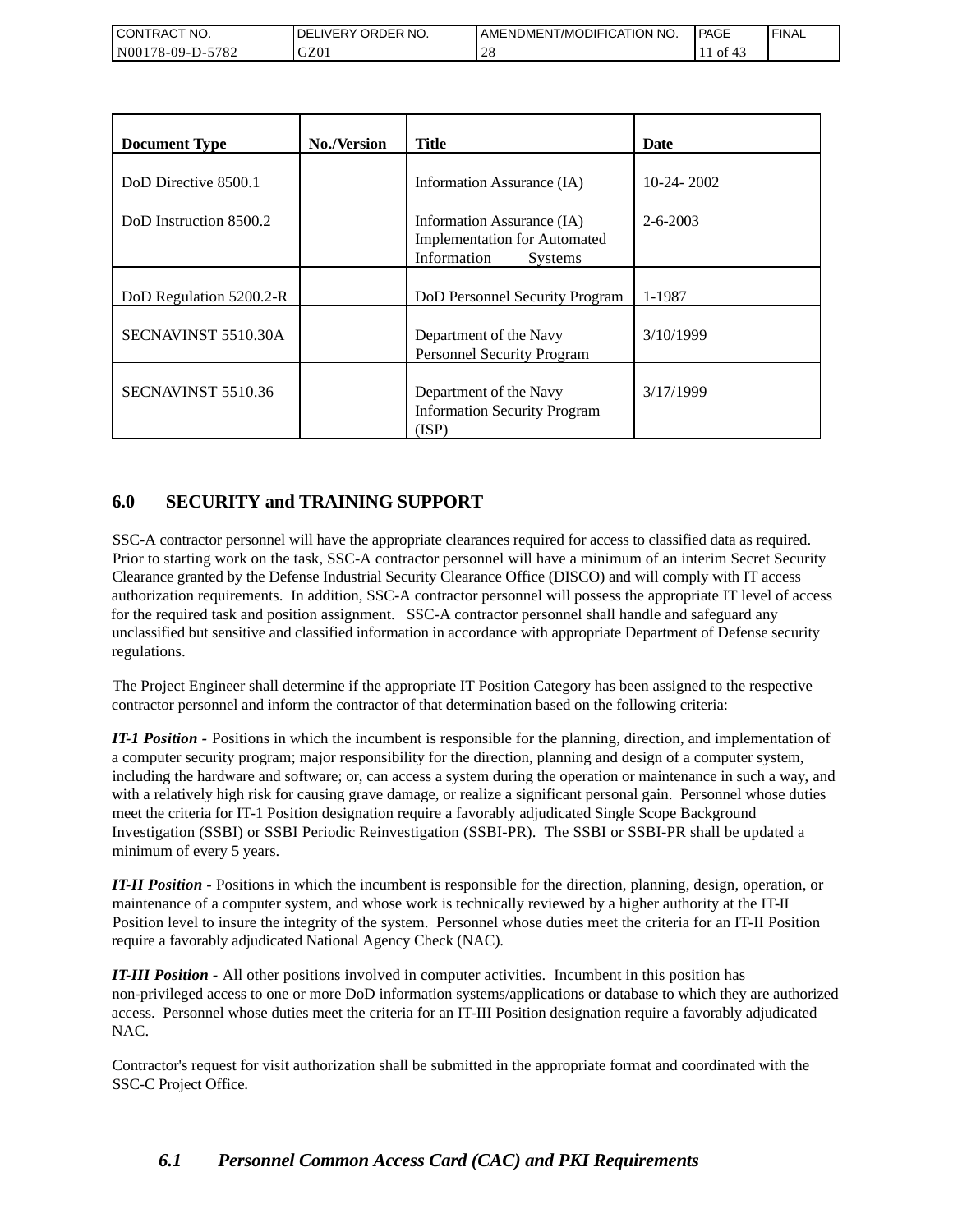| <b>CONTRACT NO.</b>                                | NO.<br>' ORDER<br>DELIVERY | AMENDMENT/MODIFICATION NO. | <b>PAGE</b> | 'FINAL |
|----------------------------------------------------|----------------------------|----------------------------|-------------|--------|
| 5782<br>N <sub>00</sub><br>′8-09-I<br>$\mathbf{L}$ | GZ01                       |                            | 0Ī          |        |

| <b>Document Type</b>    | <b>No./Version</b> | <b>Title</b>                                                                                       | Date           |
|-------------------------|--------------------|----------------------------------------------------------------------------------------------------|----------------|
| DoD Directive 8500.1    |                    | Information Assurance (IA)                                                                         | $10-24-2002$   |
| DoD Instruction 8500.2  |                    | Information Assurance (IA)<br><b>Implementation for Automated</b><br>Information<br><b>Systems</b> | $2 - 6 - 2003$ |
| DoD Regulation 5200.2-R |                    | DoD Personnel Security Program                                                                     | 1-1987         |
| SECNAVINST 5510.30A     |                    | Department of the Navy<br>Personnel Security Program                                               | 3/10/1999      |
| SECNAVINST 5510.36      |                    | Department of the Navy<br><b>Information Security Program</b><br>(ISP)                             | 3/17/1999      |

## **6.0 SECURITY and TRAINING SUPPORT**

SSC-A contractor personnel will have the appropriate clearances required for access to classified data as required. Prior to starting work on the task, SSC-A contractor personnel will have a minimum of an interim Secret Security Clearance granted by the Defense Industrial Security Clearance Office (DISCO) and will comply with IT access authorization requirements. In addition, SSC-A contractor personnel will possess the appropriate IT level of access for the required task and position assignment. SSC-A contractor personnel shall handle and safeguard any unclassified but sensitive and classified information in accordance with appropriate Department of Defense security regulations.

The Project Engineer shall determine if the appropriate IT Position Category has been assigned to the respective contractor personnel and inform the contractor of that determination based on the following criteria:

*IT-1 Position -* Positions in which the incumbent is responsible for the planning, direction, and implementation of a computer security program; major responsibility for the direction, planning and design of a computer system, including the hardware and software; or, can access a system during the operation or maintenance in such a way, and with a relatively high risk for causing grave damage, or realize a significant personal gain. Personnel whose duties meet the criteria for IT-1 Position designation require a favorably adjudicated Single Scope Background Investigation (SSBI) or SSBI Periodic Reinvestigation (SSBI-PR). The SSBI or SSBI-PR shall be updated a minimum of every 5 years.

*IT-II Position -* Positions in which the incumbent is responsible for the direction, planning, design, operation, or maintenance of a computer system, and whose work is technically reviewed by a higher authority at the IT-II Position level to insure the integrity of the system. Personnel whose duties meet the criteria for an IT-II Position require a favorably adjudicated National Agency Check (NAC).

*IT-III Position -* All other positions involved in computer activities. Incumbent in this position has non-privileged access to one or more DoD information systems/applications or database to which they are authorized access. Personnel whose duties meet the criteria for an IT-III Position designation require a favorably adjudicated NAC.

Contractor's request for visit authorization shall be submitted in the appropriate format and coordinated with the SSC-C Project Office.

## *6.1 Personnel Common Access Card (CAC) and PKI Requirements*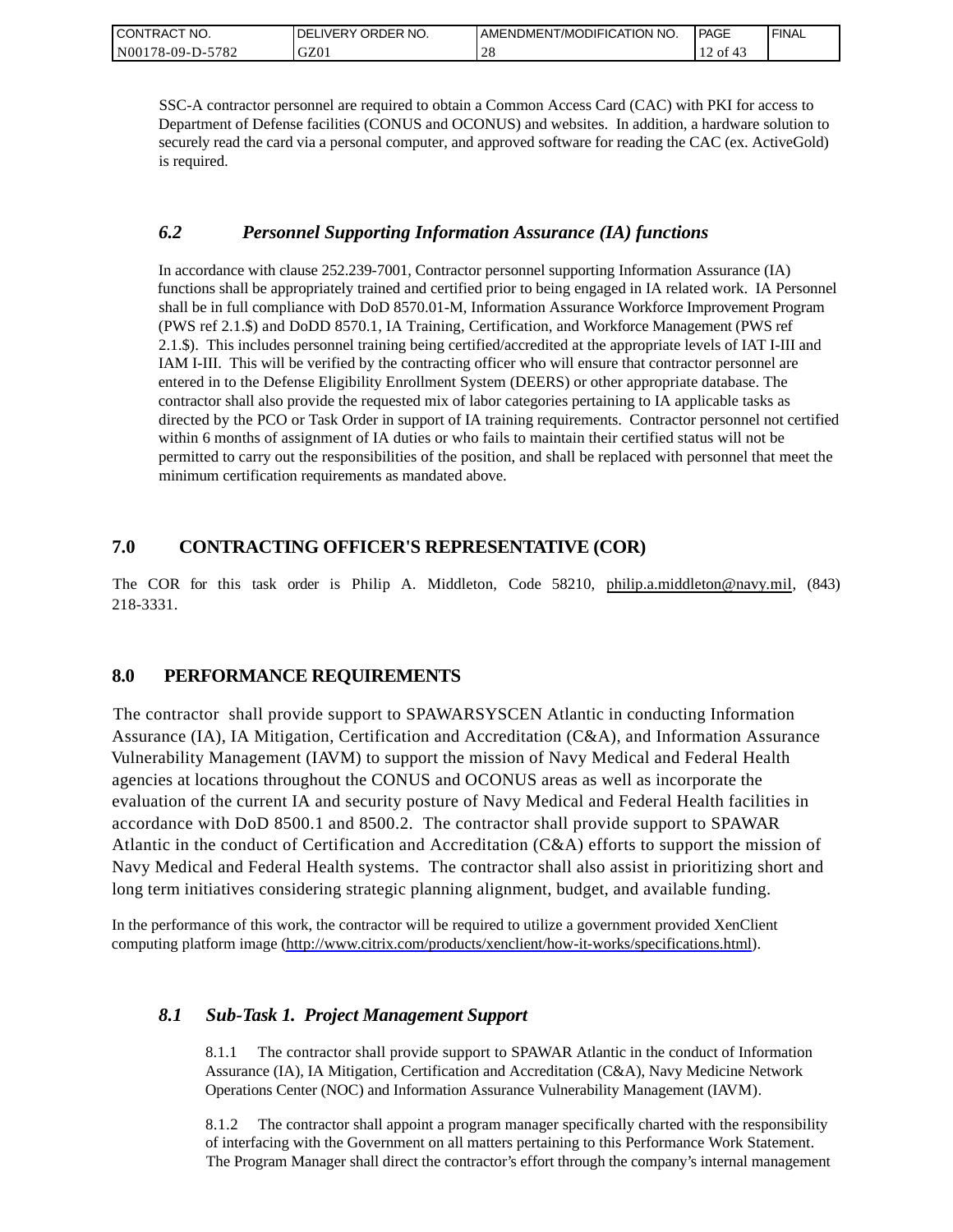| CONTRACT NO.     | ORDER NO.<br><b>DELIVERY</b> | I AMENDMENT/MODIFICATION NO. | PAGE         | ' FINAL |
|------------------|------------------------------|------------------------------|--------------|---------|
| N00178-09-D-5782 | GZ01                         | $\sim$<br>$\angle C$         | of $43$<br>∸ |         |

SSC-A contractor personnel are required to obtain a Common Access Card (CAC) with PKI for access to Department of Defense facilities (CONUS and OCONUS) and websites. In addition, a hardware solution to securely read the card via a personal computer, and approved software for reading the CAC (ex. ActiveGold) is required.

## *6.2 Personnel Supporting Information Assurance (IA) functions*

In accordance with clause 252.239-7001, Contractor personnel supporting Information Assurance (IA) functions shall be appropriately trained and certified prior to being engaged in IA related work. IA Personnel shall be in full compliance with DoD 8570.01-M, Information Assurance Workforce Improvement Program (PWS ref 2.1.\$) and DoDD 8570.1, IA Training, Certification, and Workforce Management (PWS ref 2.1.\$). This includes personnel training being certified/accredited at the appropriate levels of IAT I-III and IAM I-III. This will be verified by the contracting officer who will ensure that contractor personnel are entered in to the Defense Eligibility Enrollment System (DEERS) or other appropriate database. The contractor shall also provide the requested mix of labor categories pertaining to IA applicable tasks as directed by the PCO or Task Order in support of IA training requirements. Contractor personnel not certified within 6 months of assignment of IA duties or who fails to maintain their certified status will not be permitted to carry out the responsibilities of the position, and shall be replaced with personnel that meet the minimum certification requirements as mandated above.

## **7.0 CONTRACTING OFFICER'S REPRESENTATIVE (COR)**

The COR for this task order is Philip A. Middleton, Code 58210, [philip.a.middleton@navy.mil,](mailto:cphilip.a.middleton@navy.mil) (843) 218-3331.

## **8.0 PERFORMANCE REQUIREMENTS**

The contractor shall provide support to SPAWARSYSCEN Atlantic in conducting Information Assurance (IA), IA Mitigation, Certification and Accreditation (C&A), and Information Assurance Vulnerability Management (IAVM) to support the mission of Navy Medical and Federal Health agencies at locations throughout the CONUS and OCONUS areas as well as incorporate the evaluation of the current IA and security posture of Navy Medical and Federal Health facilities in accordance with DoD 8500.1 and 8500.2. The contractor shall provide support to SPAWAR Atlantic in the conduct of Certification and Accreditation (C&A) efforts to support the mission of Navy Medical and Federal Health systems. The contractor shall also assist in prioritizing short and long term initiatives considering strategic planning alignment, budget, and available funding.

In the performance of this work, the contractor will be required to utilize a government provided XenClient computing platform image [\(http://www.citrix.com/products/xenclient/how-it-works/specifications.html\)](http://www.citrix.com/products/xenclient/how-it-works/specifications.html).

## *8.1 Sub-Task 1. Project Management Support*

8.1.1 The contractor shall provide support to SPAWAR Atlantic in the conduct of Information Assurance (IA), IA Mitigation, Certification and Accreditation (C&A), Navy Medicine Network Operations Center (NOC) and Information Assurance Vulnerability Management (IAVM).

8.1.2 The contractor shall appoint a program manager specifically charted with the responsibility of interfacing with the Government on all matters pertaining to this Performance Work Statement. The Program Manager shall direct the contractor's effort through the company's internal management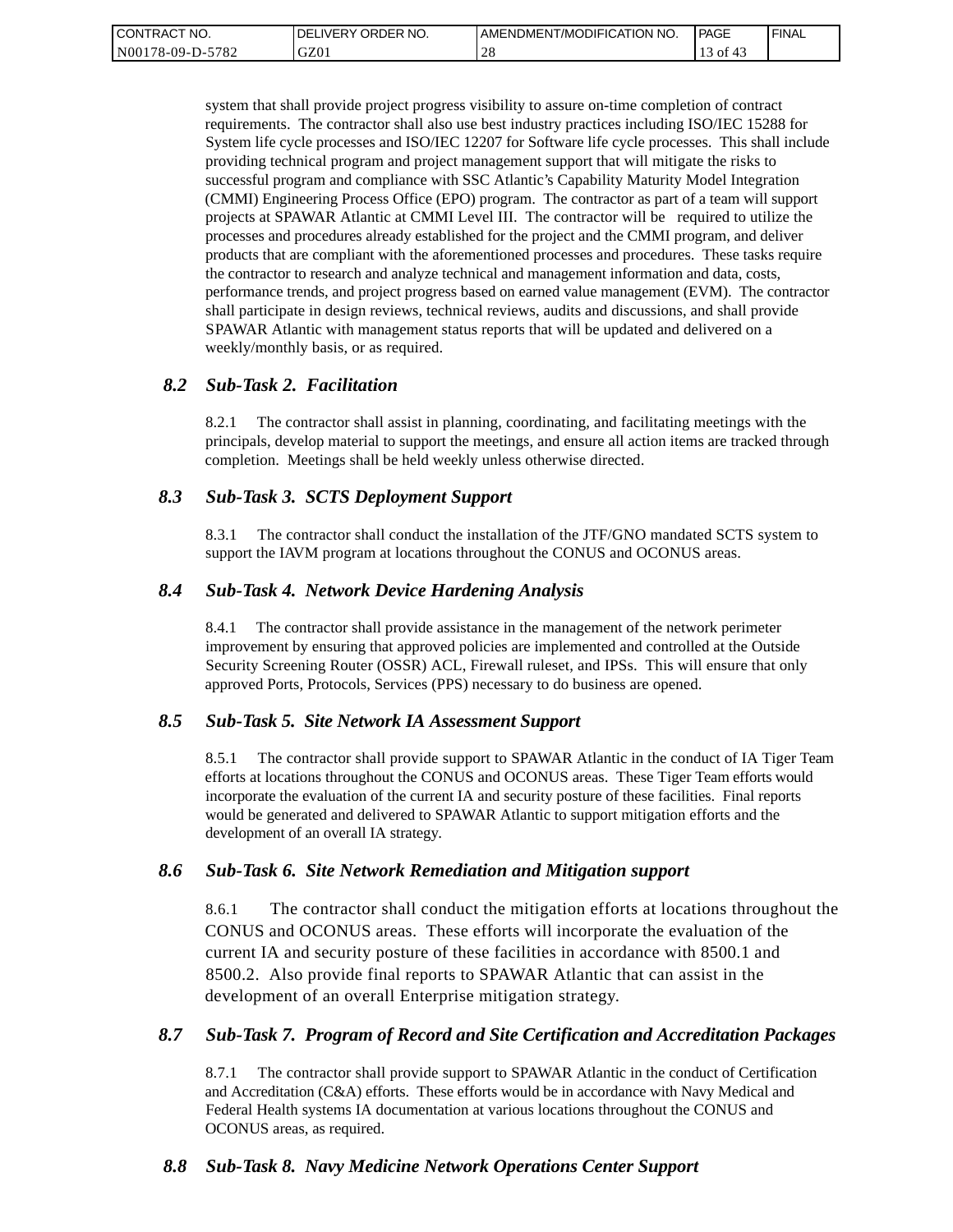| <b>CONTRACT</b><br>" NO. | ' ORDER NO.<br><b>DELIVERY</b> | I AMENDMENT/MODIFICATION NO. | PAGE          | <b>FINAL</b> |
|--------------------------|--------------------------------|------------------------------|---------------|--------------|
| N00178-09-D-5782         | GZ01                           | $\bigcap$ $\bigcap$<br>-40   | $\cdot$ of 4. |              |

system that shall provide project progress visibility to assure on-time completion of contract requirements. The contractor shall also use best industry practices including ISO/IEC 15288 for System life cycle processes and ISO/IEC 12207 for Software life cycle processes. This shall include providing technical program and project management support that will mitigate the risks to successful program and compliance with SSC Atlantic's Capability Maturity Model Integration (CMMI) Engineering Process Office (EPO) program. The contractor as part of a team will support projects at SPAWAR Atlantic at CMMI Level III. The contractor will be required to utilize the processes and procedures already established for the project and the CMMI program, and deliver products that are compliant with the aforementioned processes and procedures. These tasks require the contractor to research and analyze technical and management information and data, costs, performance trends, and project progress based on earned value management (EVM). The contractor shall participate in design reviews, technical reviews, audits and discussions, and shall provide SPAWAR Atlantic with management status reports that will be updated and delivered on a weekly/monthly basis, or as required.

### *8.2 Sub-Task 2. Facilitation*

8.2.1 The contractor shall assist in planning, coordinating, and facilitating meetings with the principals, develop material to support the meetings, and ensure all action items are tracked through completion. Meetings shall be held weekly unless otherwise directed.

### *8.3 Sub-Task 3. SCTS Deployment Support*

8.3.1 The contractor shall conduct the installation of the JTF/GNO mandated SCTS system to support the IAVM program at locations throughout the CONUS and OCONUS areas.

### *8.4 Sub-Task 4. Network Device Hardening Analysis*

8.4.1 The contractor shall provide assistance in the management of the network perimeter improvement by ensuring that approved policies are implemented and controlled at the Outside Security Screening Router (OSSR) ACL, Firewall ruleset, and IPSs. This will ensure that only approved Ports, Protocols, Services (PPS) necessary to do business are opened.

### *8.5 Sub-Task 5. Site Network IA Assessment Support*

8.5.1 The contractor shall provide support to SPAWAR Atlantic in the conduct of IA Tiger Team efforts at locations throughout the CONUS and OCONUS areas. These Tiger Team efforts would incorporate the evaluation of the current IA and security posture of these facilities. Final reports would be generated and delivered to SPAWAR Atlantic to support mitigation efforts and the development of an overall IA strategy.

### *8.6 Sub-Task 6. Site Network Remediation and Mitigation support*

8.6.1 The contractor shall conduct the mitigation efforts at locations throughout the CONUS and OCONUS areas. These efforts will incorporate the evaluation of the current IA and security posture of these facilities in accordance with 8500.1 and 8500.2. Also provide final reports to SPAWAR Atlantic that can assist in the development of an overall Enterprise mitigation strategy.

### *8.7 Sub-Task 7. Program of Record and Site Certification and Accreditation Packages*

8.7.1 The contractor shall provide support to SPAWAR Atlantic in the conduct of Certification and Accreditation (C&A) efforts. These efforts would be in accordance with Navy Medical and Federal Health systems IA documentation at various locations throughout the CONUS and OCONUS areas, as required.

### *8.8 Sub-Task 8. Navy Medicine Network Operations Center Support*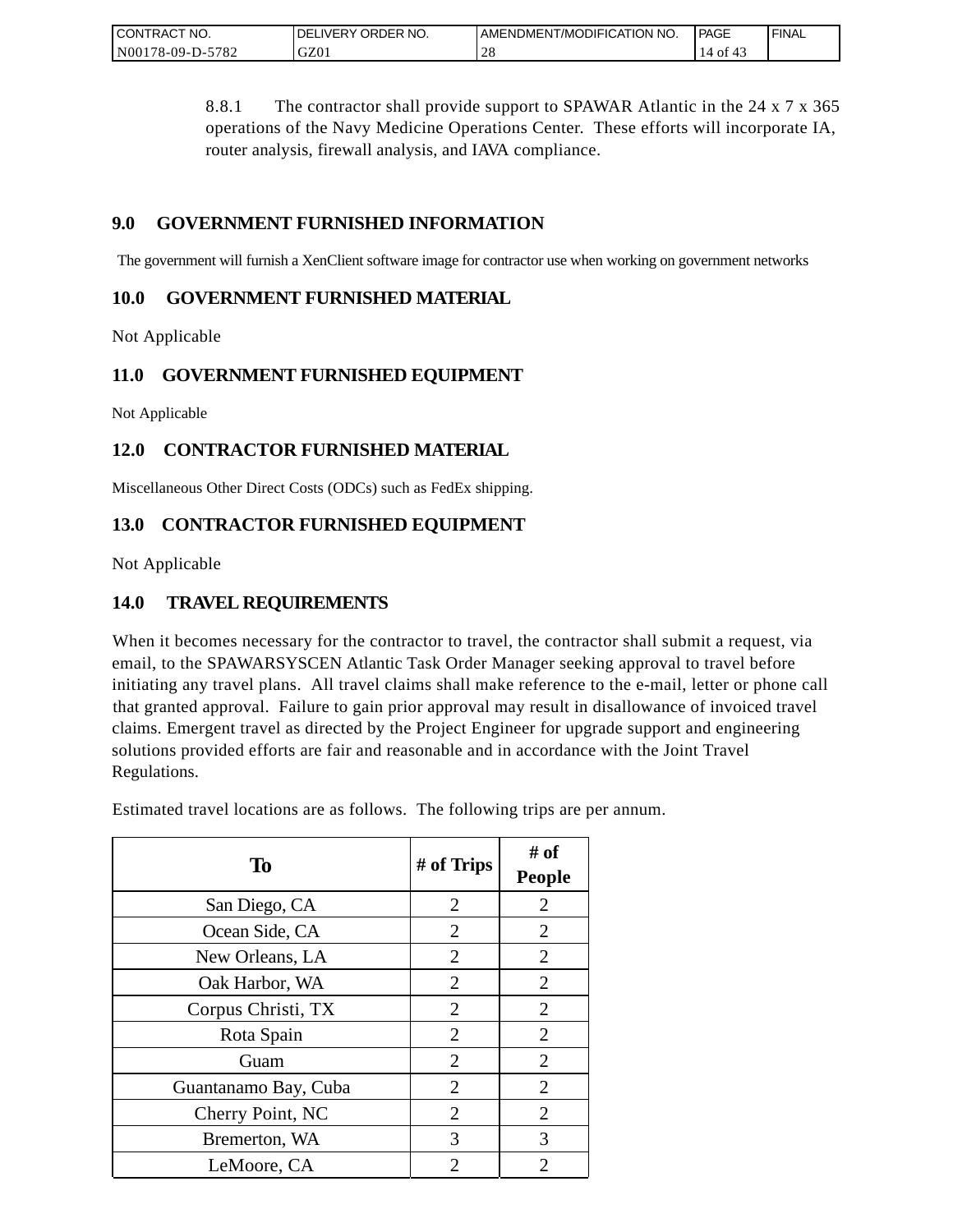| <b>CONTRACT</b><br>" NO.    | ORDER NO.<br><b>DELIVERY</b> | AMENDMENT/MODIFICATION NO. | PAGE       | <b>FINAL</b> |
|-----------------------------|------------------------------|----------------------------|------------|--------------|
| $-5782$<br>N00<br>/8-09-D-5 | GZ0.                         | $\sim$<br>$\angle$ O       | 4014<br>14 |              |

8.8.1 The contractor shall provide support to SPAWAR Atlantic in the 24 x 7 x 365 operations of the Navy Medicine Operations Center. These efforts will incorporate IA, router analysis, firewall analysis, and IAVA compliance.

## **9.0 GOVERNMENT FURNISHED INFORMATION**

The government will furnish a XenClient software image for contractor use when working on government networks

## **10.0 GOVERNMENT FURNISHED MATERIAL**

Not Applicable

## **11.0 GOVERNMENT FURNISHED EQUIPMENT**

Not Applicable

## **12.0 CONTRACTOR FURNISHED MATERIAL**

Miscellaneous Other Direct Costs (ODCs) such as FedEx shipping.

## **13.0 CONTRACTOR FURNISHED EQUIPMENT**

Not Applicable

## **14.0 TRAVEL REQUIREMENTS**

When it becomes necessary for the contractor to travel, the contractor shall submit a request, via email, to the SPAWARSYSCEN Atlantic Task Order Manager seeking approval to travel before initiating any travel plans. All travel claims shall make reference to the e-mail, letter or phone call that granted approval. Failure to gain prior approval may result in disallowance of invoiced travel claims. Emergent travel as directed by the Project Engineer for upgrade support and engineering solutions provided efforts are fair and reasonable and in accordance with the Joint Travel Regulations.

Estimated travel locations are as follows. The following trips are per annum.

| To                   | # of Trips     | # of<br><b>People</b> |
|----------------------|----------------|-----------------------|
| San Diego, CA        | $\overline{2}$ | $\overline{2}$        |
| Ocean Side, CA       | $\overline{2}$ | $\overline{2}$        |
| New Orleans, LA      | 2              | 2                     |
| Oak Harbor, WA       | $\overline{2}$ | $\overline{2}$        |
| Corpus Christi, TX   | 2              | $\overline{2}$        |
| Rota Spain           | $\overline{2}$ | $\overline{2}$        |
| Guam                 | $\overline{2}$ | $\overline{2}$        |
| Guantanamo Bay, Cuba | 2              | $\overline{2}$        |
| Cherry Point, NC     | $\overline{2}$ | $\overline{2}$        |
| Bremerton, WA        | 3              | 3                     |
| LeMoore, CA          | 2              | 2                     |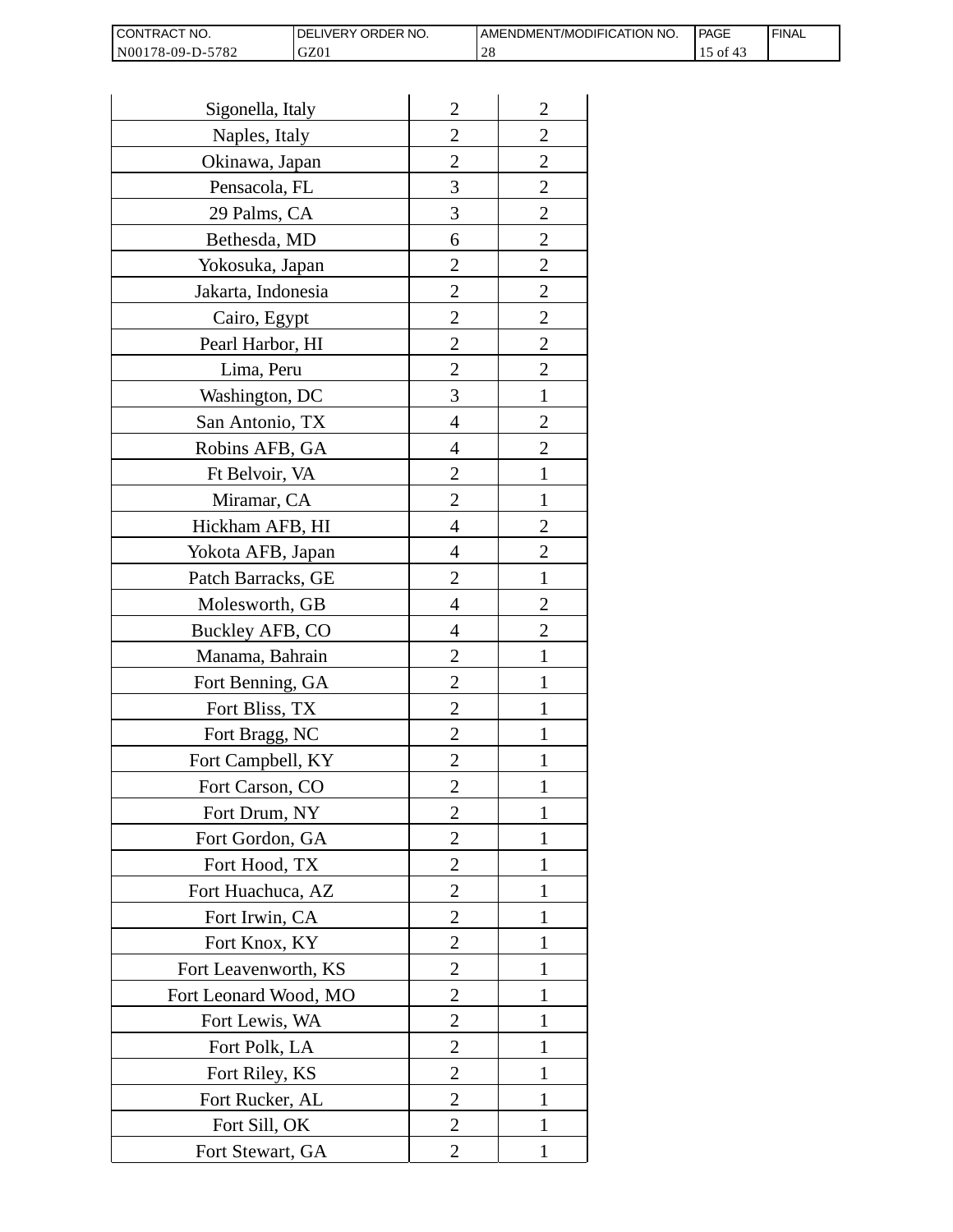| <b>I CONTRACT NO.</b> | <b>IDELIVERY ORDER NO.</b> | AMENDMENT/MODIFICATION NO. | PAGE | 'FINAL |
|-----------------------|----------------------------|----------------------------|------|--------|
| N00178-09-D-5782      | GZ01                       |                            | 0Ī   |        |

| Sigonella, Italy      | $\overline{2}$ | $\overline{2}$ |
|-----------------------|----------------|----------------|
| Naples, Italy         | $\overline{c}$ | $\overline{c}$ |
| Okinawa, Japan        | $\overline{c}$ | $\overline{c}$ |
| Pensacola, FL         | 3              | $\overline{c}$ |
| 29 Palms, CA          | 3              | $\overline{2}$ |
| Bethesda, MD          | 6              | $\overline{2}$ |
| Yokosuka, Japan       | 2              | $\overline{c}$ |
| Jakarta, Indonesia    | $\overline{c}$ | $\overline{c}$ |
| Cairo, Egypt          | $\overline{c}$ | $\overline{c}$ |
| Pearl Harbor, HI      | $\overline{2}$ | $\overline{2}$ |
| Lima, Peru            | $\overline{c}$ | $\overline{2}$ |
| Washington, DC        | 3              | $\mathbf{1}$   |
| San Antonio, TX       | 4              | $\overline{c}$ |
| Robins AFB, GA        | 4              | $\overline{c}$ |
| Ft Belvoir, VA        | $\overline{c}$ | $\mathbf{1}$   |
| Miramar, CA           | $\overline{2}$ | 1              |
| Hickham AFB, HI       | 4              | $\overline{2}$ |
| Yokota AFB, Japan     | 4              | $\overline{c}$ |
| Patch Barracks, GE    | $\overline{2}$ | $\mathbf{1}$   |
| Molesworth, GB        | 4              | $\overline{2}$ |
| Buckley AFB, CO       | 4              | $\overline{c}$ |
| Manama, Bahrain       | $\overline{c}$ | $\mathbf{1}$   |
| Fort Benning, GA      | $\overline{c}$ | 1              |
| Fort Bliss, TX        | $\overline{c}$ | 1              |
| Fort Bragg, NC        | $\overline{2}$ | 1              |
| Fort Campbell, KY     | $\overline{c}$ |                |
| Fort Carson, CO       | $\overline{c}$ | 1              |
| Fort Drum, NY         | $\overline{2}$ | 1              |
| Fort Gordon, GA       | $\overline{2}$ | 1              |
| Fort Hood, TX         | $\overline{2}$ | I              |
| Fort Huachuca, AZ     | 2              | 1              |
| Fort Irwin, CA        | $\overline{c}$ | 1              |
| Fort Knox, KY         | $\overline{c}$ | 1              |
| Fort Leavenworth, KS  | $\overline{2}$ | $\mathbf{1}$   |
| Fort Leonard Wood, MO | $\overline{2}$ | 1              |
| Fort Lewis, WA        | 2              | 1              |
| Fort Polk, LA         | 2              | 1              |
| Fort Riley, KS        | $\overline{c}$ | 1              |
| Fort Rucker, AL       | $\overline{c}$ | 1              |
| Fort Sill, OK         | 2              | 1              |
| Fort Stewart, GA      | 2              | 1              |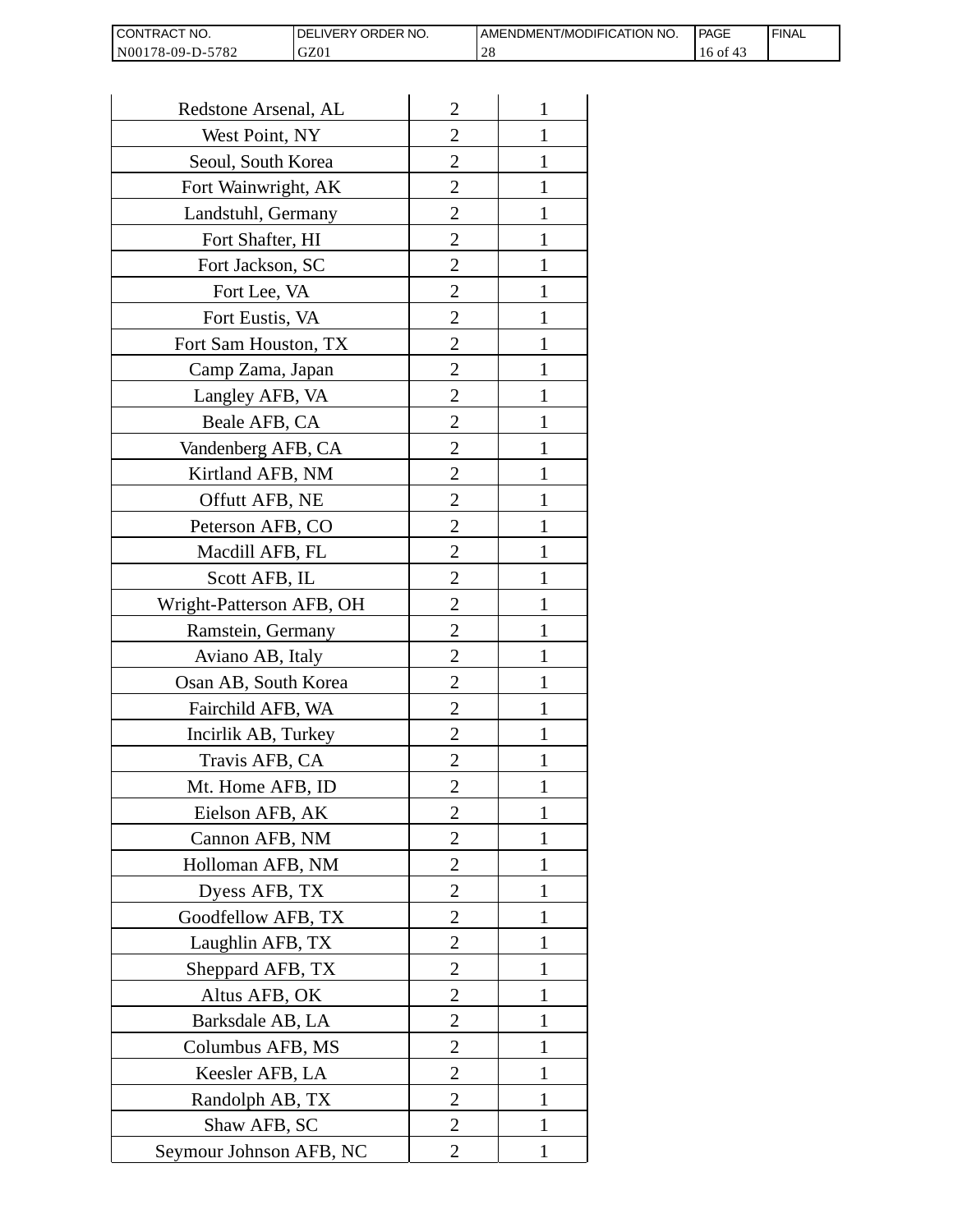| CONTRACT<br>`CT NO.      | `NO.<br><b>DELIVERY ORDER</b> | AMENDMENT/MODIFICATION NO. | l PAGE | 'FINAL |
|--------------------------|-------------------------------|----------------------------|--------|--------|
| N00178-09-D-5<br>$-5782$ | GZ01                          | ∠∪                         | 16 of  |        |

| Redstone Arsenal, AL     | $\overline{c}$ | 1            |
|--------------------------|----------------|--------------|
| West Point, NY           | $\overline{2}$ | 1            |
| Seoul, South Korea       | 2              | 1            |
| Fort Wainwright, AK      | $\overline{2}$ | 1            |
| Landstuhl, Germany       | $\overline{2}$ | 1            |
| Fort Shafter, HI         | $\overline{2}$ | 1            |
| Fort Jackson, SC         | $\overline{2}$ | 1            |
| Fort Lee, VA             | 2              | 1            |
| Fort Eustis, VA          | $\overline{2}$ | 1            |
| Fort Sam Houston, TX     | $\overline{2}$ | 1            |
| Camp Zama, Japan         | $\overline{2}$ | 1            |
| Langley AFB, VA          | $\overline{2}$ | 1            |
| Beale AFB, CA            | 2              | 1            |
| Vandenberg AFB, CA       | $\overline{2}$ | 1            |
| Kirtland AFB, NM         | $\overline{2}$ | 1            |
| Offutt AFB, NE           | 2              | 1            |
| Peterson AFB, CO         | 2              | 1            |
| Macdill AFB, FL          | $\overline{2}$ | 1            |
| Scott AFB, IL            | $\overline{2}$ | 1            |
| Wright-Patterson AFB, OH | 2              | 1            |
| Ramstein, Germany        | $\overline{2}$ | 1            |
| Aviano AB, Italy         | 2              | 1            |
| Osan AB, South Korea     | $\overline{2}$ | 1            |
| Fairchild AFB, WA        | $\overline{2}$ | 1            |
| Incirlik AB, Turkey      | 2              | 1            |
| Travis AFB, CA           | $\overline{c}$ | 1            |
| Mt. Home AFB, ID         | $\overline{c}$ | 1            |
| Eielson AFB, AK          | $\overline{2}$ | 1            |
| Cannon AFB, NM           | $\overline{2}$ | $\mathbf{1}$ |
| Holloman AFB, NM         | $\overline{2}$ | 1            |
| Dyess AFB, TX            | $\overline{2}$ | 1            |
| Goodfellow AFB, TX       | $\overline{2}$ | 1            |
| Laughlin AFB, TX         | $\overline{2}$ | 1            |
| Sheppard AFB, TX         | $\overline{c}$ | 1            |
| Altus AFB, OK            | $\overline{2}$ | 1            |
| Barksdale AB, LA         | $\overline{2}$ | $\mathbf{1}$ |
| Columbus AFB, MS         | 2              | 1            |
| Keesler AFB, LA          | $\overline{2}$ | 1            |
| Randolph AB, TX          | $\overline{2}$ | 1            |
| Shaw AFB, SC             | $\overline{c}$ | 1            |
| Seymour Johnson AFB, NC  | $\overline{2}$ | $\mathbf{1}$ |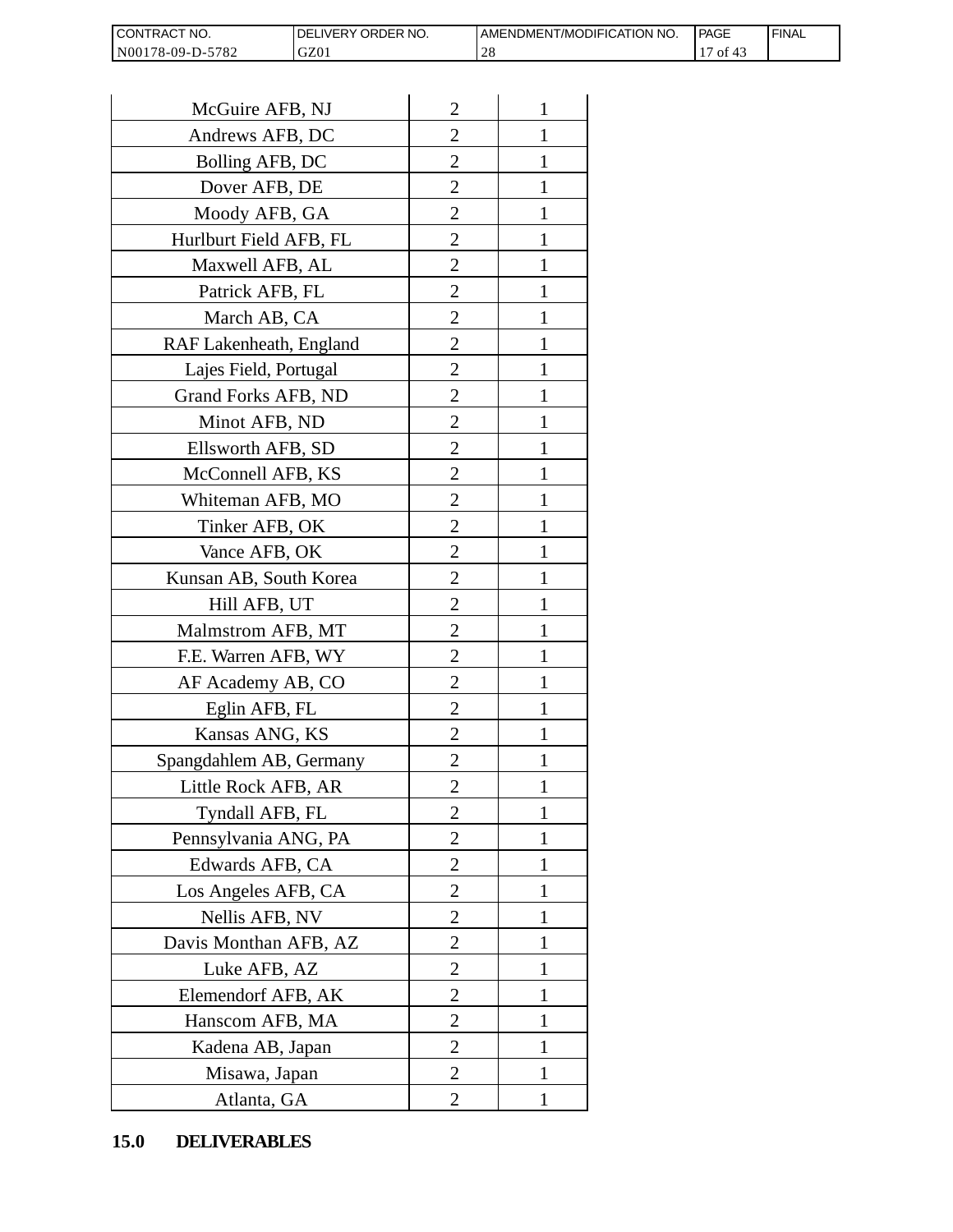| <b>CON</b><br>NO.<br>I RAC    | ORDER NO.<br><b>NERY</b> | T/MODIFICATION NO.<br>AMENDMEN! | PAGE | <b>FINAL</b> |
|-------------------------------|--------------------------|---------------------------------|------|--------------|
| N0017<br>5782<br>78-09-L<br>. | GZ01                     | $\cap$ $\cap$<br>-40            | -01  |              |

| CONTRACT NO.<br>N00178-09-D-5782 | DELIVERY ORDER NO.<br>GZ01 |                | AMENDMENT/MOI<br>28 |
|----------------------------------|----------------------------|----------------|---------------------|
|                                  |                            |                |                     |
| McGuire AFB, NJ                  |                            | $\overline{2}$ | 1                   |
| Andrews AFB, DC                  |                            | 2              | 1                   |
| Bolling AFB, DC                  |                            | $\overline{c}$ | 1                   |
| Dover AFB, DE                    |                            | $\overline{c}$ | 1                   |
| Moody AFB, GA                    |                            | $\overline{2}$ | $\mathbf{1}$        |
| Hurlburt Field AFB, FL           |                            | 2              | 1                   |
| Maxwell AFB, AL                  |                            | $\overline{2}$ | 1                   |
| Patrick AFB, FL                  |                            | $\overline{2}$ | 1                   |
| March AB, CA                     |                            | $\overline{c}$ | 1                   |
| RAF Lakenheath, England          |                            | $\overline{2}$ | $\mathbf{1}$        |
| Lajes Field, Portugal            |                            | $\overline{2}$ | 1                   |
| Grand Forks AFB, ND              |                            | $\overline{2}$ | 1                   |
| Minot AFB, ND                    |                            | $\overline{2}$ | $\mathbf{1}$        |
| Ellsworth AFB, SD                |                            | $\overline{c}$ | 1                   |
| McConnell AFB, KS                |                            | $\overline{c}$ | 1                   |
| Whiteman AFB, MO                 |                            | $\overline{2}$ | 1                   |
| Tinker AFB, OK                   |                            | $\overline{2}$ | 1                   |
| Vance AFB, OK                    |                            | 2              | 1                   |
| Kunsan AB, South Korea           |                            | $\overline{2}$ | 1                   |
| Hill AFB, UT                     |                            | $\overline{c}$ | 1                   |
| Malmstrom AFB, MT                |                            | 2              | 1                   |
| F.E. Warren AFB, WY              |                            | $\overline{2}$ | $\mathbf{1}$        |
| AF Academy AB, CO                |                            | $\overline{2}$ | $\mathbf{1}$        |
| Eglin AFB, FL                    |                            | $\overline{2}$ | 1                   |
| Kansas ANG, KS                   |                            | $\overline{c}$ |                     |
| Spangdahlem AB, Germany          |                            | 2              | 1                   |
| Little Rock AFB, AR              |                            | $\overline{c}$ | 1                   |
| Tyndall AFB, FL                  |                            | $\overline{c}$ | $\mathbf{1}$        |
| Pennsylvania ANG, PA             |                            | $\overline{2}$ | 1                   |
| Edwards AFB, CA                  |                            | 2              | 1                   |
| Los Angeles AFB, CA              |                            | 2              | 1                   |
| Nellis AFB, NV                   |                            | $\overline{2}$ | 1                   |
| Davis Monthan AFB, AZ            |                            | $\overline{c}$ | 1                   |
| Luke AFB, AZ                     |                            | $\overline{2}$ | 1                   |
| Elemendorf AFB, AK               |                            | 2              | 1                   |
| Hanscom AFB, MA                  |                            | 2              | 1                   |
| Kadena AB, Japan                 |                            | 2              | 1                   |
| Misawa, Japan                    |                            | $\overline{c}$ | 1                   |
| Atlanta, GA                      |                            | $\overline{2}$ | 1                   |
| <b>DELIVERABLES</b><br>15.0      |                            |                |                     |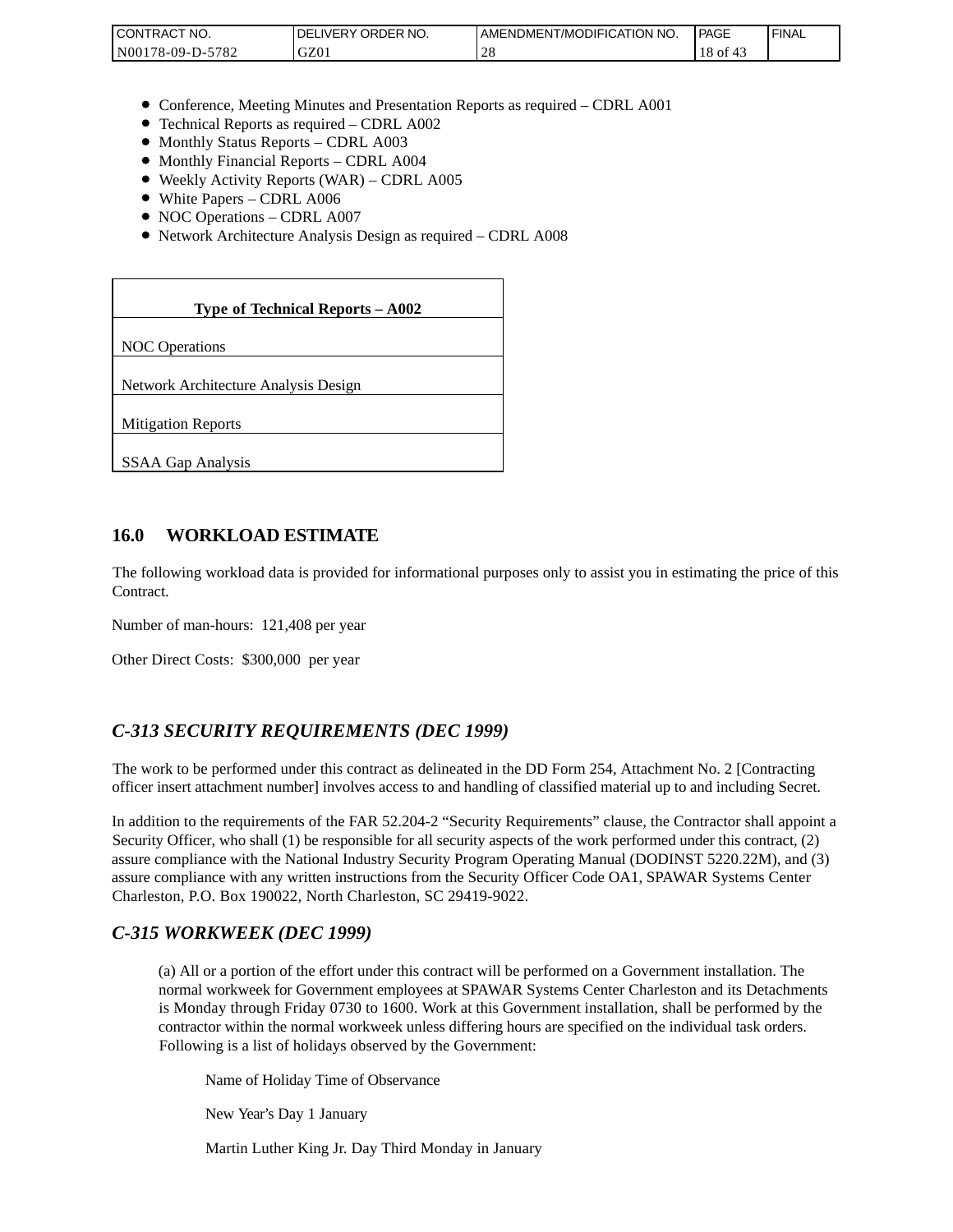| <b>CONTRAC</b><br>'NO.     | NO.<br>ORDER<br><b>DELIVERY</b> | AMENDMENT/MODIFICATION NO. | <b>PAGE</b> | <b>FINAL</b> |
|----------------------------|---------------------------------|----------------------------|-------------|--------------|
| 5782<br>N00<br>$78-09-D$ - | GZ0                             |                            | 18 of       |              |

- Conference, Meeting Minutes and Presentation Reports as required CDRL A001
- Technical Reports as required CDRL A002
- Monthly Status Reports CDRL A003
- $\bullet$  Monthly Financial Reports CDRL A004
- Weekly Activity Reports (WAR) CDRL A005
- White Papers CDRL A006
- NOC Operations CDRL A007
- Network Architecture Analysis Design as required CDRL A008

| CONTRACT NO.<br>N00178-09-D-5782                                                                                                                                                                                                                                                                                                                                 | DELIVERY ORDER NO.<br>GZ01                                                                                                                                                                                                                                                                                              | AMENDME<br>28 |
|------------------------------------------------------------------------------------------------------------------------------------------------------------------------------------------------------------------------------------------------------------------------------------------------------------------------------------------------------------------|-------------------------------------------------------------------------------------------------------------------------------------------------------------------------------------------------------------------------------------------------------------------------------------------------------------------------|---------------|
|                                                                                                                                                                                                                                                                                                                                                                  |                                                                                                                                                                                                                                                                                                                         |               |
| • Monthly Status Reports - CDRL A003<br>• Monthly Financial Reports - CDRL A004<br>• White Papers - CDRL A006<br>• NOC Operations - CDRL A007                                                                                                                                                                                                                    | • Conference, Meeting Minutes and Presentation Reports as rec<br>• Technical Reports as required - CDRL A002<br>• Weekly Activity Reports (WAR) - CDRL A005<br>• Network Architecture Analysis Design as required - CDRL A                                                                                              |               |
|                                                                                                                                                                                                                                                                                                                                                                  |                                                                                                                                                                                                                                                                                                                         |               |
|                                                                                                                                                                                                                                                                                                                                                                  | Type of Technical Reports - A002                                                                                                                                                                                                                                                                                        |               |
| <b>NOC</b> Operations                                                                                                                                                                                                                                                                                                                                            |                                                                                                                                                                                                                                                                                                                         |               |
| Network Architecture Analysis Design                                                                                                                                                                                                                                                                                                                             |                                                                                                                                                                                                                                                                                                                         |               |
| <b>Mitigation Reports</b>                                                                                                                                                                                                                                                                                                                                        |                                                                                                                                                                                                                                                                                                                         |               |
| SSAA Gap Analysis                                                                                                                                                                                                                                                                                                                                                |                                                                                                                                                                                                                                                                                                                         |               |
|                                                                                                                                                                                                                                                                                                                                                                  |                                                                                                                                                                                                                                                                                                                         |               |
| 16.0<br><b>WORKLOAD ESTIMATE</b>                                                                                                                                                                                                                                                                                                                                 |                                                                                                                                                                                                                                                                                                                         |               |
| The following workload data is provided for informational purposes<br>Contract.                                                                                                                                                                                                                                                                                  |                                                                                                                                                                                                                                                                                                                         |               |
| Number of man-hours: 121,408 per year                                                                                                                                                                                                                                                                                                                            |                                                                                                                                                                                                                                                                                                                         |               |
| Other Direct Costs: \$300,000 per year                                                                                                                                                                                                                                                                                                                           |                                                                                                                                                                                                                                                                                                                         |               |
|                                                                                                                                                                                                                                                                                                                                                                  |                                                                                                                                                                                                                                                                                                                         |               |
| C-313 SECURITY REQUIREMENTS (DEC 1999)                                                                                                                                                                                                                                                                                                                           |                                                                                                                                                                                                                                                                                                                         |               |
| The work to be performed under this contract as delineated in the DI<br>officer insert attachment number] involves access to and handling of o                                                                                                                                                                                                                   |                                                                                                                                                                                                                                                                                                                         |               |
| In addition to the requirements of the FAR 52.204-2 "Security Requi<br>Security Officer, who shall (1) be responsible for all security aspects of<br>assure compliance with the National Industry Security Program Oper<br>assure compliance with any written instructions from the Security Of<br>Charleston, P.O. Box 190022, North Charleston, SC 29419-9022. |                                                                                                                                                                                                                                                                                                                         |               |
| C-315 WORKWEEK (DEC 1999)                                                                                                                                                                                                                                                                                                                                        |                                                                                                                                                                                                                                                                                                                         |               |
|                                                                                                                                                                                                                                                                                                                                                                  | (a) All or a portion of the effort under this contract will be per<br>normal workweek for Government employees at SPAWAR Sy<br>is Monday through Friday 0730 to 1600. Work at this Gover<br>contractor within the normal workweek unless differing hours<br>Following is a list of holidays observed by the Government: |               |
|                                                                                                                                                                                                                                                                                                                                                                  | Name of Holiday Time of Observance                                                                                                                                                                                                                                                                                      |               |
| New Year's Day 1 January                                                                                                                                                                                                                                                                                                                                         |                                                                                                                                                                                                                                                                                                                         |               |
|                                                                                                                                                                                                                                                                                                                                                                  | Martin Luther King Jr. Day Third Monday in January                                                                                                                                                                                                                                                                      |               |

### **16.0 WORKLOAD ESTIMATE**

The following workload data is provided for informational purposes only to assist you in estimating the price of this Contract.

## *C-313 SECURITY REQUIREMENTS (DEC 1999)*

The work to be performed under this contract as delineated in the DD Form 254, Attachment No. 2 [Contracting officer insert attachment number] involves access to and handling of classified material up to and including Secret.

In addition to the requirements of the FAR 52.204-2 "Security Requirements" clause, the Contractor shall appoint a Security Officer, who shall (1) be responsible for all security aspects of the work performed under this contract, (2) assure compliance with the National Industry Security Program Operating Manual (DODINST 5220.22M), and (3) assure compliance with any written instructions from the Security Officer Code OA1, SPAWAR Systems Center Charleston, P.O. Box 190022, North Charleston, SC 29419-9022.

### *C-315 WORKWEEK (DEC 1999)*

(a) All or a portion of the effort under this contract will be performed on a Government installation. The normal workweek for Government employees at SPAWAR Systems Center Charleston and its Detachments is Monday through Friday 0730 to 1600. Work at this Government installation, shall be performed by the contractor within the normal workweek unless differing hours are specified on the individual task orders. Following is a list of holidays observed by the Government: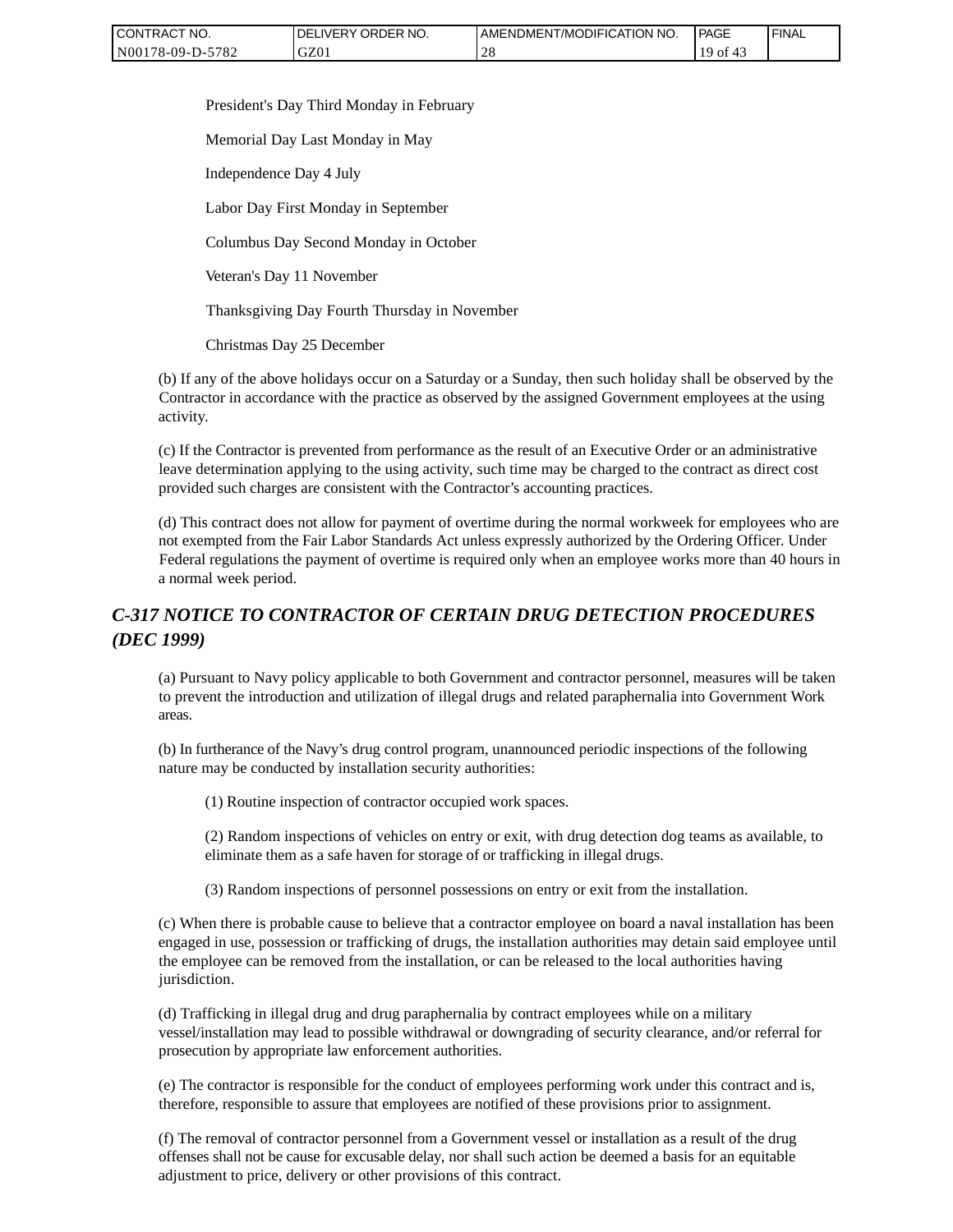| CONTRACT NO.     | ' ORDER NO.<br><b>DELIVERY</b> | AMENDMENT/MODIFICATION NO. | <b>PAGE</b>  | ' FINAL |
|------------------|--------------------------------|----------------------------|--------------|---------|
| N00178-09-D-5782 | GZ01                           | ∠€                         | ' of<br>- 4. |         |

President's Day Third Monday in February

Memorial Day Last Monday in May

Independence Day 4 July

Labor Day First Monday in September

Columbus Day Second Monday in October

Veteran's Day 11 November

Thanksgiving Day Fourth Thursday in November

Christmas Day 25 December

(b) If any of the above holidays occur on a Saturday or a Sunday, then such holiday shall be observed by the Contractor in accordance with the practice as observed by the assigned Government employees at the using activity.

(c) If the Contractor is prevented from performance as the result of an Executive Order or an administrative leave determination applying to the using activity, such time may be charged to the contract as direct cost provided such charges are consistent with the Contractor's accounting practices.

(d) This contract does not allow for payment of overtime during the normal workweek for employees who are not exempted from the Fair Labor Standards Act unless expressly authorized by the Ordering Officer. Under Federal regulations the payment of overtime is required only when an employee works more than 40 hours in a normal week period.

# *C-317 NOTICE TO CONTRACTOR OF CERTAIN DRUG DETECTION PROCEDURES (DEC 1999)*

(a) Pursuant to Navy policy applicable to both Government and contractor personnel, measures will be taken to prevent the introduction and utilization of illegal drugs and related paraphernalia into Government Work areas.

(b) In furtherance of the Navy's drug control program, unannounced periodic inspections of the following nature may be conducted by installation security authorities:

(1) Routine inspection of contractor occupied work spaces.

(2) Random inspections of vehicles on entry or exit, with drug detection dog teams as available, to eliminate them as a safe haven for storage of or trafficking in illegal drugs.

(3) Random inspections of personnel possessions on entry or exit from the installation.

(c) When there is probable cause to believe that a contractor employee on board a naval installation has been engaged in use, possession or trafficking of drugs, the installation authorities may detain said employee until the employee can be removed from the installation, or can be released to the local authorities having jurisdiction.

(d) Trafficking in illegal drug and drug paraphernalia by contract employees while on a military vessel/installation may lead to possible withdrawal or downgrading of security clearance, and/or referral for prosecution by appropriate law enforcement authorities.

(e) The contractor is responsible for the conduct of employees performing work under this contract and is, therefore, responsible to assure that employees are notified of these provisions prior to assignment.

(f) The removal of contractor personnel from a Government vessel or installation as a result of the drug offenses shall not be cause for excusable delay, nor shall such action be deemed a basis for an equitable adjustment to price, delivery or other provisions of this contract.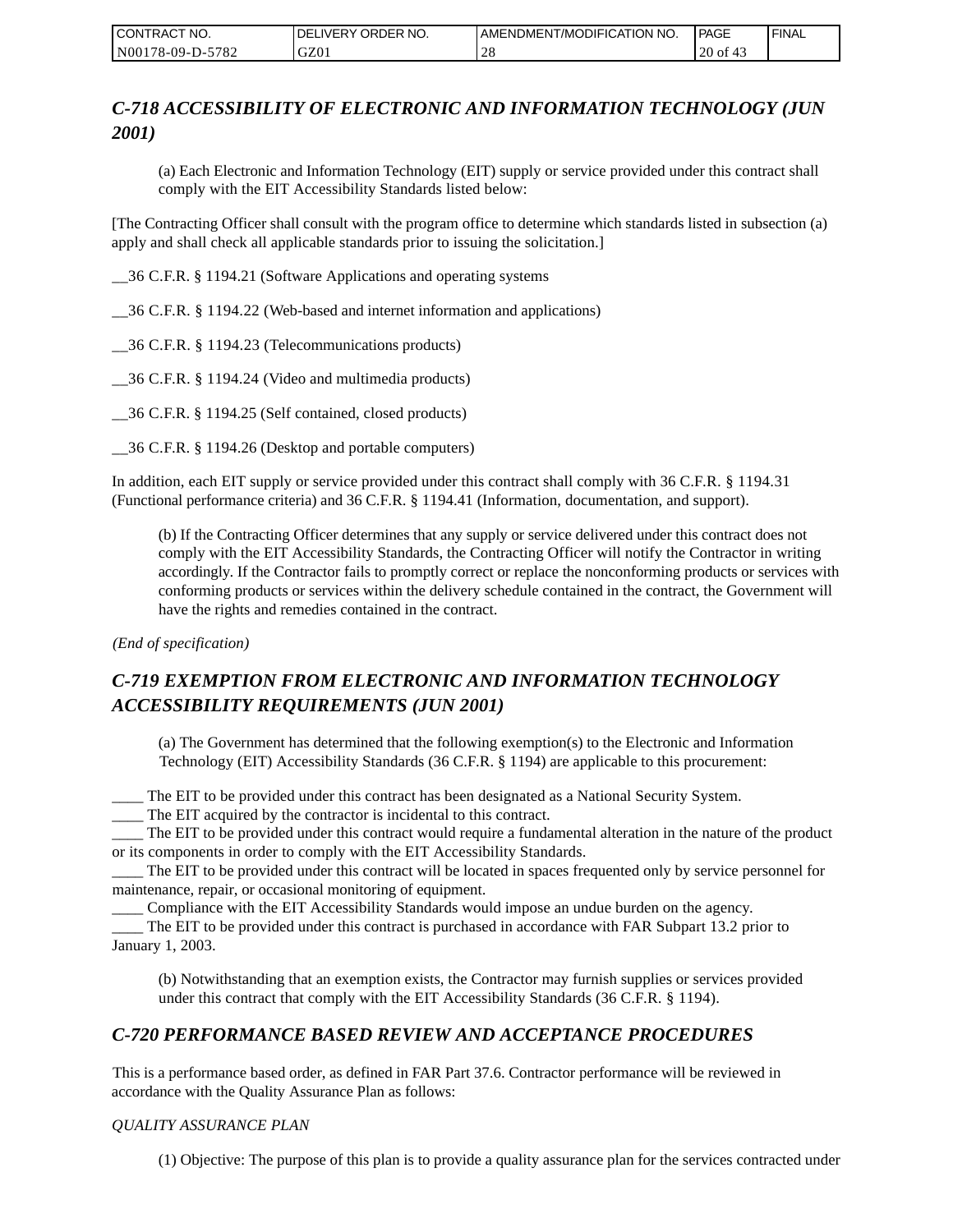| CONTRACT NO.     | <b>IDELIVERY ORDER NO.</b> | AMENDMENT/MODIFICATION NO. | <b>PAGE</b>      | ' FINAL |
|------------------|----------------------------|----------------------------|------------------|---------|
| N00178-09-D-5782 | GZ01                       | ີ່                         | $20$ of<br>- 4., |         |

# *C-718 ACCESSIBILITY OF ELECTRONIC AND INFORMATION TECHNOLOGY (JUN 2001)*

(a) Each Electronic and Information Technology (EIT) supply or service provided under this contract shall comply with the EIT Accessibility Standards listed below:

[The Contracting Officer shall consult with the program office to determine which standards listed in subsection (a) apply and shall check all applicable standards prior to issuing the solicitation.]

\_\_36 C.F.R. § 1194.21 (Software Applications and operating systems

\_\_36 C.F.R. § 1194.22 (Web-based and internet information and applications)

\_\_36 C.F.R. § 1194.23 (Telecommunications products)

\_\_36 C.F.R. § 1194.24 (Video and multimedia products)

\_\_36 C.F.R. § 1194.25 (Self contained, closed products)

\_\_36 C.F.R. § 1194.26 (Desktop and portable computers)

In addition, each EIT supply or service provided under this contract shall comply with 36 C.F.R. § 1194.31 (Functional performance criteria) and 36 C.F.R. § 1194.41 (Information, documentation, and support).

(b) If the Contracting Officer determines that any supply or service delivered under this contract does not comply with the EIT Accessibility Standards, the Contracting Officer will notify the Contractor in writing accordingly. If the Contractor fails to promptly correct or replace the nonconforming products or services with conforming products or services within the delivery schedule contained in the contract, the Government will have the rights and remedies contained in the contract.

*(End of specification)*

# *C-719 EXEMPTION FROM ELECTRONIC AND INFORMATION TECHNOLOGY ACCESSIBILITY REQUIREMENTS (JUN 2001)*

(a) The Government has determined that the following exemption(s) to the Electronic and Information Technology (EIT) Accessibility Standards (36 C.F.R. § 1194) are applicable to this procurement:

\_\_\_\_ The EIT to be provided under this contract has been designated as a National Security System.

\_\_\_\_ The EIT acquired by the contractor is incidental to this contract.

\_\_\_\_ The EIT to be provided under this contract would require a fundamental alteration in the nature of the product or its components in order to comply with the EIT Accessibility Standards.

\_\_\_\_ The EIT to be provided under this contract will be located in spaces frequented only by service personnel for maintenance, repair, or occasional monitoring of equipment.

\_\_\_\_ Compliance with the EIT Accessibility Standards would impose an undue burden on the agency.

\_\_\_\_ The EIT to be provided under this contract is purchased in accordance with FAR Subpart 13.2 prior to January 1, 2003.

(b) Notwithstanding that an exemption exists, the Contractor may furnish supplies or services provided under this contract that comply with the EIT Accessibility Standards (36 C.F.R. § 1194).

## *C-720 PERFORMANCE BASED REVIEW AND ACCEPTANCE PROCEDURES*

This is a performance based order, as defined in FAR Part 37.6. Contractor performance will be reviewed in accordance with the Quality Assurance Plan as follows:

### *QUALITY ASSURANCE PLAN*

(1) Objective: The purpose of this plan is to provide a quality assurance plan for the services contracted under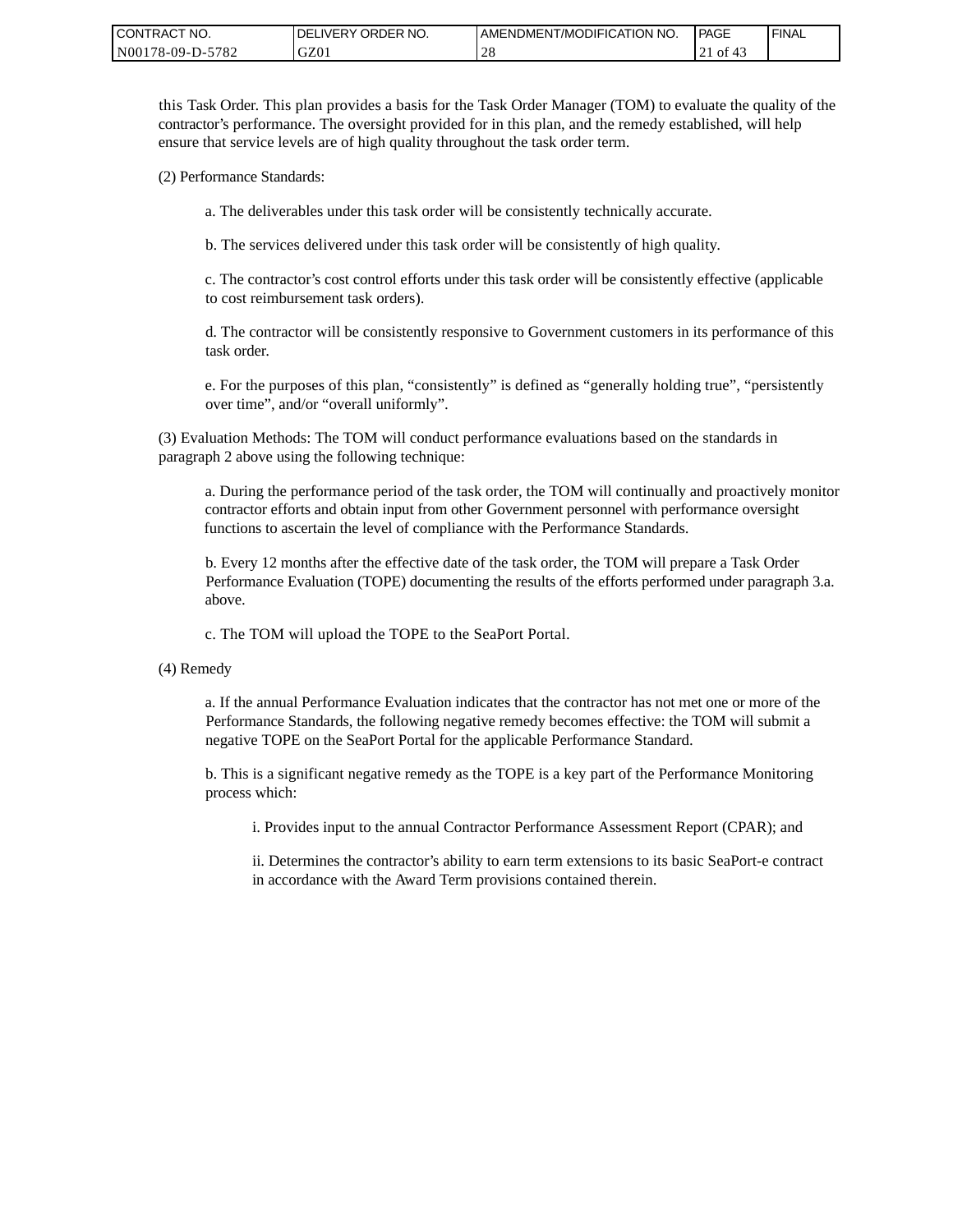| <b>CONTRACT</b><br>" NO. | ' ORDER NO.<br><b>DELIVERY</b> | I AMENDMENT/MODIFICATION NO. | <b>PAGE</b> | <b>I FINAL</b> |
|--------------------------|--------------------------------|------------------------------|-------------|----------------|
| -5782<br>N00178-09-D-5   | GZ01                           | .0c<br>-40                   | 0Ī<br>ົ 4 - |                |

this Task Order. This plan provides a basis for the Task Order Manager (TOM) to evaluate the quality of the contractor's performance. The oversight provided for in this plan, and the remedy established, will help ensure that service levels are of high quality throughout the task order term.

(2) Performance Standards:

a. The deliverables under this task order will be consistently technically accurate.

b. The services delivered under this task order will be consistently of high quality.

c. The contractor's cost control efforts under this task order will be consistently effective (applicable to cost reimbursement task orders).

d. The contractor will be consistently responsive to Government customers in its performance of this task order.

e. For the purposes of this plan, "consistently" is defined as "generally holding true", "persistently over time", and/or "overall uniformly".

(3) Evaluation Methods: The TOM will conduct performance evaluations based on the standards in paragraph 2 above using the following technique:

a. During the performance period of the task order, the TOM will continually and proactively monitor contractor efforts and obtain input from other Government personnel with performance oversight functions to ascertain the level of compliance with the Performance Standards.

b. Every 12 months after the effective date of the task order, the TOM will prepare a Task Order Performance Evaluation (TOPE) documenting the results of the efforts performed under paragraph 3.a. above.

c. The TOM will upload the TOPE to the SeaPort Portal.

(4) Remedy

a. If the annual Performance Evaluation indicates that the contractor has not met one or more of the Performance Standards, the following negative remedy becomes effective: the TOM will submit a negative TOPE on the SeaPort Portal for the applicable Performance Standard.

b. This is a significant negative remedy as the TOPE is a key part of the Performance Monitoring process which:

i. Provides input to the annual Contractor Performance Assessment Report (CPAR); and

ii. Determines the contractor's ability to earn term extensions to its basic SeaPort-e contract in accordance with the Award Term provisions contained therein.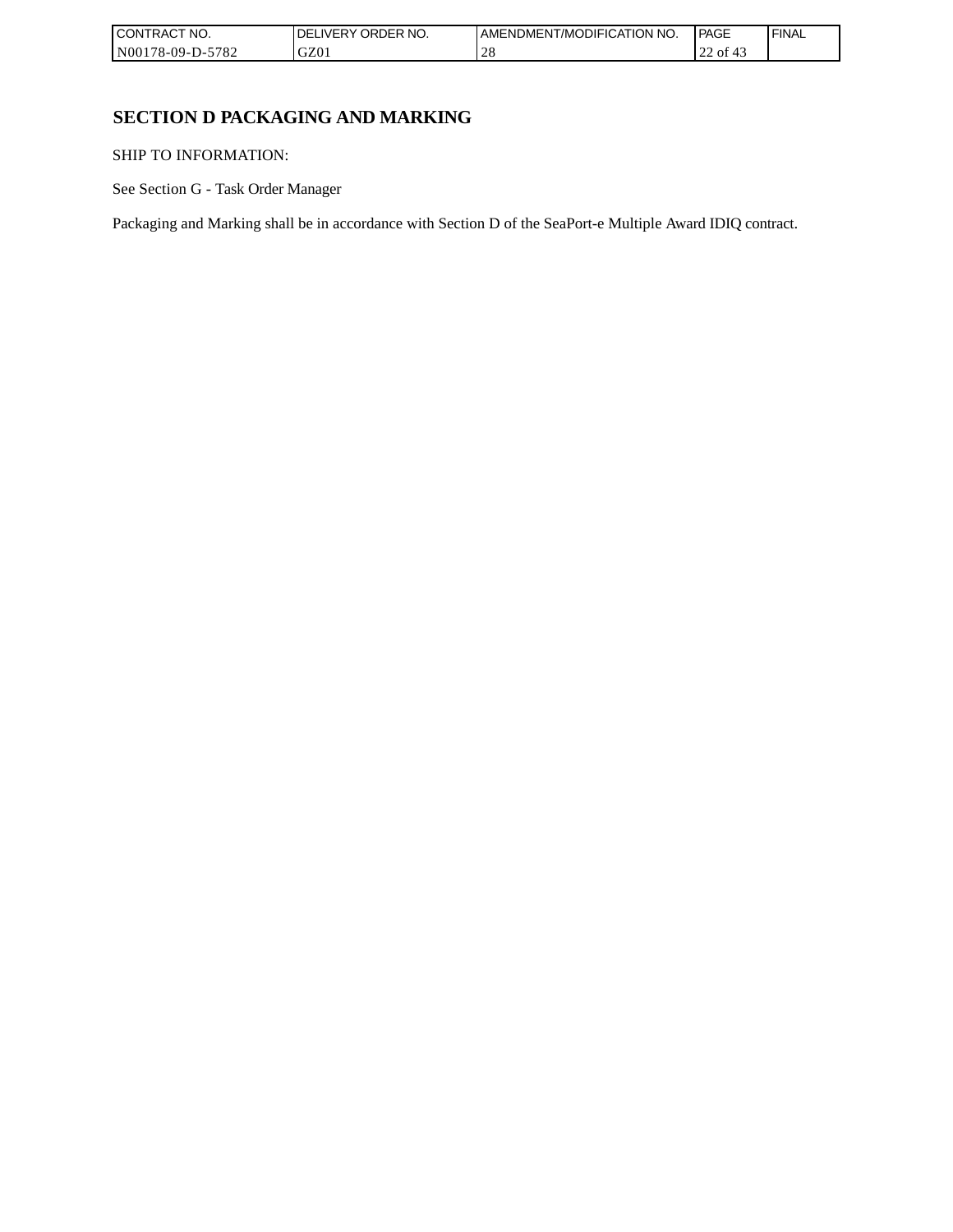| `CT NO.<br><b>CONT</b><br>TRAC <sup>-</sup> | NO.<br><b>ORDER</b><br>IVERY<br>DEI | AMENDMENT/MODIFICATION NO. | <b>PAGE</b>                        | 'FINAL |
|---------------------------------------------|-------------------------------------|----------------------------|------------------------------------|--------|
| N0017 <sup>c</sup><br>5782<br>78-09-D-:     | GZ0                                 | $\sim$ 0                   | $\sim$ $\sim$<br>$\sim$<br>οt<br>∼ |        |

## **SECTION D PACKAGING AND MARKING**

SHIP TO INFORMATION:

See Section G - Task Order Manager

Packaging and Marking shall be in accordance with Section D of the SeaPort-e Multiple Award IDIQ contract.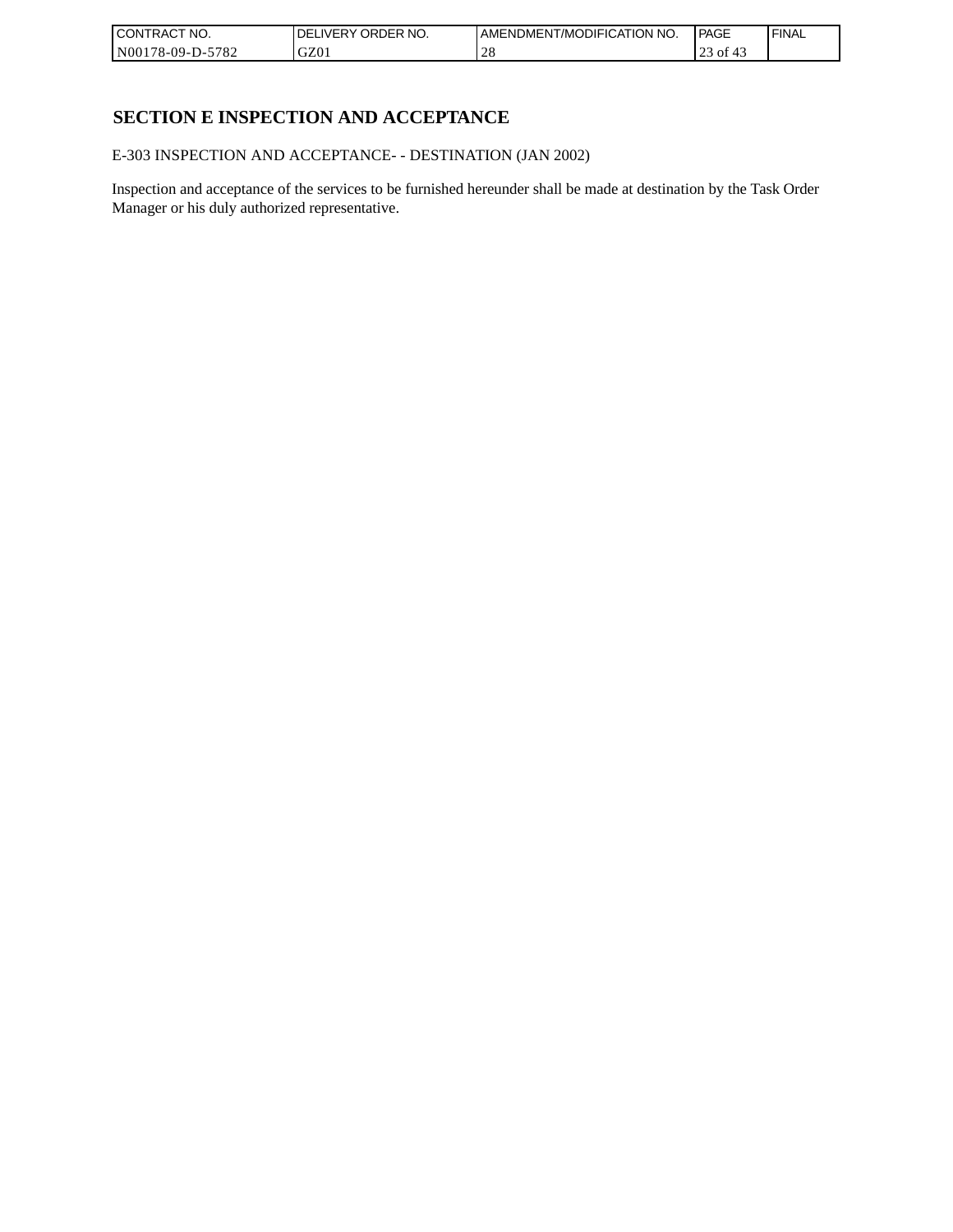| CONTRACT<br>`CT NO.      | NO.<br>' ORDER<br><b>DELIVERY</b> | AMENDMENT/MODIFICATION NO. | l PAGE    | ' FINAL |
|--------------------------|-----------------------------------|----------------------------|-----------|---------|
| $-5782$<br>N00178-09-D-5 | GZ01                              | ∠∪                         | οt<br>ا ب |         |

## **SECTION E INSPECTION AND ACCEPTANCE**

E-303 INSPECTION AND ACCEPTANCE- - DESTINATION (JAN 2002)

Inspection and acceptance of the services to be furnished hereunder shall be made at destination by the Task Order Manager or his duly authorized representative.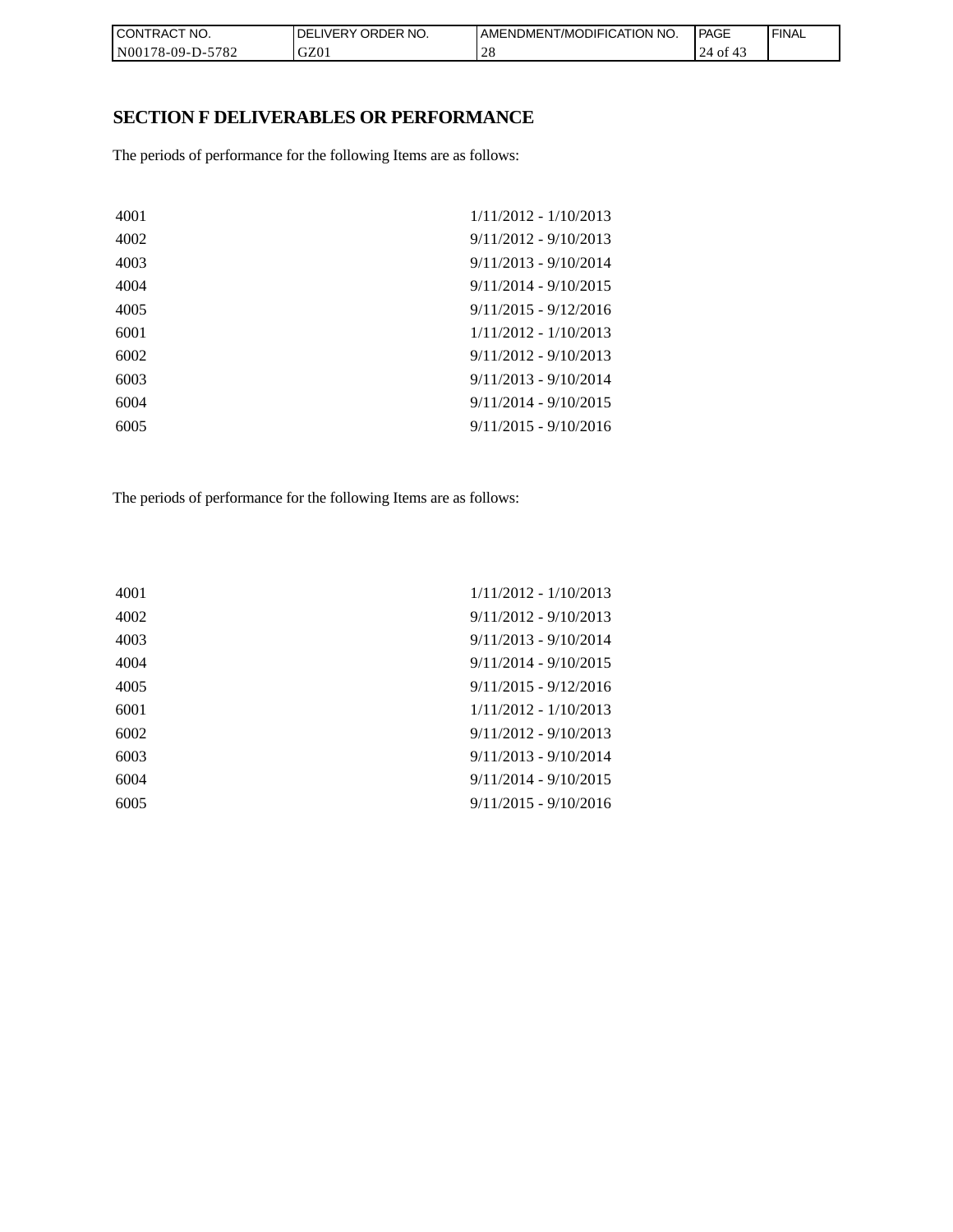| CON <sub>1</sub><br>TRACT NO. | NO.<br><b>DELIVERY ORDER</b> | <b>I AMENDMENT/MODIFICATION NO.</b> | <b>PAGE</b>     | ' FINAL |
|-------------------------------|------------------------------|-------------------------------------|-----------------|---------|
| N00178-09-D-5782              | GZ01                         | $\cap$ C<br>2 C                     | 24<br>0t<br>4., |         |

# **SECTION F DELIVERABLES OR PERFORMANCE**

The periods of performance for the following Items are as follows:

| 4001 | $1/11/2012 - 1/10/2013$ |
|------|-------------------------|
| 4002 | $9/11/2012 - 9/10/2013$ |
| 4003 | $9/11/2013 - 9/10/2014$ |
| 4004 | $9/11/2014 - 9/10/2015$ |
| 4005 | $9/11/2015 - 9/12/2016$ |
| 6001 | $1/11/2012 - 1/10/2013$ |
| 6002 | $9/11/2012 - 9/10/2013$ |
| 6003 | $9/11/2013 - 9/10/2014$ |
| 6004 | $9/11/2014 - 9/10/2015$ |
| 6005 | $9/11/2015 - 9/10/2016$ |
|      |                         |

The periods of performance for the following Items are as follows:

| 4001 | $1/11/2012 - 1/10/2013$ |
|------|-------------------------|
| 4002 | $9/11/2012 - 9/10/2013$ |
| 4003 | $9/11/2013 - 9/10/2014$ |
| 4004 | $9/11/2014 - 9/10/2015$ |
| 4005 | $9/11/2015 - 9/12/2016$ |
| 6001 | $1/11/2012 - 1/10/2013$ |
| 6002 | $9/11/2012 - 9/10/2013$ |
| 6003 | $9/11/2013 - 9/10/2014$ |
| 6004 | $9/11/2014 - 9/10/2015$ |
| 6005 | $9/11/2015 - 9/10/2016$ |
|      |                         |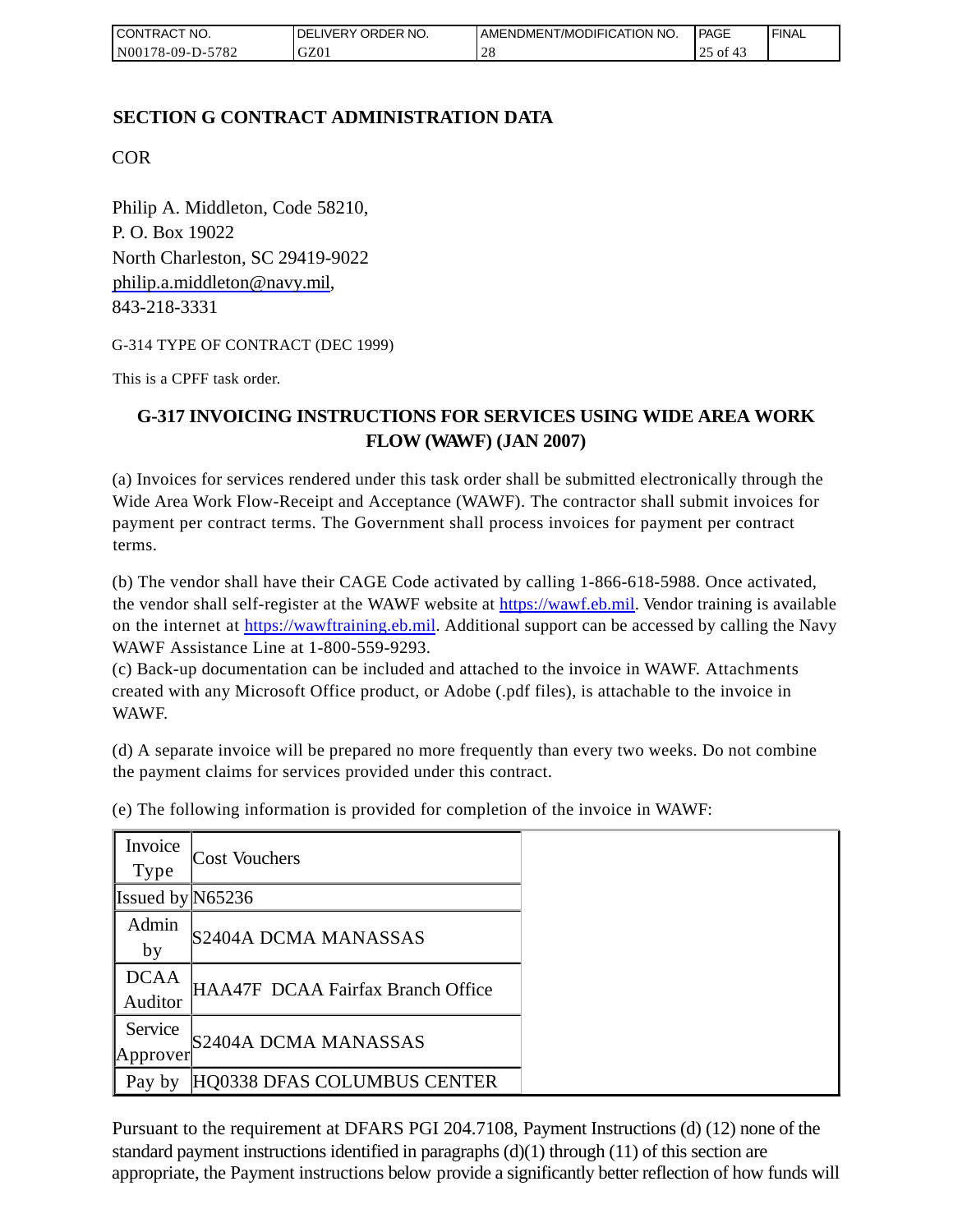| <b>I CONTRACT NO.</b> | <b>IDELIVERY ORDER NO.</b> | AMENDMENT/MODIFICATION NO. | PAGE          | 'FINAL |
|-----------------------|----------------------------|----------------------------|---------------|--------|
| N00178-09-D-5782      | GZ01                       |                            | ר' of 4<br>رے |        |

## **SECTION G CONTRACT ADMINISTRATION DATA**

COR

Philip A. Middleton, Code 58210, P. O. Box 19022 North Charleston, SC 29419-9022 [philip.a.middleton@navy.mil,](mailto:cphilip.a.middleton@navy.mil) 843-218-3331

G-314 TYPE OF CONTRACT (DEC 1999)

This is a CPFF task order.

# **G-317 INVOICING INSTRUCTIONS FOR SERVICES USING WIDE AREA WORK FLOW (WAWF) (JAN 2007)**

(a) Invoices for services rendered under this task order shall be submitted electronically through the Wide Area Work Flow-Receipt and Acceptance (WAWF). The contractor shall submit invoices for payment per contract terms. The Government shall process invoices for payment per contract terms.

(b) The vendor shall have their CAGE Code activated by calling 1-866-618-5988. Once activated, the vendor shall self-register at the WAWF website at [https://wawf.eb.mil.](https://wawf.eb.mil/) Vendor training is available on the internet at [https://wawftraining.eb.mil.](https://wawftraining.eb.mil/) Additional support can be accessed by calling the Navy WAWF Assistance Line at 1-800-559-9293.

(c) Back-up documentation can be included and attached to the invoice in WAWF. Attachments created with any Microsoft Office product, or Adobe (.pdf files), is attachable to the invoice in WAWF.

(d) A separate invoice will be prepared no more frequently than every two weeks. Do not combine the payment claims for services provided under this contract.

| Invoice<br>Type        | <b>Cost Vouchers</b>              |
|------------------------|-----------------------------------|
| Issued by $N65236$     |                                   |
| Admin<br>by            | S2404A DCMA MANASSAS              |
| <b>DCAA</b><br>Auditor | HAA47F DCAA Fairfax Branch Office |
| Service<br>Approver    | S2404A DCMA MANASSAS              |
| Pay by                 | HQ0338 DFAS COLUMBUS CENTER       |

(e) The following information is provided for completion of the invoice in WAWF:

Pursuant to the requirement at DFARS PGI 204.7108, Payment Instructions (d) (12) none of the standard payment instructions identified in paragraphs  $(d)(1)$  through  $(11)$  of this section are appropriate, the Payment instructions below provide a significantly better reflection of how funds will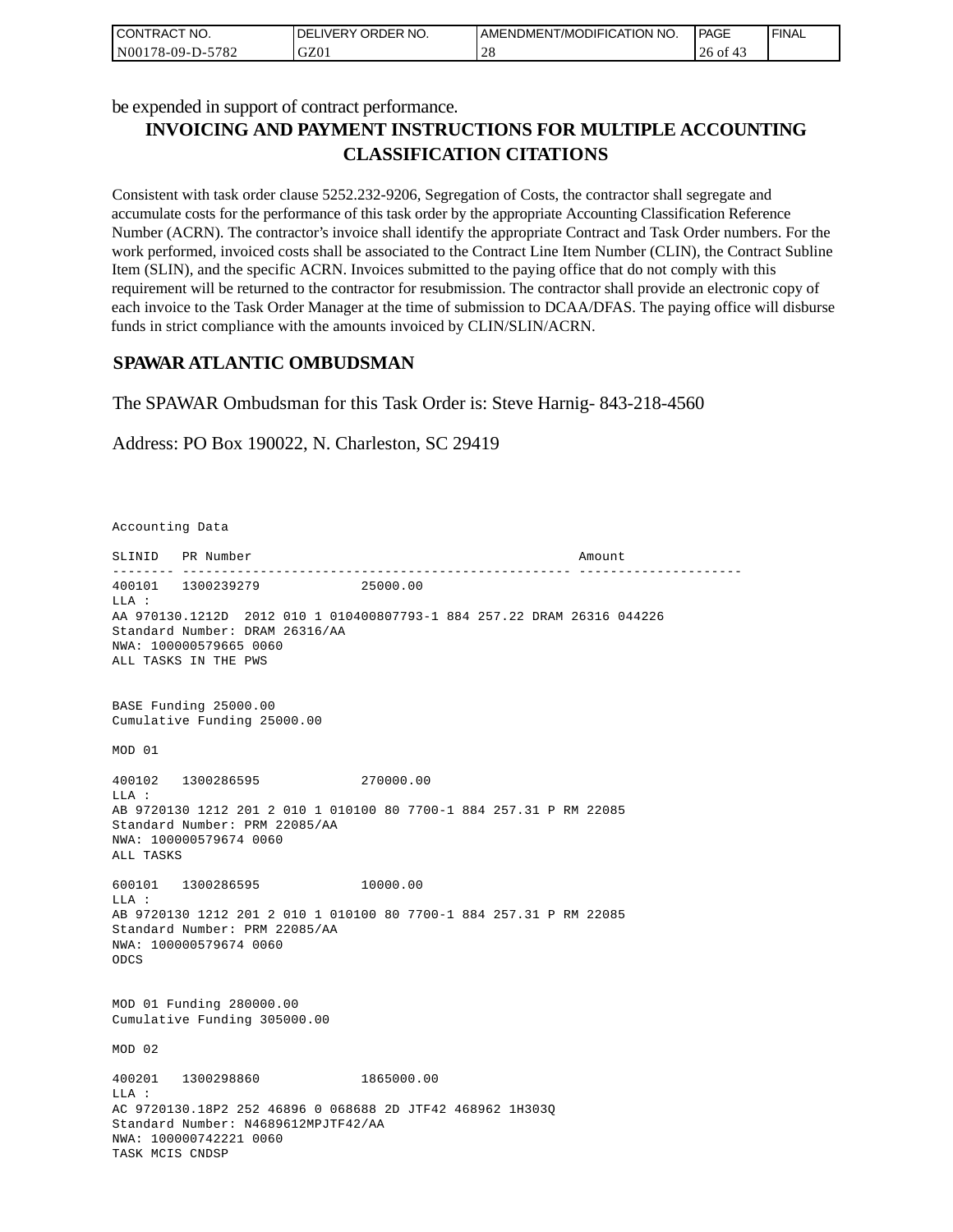| CONTRACT NO.     | I DELIVERY ORDER NO. | AMENDMENT/MODIFICATION NO. | <b>PAGE</b> | 'FINAL |
|------------------|----------------------|----------------------------|-------------|--------|
| N00178-09-D-5782 | GZ01                 | $\cap$ C<br>$\angle$ O     | 26 of       |        |

be expended in support of contract performance.

# **INVOICING AND PAYMENT INSTRUCTIONS FOR MULTIPLE ACCOUNTING CLASSIFICATION CITATIONS**

Consistent with task order clause 5252.232-9206, Segregation of Costs, the contractor shall segregate and accumulate costs for the performance of this task order by the appropriate Accounting Classification Reference Number (ACRN). The contractor's invoice shall identify the appropriate Contract and Task Order numbers. For the work performed, invoiced costs shall be associated to the Contract Line Item Number (CLIN), the Contract Subline Item (SLIN), and the specific ACRN. Invoices submitted to the paying office that do not comply with this requirement will be returned to the contractor for resubmission. The contractor shall provide an electronic copy of each invoice to the Task Order Manager at the time of submission to DCAA/DFAS. The paying office will disburse funds in strict compliance with the amounts invoiced by CLIN/SLIN/ACRN.

## **SPAWAR ATLANTIC OMBUDSMAN**

The SPAWAR Ombudsman for this Task Order is: Steve Harnig- 843-218-4560

Address: PO Box 190022, N. Charleston, SC 29419

Accounting Data

SLINID PR Number Amount -------- -------------------------------------------------- --------------------- 400101 1300239279 25000.00  $T.T.A$  : AA 970130.1212D 2012 010 1 010400807793-1 884 257.22 DRAM 26316 044226 Standard Number: DRAM 26316/AA NWA: 100000579665 0060 ALL TASKS IN THE PWS BASE Funding 25000.00 Cumulative Funding 25000.00 MOD 01 400102 1300286595 270000.00 LLA : AB 9720130 1212 201 2 010 1 010100 80 7700-1 884 257.31 P RM 22085 Standard Number: PRM 22085/AA NWA: 100000579674 0060 ALL TASKS 600101 1300286595 10000.00 LLA : AB 9720130 1212 201 2 010 1 010100 80 7700-1 884 257.31 P RM 22085 Standard Number: PRM 22085/AA NWA: 100000579674 0060 ODCS MOD 01 Funding 280000.00 Cumulative Funding 305000.00 MOD 02 400201 1300298860 1865000.00  $T.T.A$  : AC 9720130.18P2 252 46896 0 068688 2D JTF42 468962 1H303Q Standard Number: N4689612MPJTF42/AA NWA: 100000742221 0060 TASK MCIS CNDSP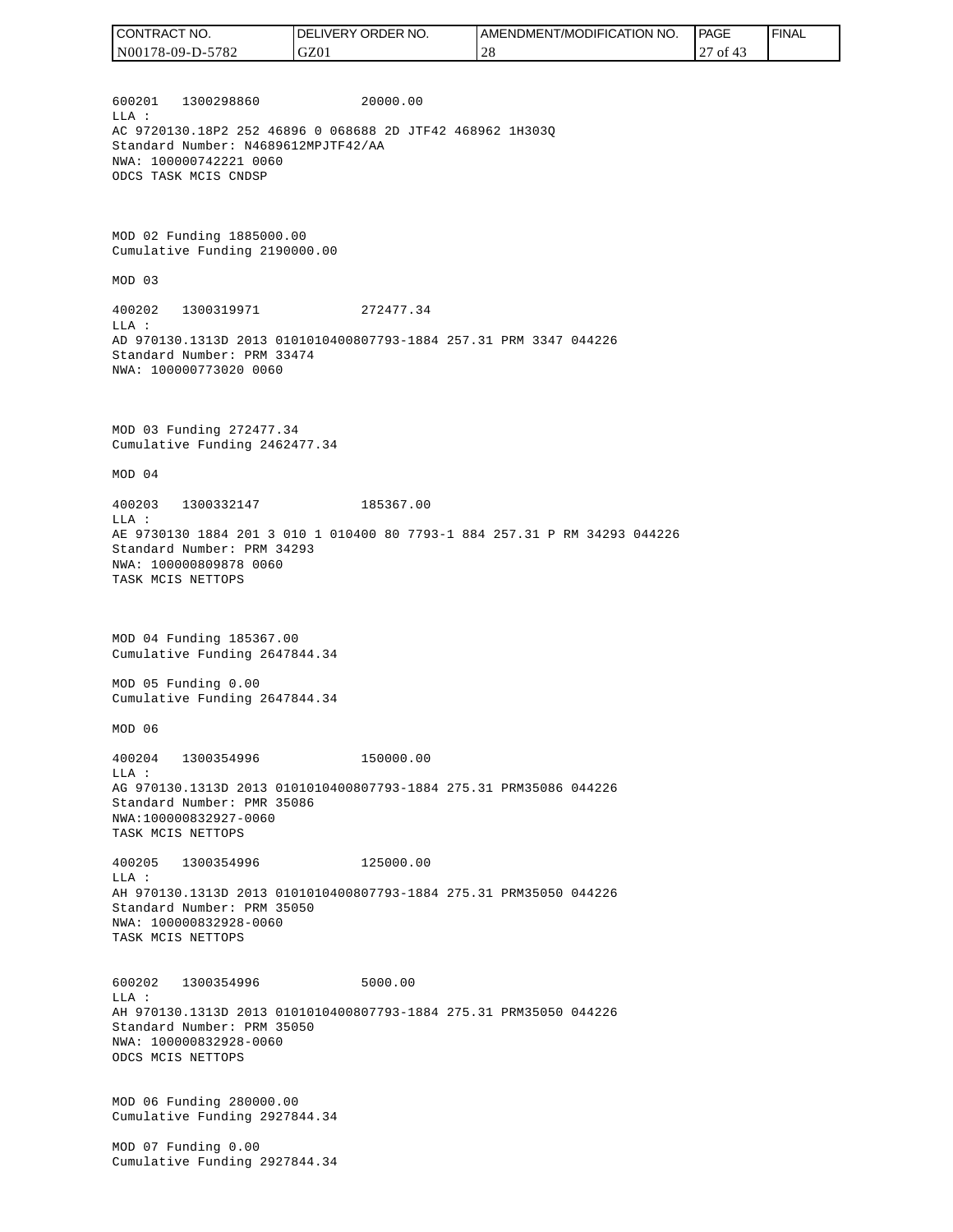| <b>CONTRACT</b><br>" NO. | `NO.<br>ORDER<br>DEL<br>LIVERY | 'NO.<br>AMENDMENT/MODIFICATION | PAGE                           | ' FINAL |
|--------------------------|--------------------------------|--------------------------------|--------------------------------|---------|
| 78-09-D-5782<br>N0017    | GZ01                           |                                | 0t<br>$\overline{\phantom{0}}$ |         |

600201 1300298860 20000.00 LLA : AC 9720130.18P2 252 46896 0 068688 2D JTF42 468962 1H303Q Standard Number: N4689612MPJTF42/AA NWA: 100000742221 0060 ODCS TASK MCIS CNDSP

MOD 02 Funding 1885000.00 Cumulative Funding 2190000.00

MOD 03

400202 1300319971 272477.34 LLA : AD 970130.1313D 2013 0101010400807793-1884 257.31 PRM 3347 044226 Standard Number: PRM 33474 NWA: 100000773020 0060

MOD 03 Funding 272477.34 Cumulative Funding 2462477.34

MOD 04

400203 1300332147 185367.00 LLA : AE 9730130 1884 201 3 010 1 010400 80 7793-1 884 257.31 P RM 34293 044226 Standard Number: PRM 34293 NWA: 100000809878 0060 TASK MCIS NETTOPS

MOD 04 Funding 185367.00 Cumulative Funding 2647844.34

MOD 05 Funding 0.00 Cumulative Funding 2647844.34

MOD 06

400204 1300354996 150000.00 LLA : AG 970130.1313D 2013 0101010400807793-1884 275.31 PRM35086 044226 Standard Number: PMR 35086 NWA:100000832927-0060 TASK MCIS NETTOPS

400205 1300354996 125000.00 LLA : AH 970130.1313D 2013 0101010400807793-1884 275.31 PRM35050 044226 Standard Number: PRM 35050 NWA: 100000832928-0060 TASK MCIS NETTOPS

600202 1300354996 5000.00 LLA : AH 970130.1313D 2013 0101010400807793-1884 275.31 PRM35050 044226 Standard Number: PRM 35050 NWA: 100000832928-0060 ODCS MCIS NETTOPS

MOD 06 Funding 280000.00 Cumulative Funding 2927844.34

MOD 07 Funding 0.00 Cumulative Funding 2927844.34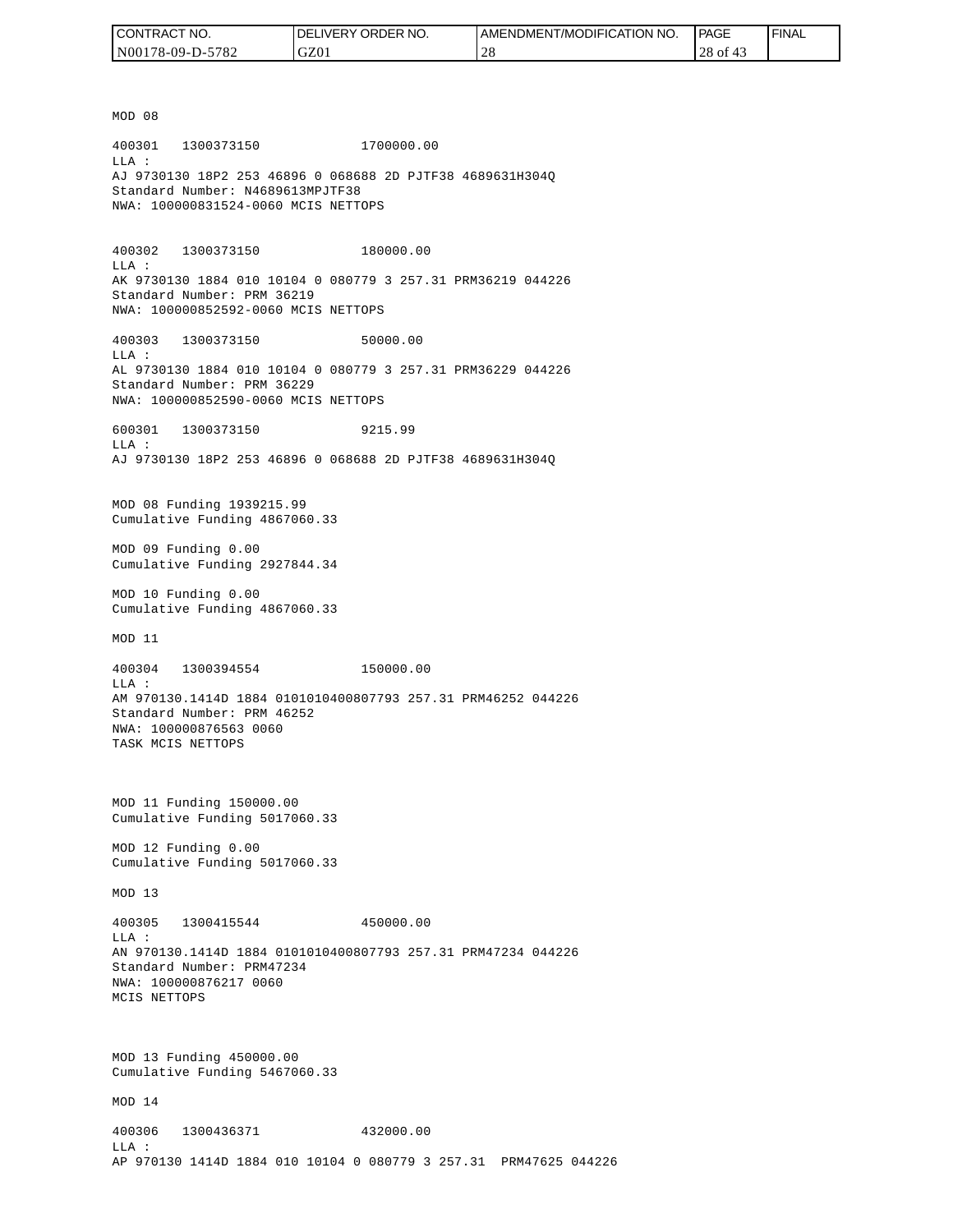| CONTRACT NO.     | <b>IDELIVERY ORDER NO.</b> | I AMENDMENT/MODIFICATION NO. | PAGE     | ' FINAL |
|------------------|----------------------------|------------------------------|----------|---------|
| N00178-09-D-5782 | GZ01                       | ່າເ<br>- 4 C                 | 28 of 43 |         |

MOD 08 400301 1300373150 1700000.00 LLA : AJ 9730130 18P2 253 46896 0 068688 2D PJTF38 4689631H304Q Standard Number: N4689613MPJTF38 NWA: 100000831524-0060 MCIS NETTOPS 400302 1300373150 180000.00 LLA : AK 9730130 1884 010 10104 0 080779 3 257.31 PRM36219 044226 Standard Number: PRM 36219 NWA: 100000852592-0060 MCIS NETTOPS 400303 1300373150 50000.00 LLA : AL 9730130 1884 010 10104 0 080779 3 257.31 PRM36229 044226 Standard Number: PRM 36229 NWA: 100000852590-0060 MCIS NETTOPS 600301 1300373150 9215.99  $T.T.A$  : AJ 9730130 18P2 253 46896 0 068688 2D PJTF38 4689631H304Q MOD 08 Funding 1939215.99 Cumulative Funding 4867060.33 MOD 09 Funding 0.00 Cumulative Funding 2927844.34 MOD 10 Funding 0.00 Cumulative Funding 4867060.33 MOD 11 400304 1300394554 150000.00 LLA : AM 970130.1414D 1884 0101010400807793 257.31 PRM46252 044226 Standard Number: PRM 46252 NWA: 100000876563 0060 TASK MCIS NETTOPS MOD 11 Funding 150000.00 Cumulative Funding 5017060.33 MOD 12 Funding 0.00 Cumulative Funding 5017060.33 MOD 13 400305 1300415544 450000.00  $L.L.A$  : AN 970130.1414D 1884 0101010400807793 257.31 PRM47234 044226 Standard Number: PRM47234 NWA: 100000876217 0060 MCIS NETTOPS MOD 13 Funding 450000.00 Cumulative Funding 5467060.33 MOD 14 400306 1300436371 432000.00 LLA : AP 970130 1414D 1884 010 10104 0 080779 3 257.31 PRM47625 044226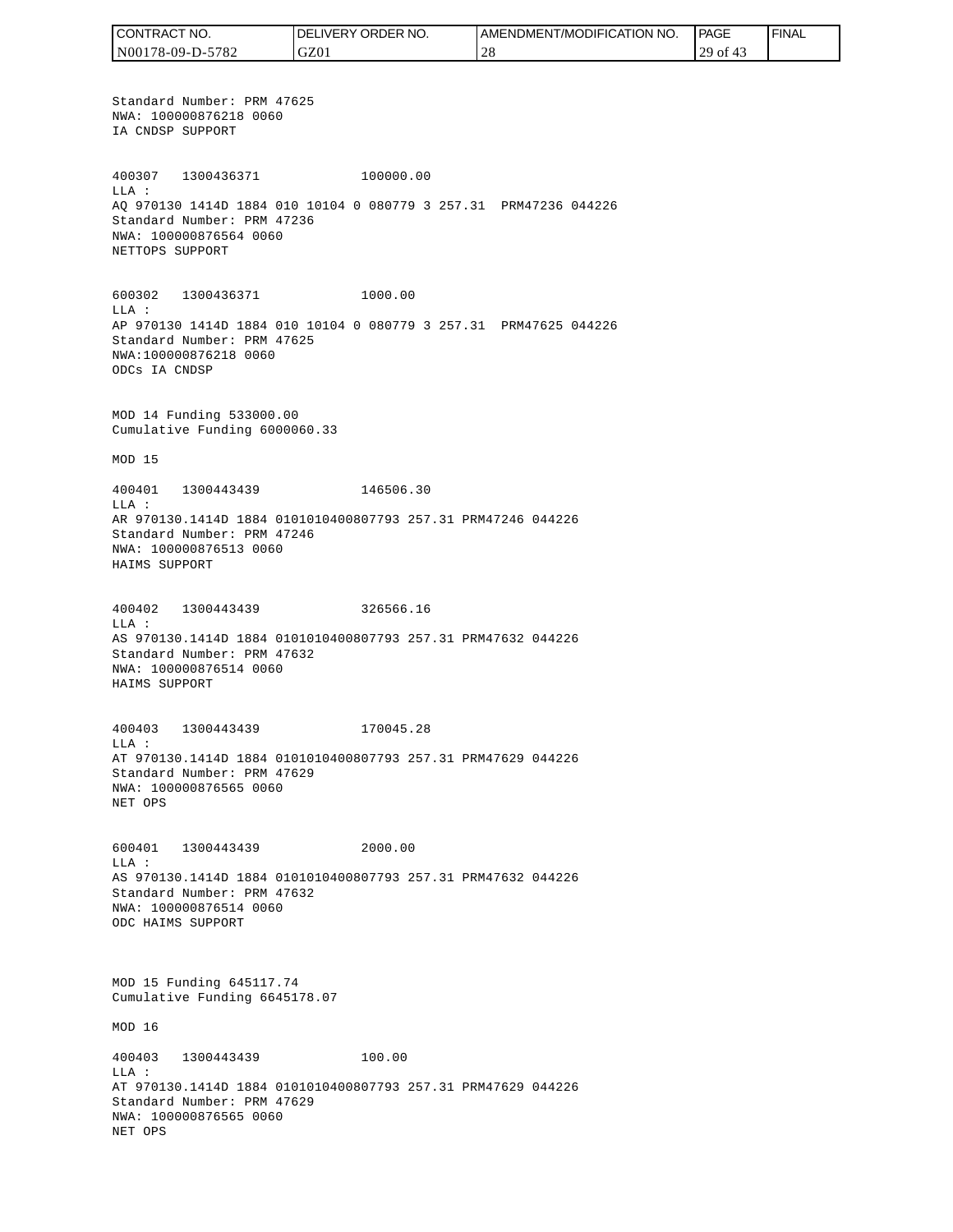CONTRACT NO. DELIVERY ORDER NO. AMENDMENT/MODIFICATION NO. PAGE FINALCONTRACT NO.<br>NO0178-09-D-5<br>Standard Numk<br>NWA: 1000087<br>IA CNDSP SUPP<br>400307 1300<br>400307 1300<br>400307 1300<br>400307 1300<br>NEA CNDSP SUPP<br>NET OPS SUPP<br>600302 1300<br>NET TOPS SUPP<br>600302 1300<br>LLA:<br>AP 970130 141<br>Cumulative Fu<br>MOD 15<br> N00178-09-D-5782 GZ01 28 29 of 43 Standard Number: PRM 47625 NWA: 100000876218 0060 IA CNDSP SUPPORT 400307 1300436371 100000.00 LLA : AQ 970130 1414D 1884 010 10104 0 080779 3 257.31 PRM47236 044226 Standard Number: PRM 47236 NWA: 100000876564 0060 NETTOPS SUPPORT 600302 1300436371 1000.00 LLA : AP 970130 1414D 1884 010 10104 0 080779 3 257.31 PRM47625 044226 Standard Number: PRM 47625 NWA:100000876218 0060 ODCs IA CNDSP MOD 14 Funding 533000.00 Cumulative Funding 6000060.33 MOD 15 400401 1300443439 146506.30 LLA : AR 970130.1414D 1884 0101010400807793 257.31 PRM47246 044226 Standard Number: PRM 47246 NWA: 100000876513 0060 HAIMS SUPPORT 400402 1300443439 326566.16 LLA : AS 970130.1414D 1884 0101010400807793 257.31 PRM47632 044226 Standard Number: PRM 47632 NWA: 100000876514 0060 HAIMS SUPPORT 400403 1300443439 170045.28 LLA : AT 970130.1414D 1884 0101010400807793 257.31 PRM47629 044226 Standard Number: PRM 47629 NWA: 100000876565 0060 NET OPS 600401 1300443439 2000.00 LLA : AS 970130.1414D 1884 0101010400807793 257.31 PRM47632 044226 Standard Number: PRM 47632 NWA: 100000876514 0060 ODC HAIMS SUPPORT MOD 15 Funding 645117.74 Cumulative Funding 6645178.07 MOD 16 400403 1300443439 100.00 LLA : AT 970130.1414D 1884 0101010400807793 257.31 PRM47629 044226 Standard Number: PRM 47629 NWA: 100000876565 0060 NET OPS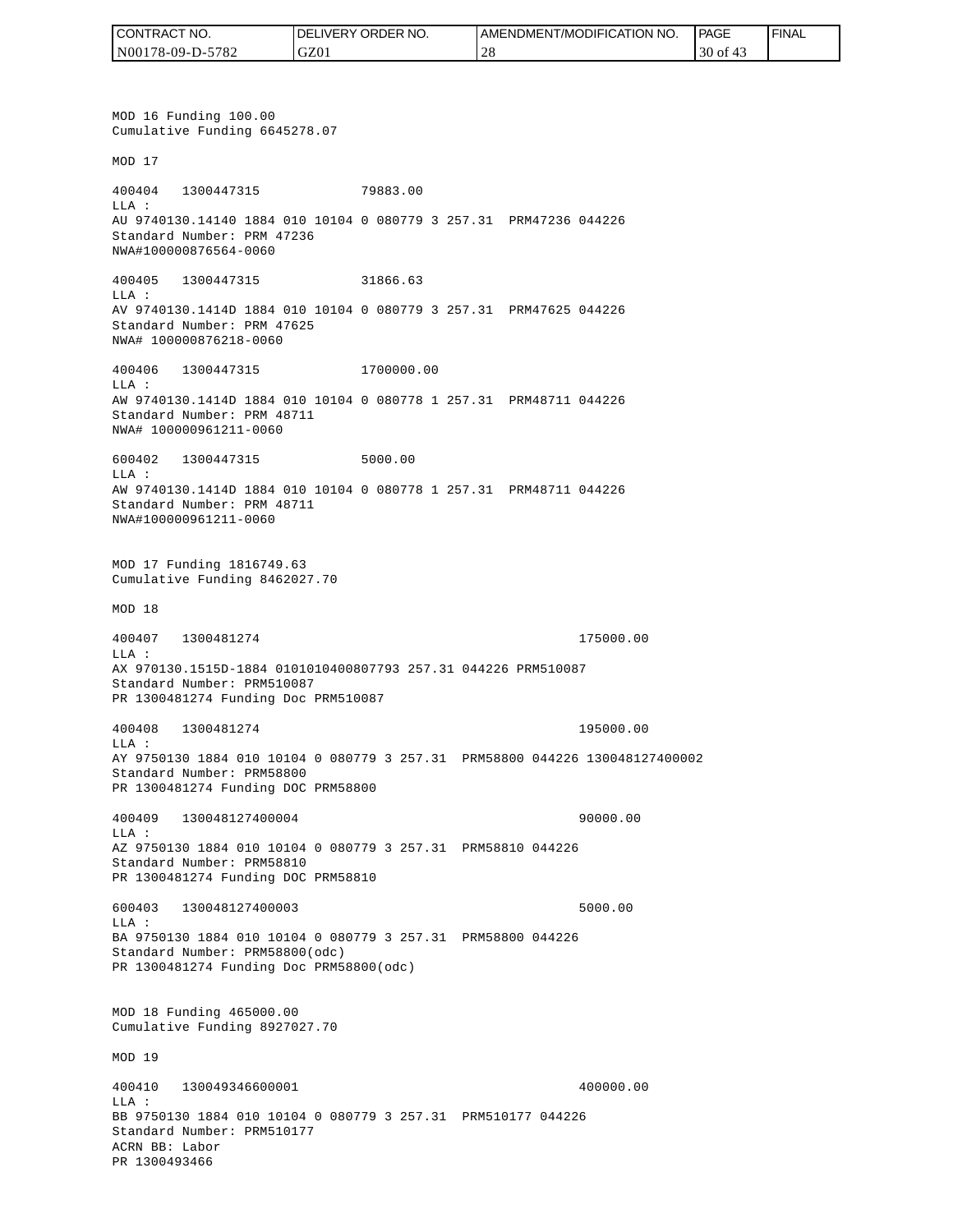| I CONTRACT NO.   | <b>IDELIVERY ORDER NO.</b> | AMENDMENT/MODIFICATION NO. | PAGE              | 'FINAL |
|------------------|----------------------------|----------------------------|-------------------|--------|
| N00178-09-D-5782 | GZ01                       |                            | 30<br>- of<br>-45 |        |

MOD 16 Funding 100.00 Cumulative Funding 6645278.07 MOD 17 400404 1300447315 79883.00 LLA : AU 9740130.14140 1884 010 10104 0 080779 3 257.31 PRM47236 044226 Standard Number: PRM 47236 NWA#100000876564-0060 400405 1300447315 31866.63 LLA : AV 9740130.1414D 1884 010 10104 0 080779 3 257.31 PRM47625 044226 Standard Number: PRM 47625 NWA# 100000876218-0060 400406 1300447315 1700000.00 LLA : AW 9740130.1414D 1884 010 10104 0 080778 1 257.31 PRM48711 044226 Standard Number: PRM 48711 NWA# 100000961211-0060 600402 1300447315 5000.00 LLA : AW 9740130.1414D 1884 010 10104 0 080778 1 257.31 PRM48711 044226 Standard Number: PRM 48711 NWA#100000961211-0060 MOD 17 Funding 1816749.63 Cumulative Funding 8462027.70 MOD 18 400407 1300481274 175000.00 LLA : AX 970130.1515D-1884 0101010400807793 257.31 044226 PRM510087 Standard Number: PRM510087 PR 1300481274 Funding Doc PRM510087 400408 1300481274 195000.00 LLA : AY 9750130 1884 010 10104 0 080779 3 257.31 PRM58800 044226 130048127400002 Standard Number: PRM58800 PR 1300481274 Funding DOC PRM58800 400409 130048127400004 90000.00 LLA : AZ 9750130 1884 010 10104 0 080779 3 257.31 PRM58810 044226 Standard Number: PRM58810 PR 1300481274 Funding DOC PRM58810 600403 130048127400003 5000.00 LLA : BA 9750130 1884 010 10104 0 080779 3 257.31 PRM58800 044226 Standard Number: PRM58800(odc) PR 1300481274 Funding Doc PRM58800(odc) MOD 18 Funding 465000.00 Cumulative Funding 8927027.70 MOD 19 400410 130049346600001 400000.00  $L.L.A$  : BB 9750130 1884 010 10104 0 080779 3 257.31 PRM510177 044226 Standard Number: PRM510177 ACRN BB: Labor PR 1300493466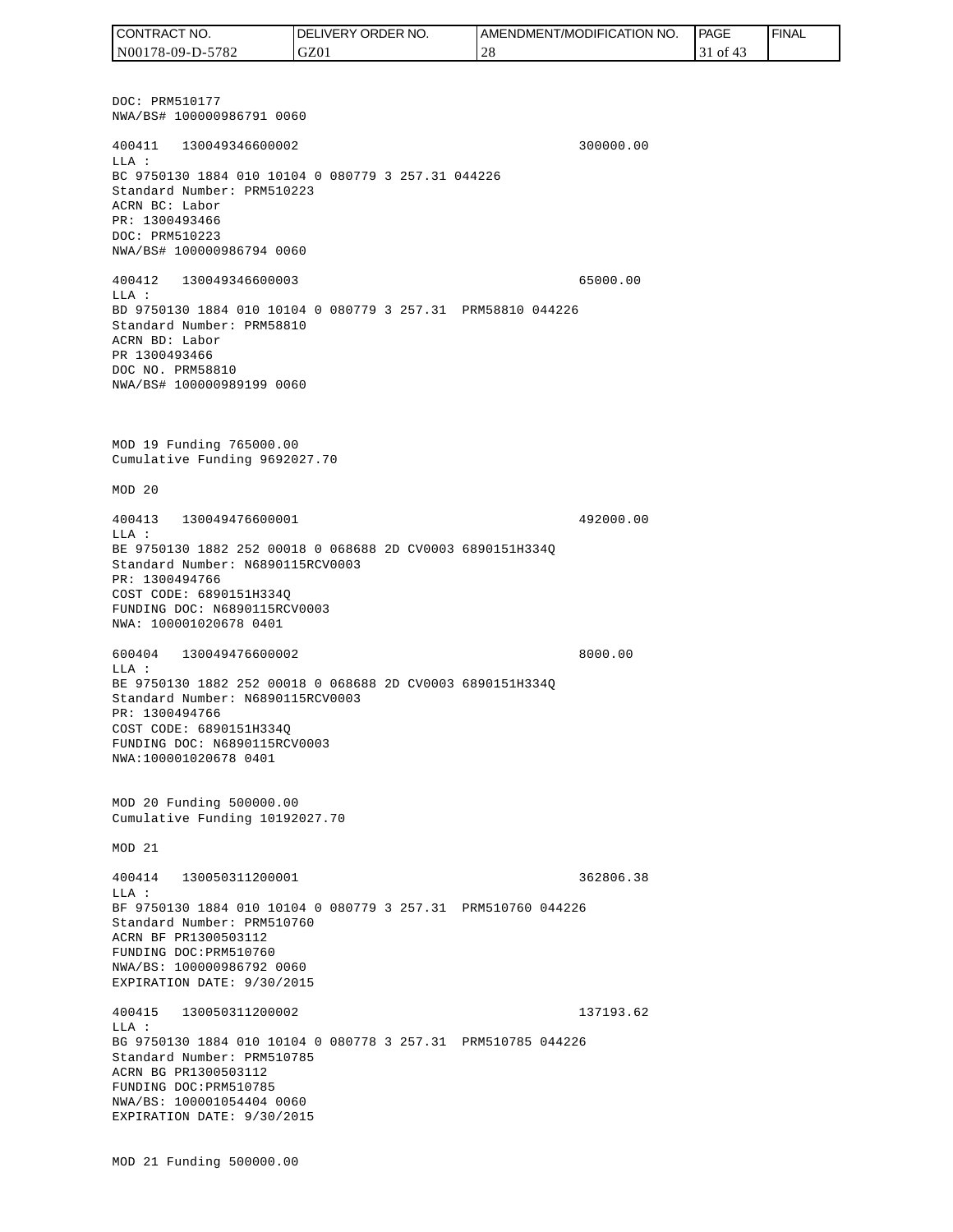DOC: PRM510177 NWA/BS# 100000986791 0060 400411 130049346600002 300000.00 LLA : BC 9750130 1884 010 10104 0 080779 3 257.31 044226 Standard Number: PRM510223 ACRN BC: Labor PR: 1300493466 DOC: PRM510223 NWA/BS# 100000986794 0060 400412 130049346600003 65000.00 LLA : BD 9750130 1884 010 10104 0 080779 3 257.31 PRM58810 044226 Standard Number: PRM58810 ACRN BD: Labor PR 1300493466 DOC NO. PRM58810 NWA/BS# 100000989199 0060 MOD 19 Funding 765000.00 Cumulative Funding 9692027.70 MOD 20 400413 130049476600001 492000.00 LLA : BE 9750130 1882 252 00018 0 068688 2D CV0003 6890151H334Q Standard Number: N6890115RCV0003 PR: 1300494766 COST CODE: 6890151H334Q FUNDING DOC: N6890115RCV0003 NWA: 100001020678 0401 600404 130049476600002 8000.00 LLA : BE 9750130 1882 252 00018 0 068688 2D CV0003 6890151H334Q Standard Number: N6890115RCV0003 PR: 1300494766 COST CODE: 6890151H334Q FUNDING DOC: N6890115RCV0003 NWA:100001020678 0401 MOD 20 Funding 500000.00 Cumulative Funding 10192027.70 MOD 21 400414 130050311200001 362806.38  $T.T.A$  : BF 9750130 1884 010 10104 0 080779 3 257.31 PRM510760 044226 Standard Number: PRM510760 ACRN BF PR1300503112 FUNDING DOC:PRM510760 NWA/BS: 100000986792 0060 EXPIRATION DATE: 9/30/2015 400415 130050311200002 137193.62 LLA : BG 9750130 1884 010 10104 0 080778 3 257.31 PRM510785 044226 Standard Number: PRM510785 ACRN BG PR1300503112 FUNDING DOC:PRM510785 NWA/BS: 100001054404 0060 EXPIRATION DATE: 9/30/2015 MOD 21 Funding 500000.00 CONTRACT NO. N00178-09-D-5782 DELIVERY ORDER NO. GZ01 AMENDMENT/MODIFICATION NO. 28 **PAGE**  31 of 43 FINAL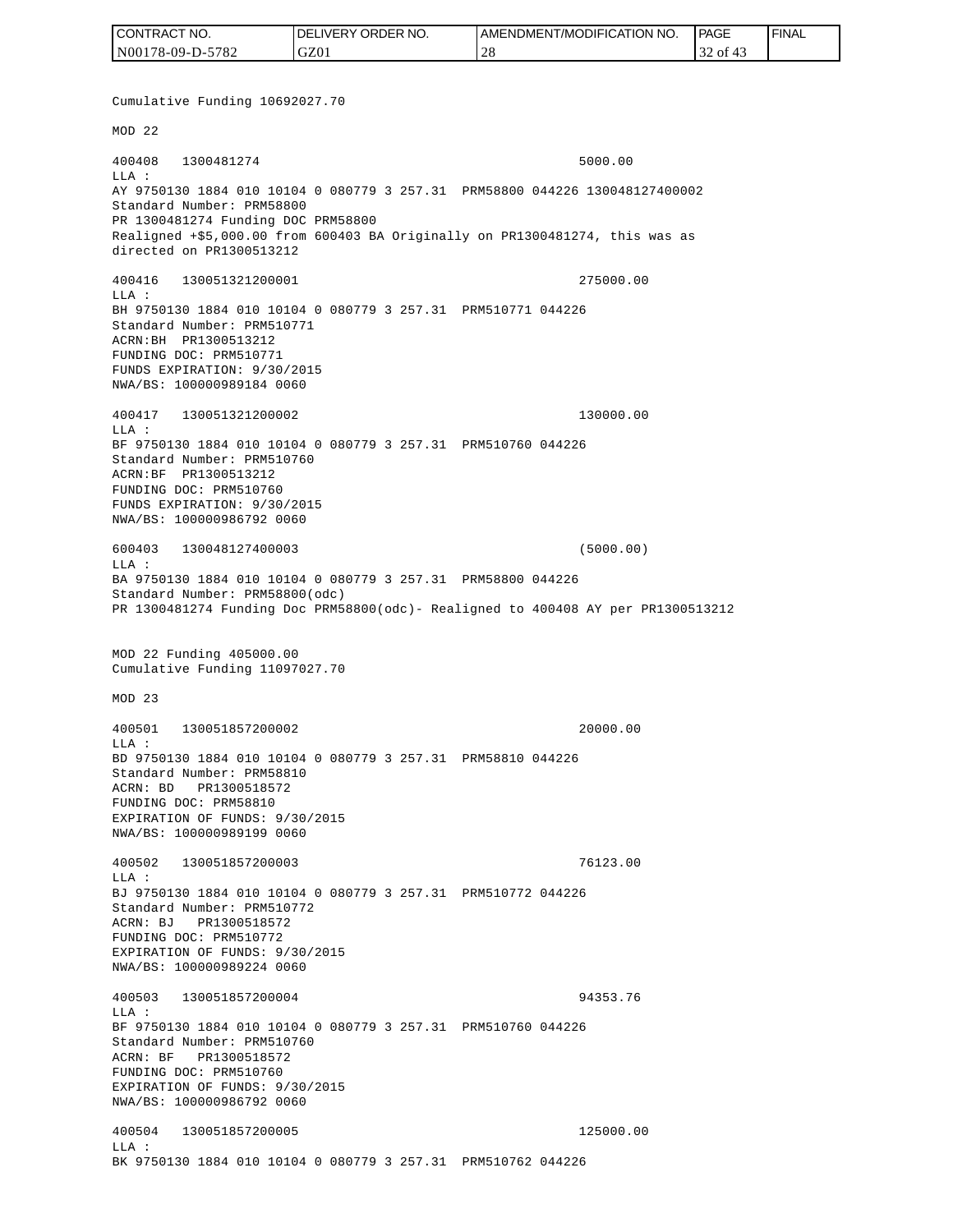| CONTRACT NO.     | <b>IDELIVERY ORDER NO.</b> | <b>I AMENDMENT/MODIFICATION NO.</b> | <b>PAGE</b> | ' FINAL |
|------------------|----------------------------|-------------------------------------|-------------|---------|
| N00178-09-D-5782 | GZ01                       | $\bigcap$<br>2 C                    | 32 of 43    |         |

Cumulative Funding 10692027.70 MOD 22 400408 1300481274 5000.00 LLA : AY 9750130 1884 010 10104 0 080779 3 257.31 PRM58800 044226 130048127400002 Standard Number: PRM58800 PR 1300481274 Funding DOC PRM58800 Realigned +\$5,000.00 from 600403 BA Originally on PR1300481274, this was as directed on PR1300513212 400416 130051321200001 275000.00 LLA : BH 9750130 1884 010 10104 0 080779 3 257.31 PRM510771 044226 Standard Number: PRM510771 ACRN:BH PR1300513212 FUNDING DOC: PRM510771 FUNDS EXPIRATION: 9/30/2015 NWA/BS: 100000989184 0060 400417 130051321200002 130000.00 LLA : BF 9750130 1884 010 10104 0 080779 3 257.31 PRM510760 044226 Standard Number: PRM510760 ACRN:BF PR1300513212 FUNDING DOC: PRM510760 FUNDS EXPIRATION: 9/30/2015 NWA/BS: 100000986792 0060 600403 130048127400003 (5000.00)  $L.L.A$  : BA 9750130 1884 010 10104 0 080779 3 257.31 PRM58800 044226 Standard Number: PRM58800(odc) PR 1300481274 Funding Doc PRM58800(odc)- Realigned to 400408 AY per PR1300513212 MOD 22 Funding 405000.00 Cumulative Funding 11097027.70 MOD 23 400501 130051857200002 20000.00  $L.L.A$  : BD 9750130 1884 010 10104 0 080779 3 257.31 PRM58810 044226 Standard Number: PRM58810 ACRN: BD PR1300518572 FUNDING DOC: PRM58810 EXPIRATION OF FUNDS: 9/30/2015 NWA/BS: 100000989199 0060 400502 130051857200003 76123.00 LLA : BJ 9750130 1884 010 10104 0 080779 3 257.31 PRM510772 044226 Standard Number: PRM510772 ACRN: BJ PR1300518572 FUNDING DOC: PRM510772 EXPIRATION OF FUNDS: 9/30/2015 NWA/BS: 100000989224 0060 400503 130051857200004 94353.76  $T.T.A$  : BF 9750130 1884 010 10104 0 080779 3 257.31 PRM510760 044226 Standard Number: PRM510760 ACRN: BF PR1300518572 FUNDING DOC: PRM510760 EXPIRATION OF FUNDS: 9/30/2015 NWA/BS: 100000986792 0060 400504 130051857200005 125000.00 LLA : BK 9750130 1884 010 10104 0 080779 3 257.31 PRM510762 044226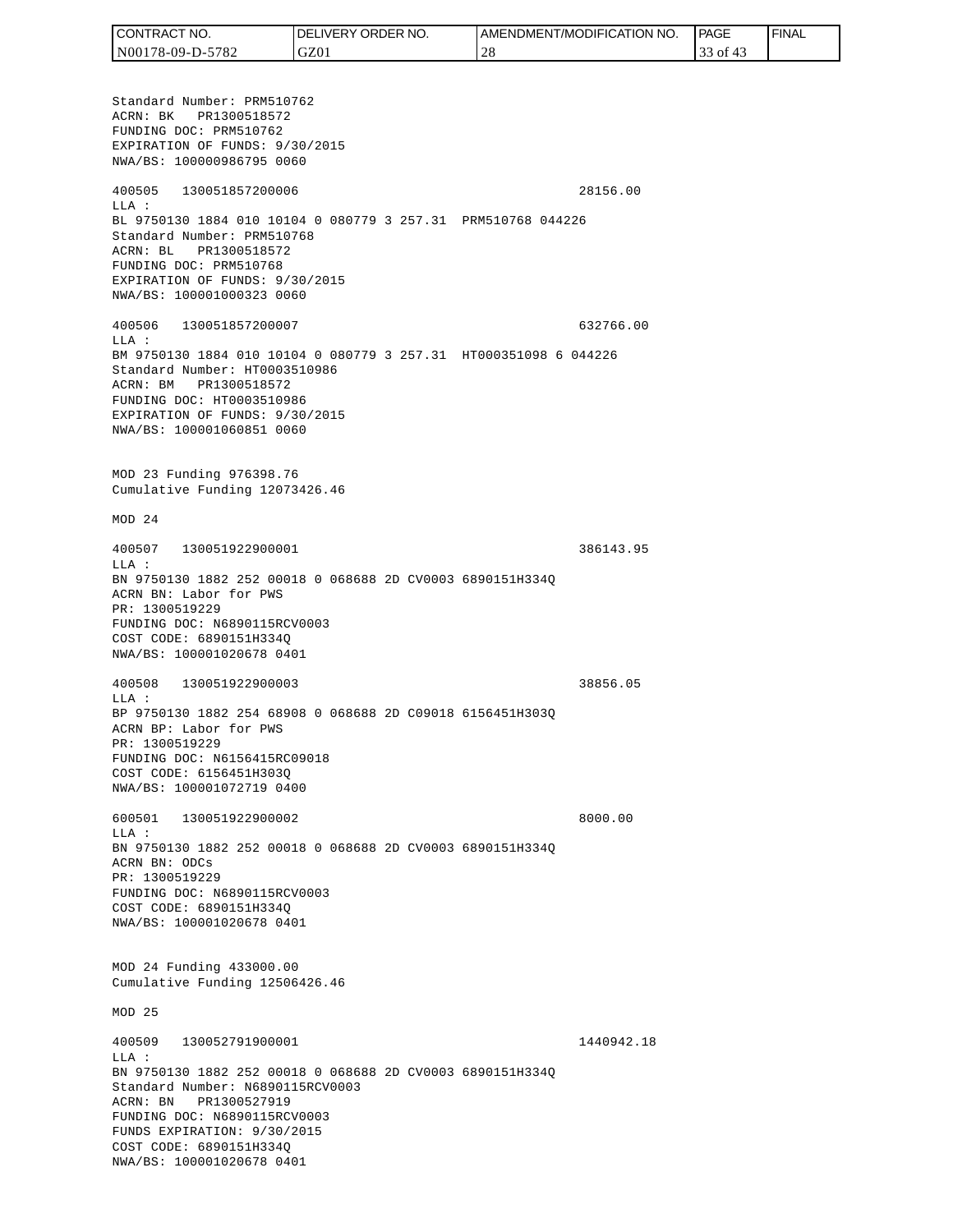| <b>CONTRACT</b><br>" NO. | ' ORDER<br>NO.<br><b>DELIVERY</b> | AMENDMENT/MODIFICATION NO. | PAGE      | <b>FINAL</b> |
|--------------------------|-----------------------------------|----------------------------|-----------|--------------|
| N00178-09-D-5782         | GZ01                              |                            | οt<br>ر ر |              |

Standard Number: PRM510762 ACRN: BK PR1300518572 FUNDING DOC: PRM510762 EXPIRATION OF FUNDS: 9/30/2015 NWA/BS: 100000986795 0060 400505 130051857200006 28156.00 LLA : BL 9750130 1884 010 10104 0 080779 3 257.31 PRM510768 044226 Standard Number: PRM510768 ACRN: BL PR1300518572 FUNDING DOC: PRM510768 EXPIRATION OF FUNDS: 9/30/2015 NWA/BS: 100001000323 0060 400506 130051857200007 632766.00 LLA : BM 9750130 1884 010 10104 0 080779 3 257.31 HT000351098 6 044226 Standard Number: HT0003510986 ACRN: BM PR1300518572 FUNDING DOC: HT0003510986 EXPIRATION OF FUNDS: 9/30/2015 NWA/BS: 100001060851 0060 MOD 23 Funding 976398.76 Cumulative Funding 12073426.46 MOD 24 400507 130051922900001 386143.95  $T.T.A$  : BN 9750130 1882 252 00018 0 068688 2D CV0003 6890151H334Q ACRN BN: Labor for PWS PR: 1300519229 FUNDING DOC: N6890115RCV0003 COST CODE: 6890151H334Q NWA/BS: 100001020678 0401 400508 130051922900003 38856.05 LLA : BP 9750130 1882 254 68908 0 068688 2D C09018 6156451H303Q ACRN BP: Labor for PWS PR: 1300519229 FUNDING DOC: N6156415RC09018 COST CODE: 6156451H303Q NWA/BS: 100001072719 0400 600501 130051922900002 8000.00 LLA : BN 9750130 1882 252 00018 0 068688 2D CV0003 6890151H334Q ACRN BN: ODCs PR: 1300519229 FUNDING DOC: N6890115RCV0003 COST CODE: 6890151H334Q NWA/BS: 100001020678 0401 MOD 24 Funding 433000.00 Cumulative Funding 12506426.46 MOD 25 400509 130052791900001 1440942.18 LLA : BN 9750130 1882 252 00018 0 068688 2D CV0003 6890151H334Q Standard Number: N6890115RCV0003 ACRN: BN PR1300527919 FUNDING DOC: N6890115RCV0003 FUNDS EXPIRATION: 9/30/2015 COST CODE: 6890151H334Q NWA/BS: 100001020678 0401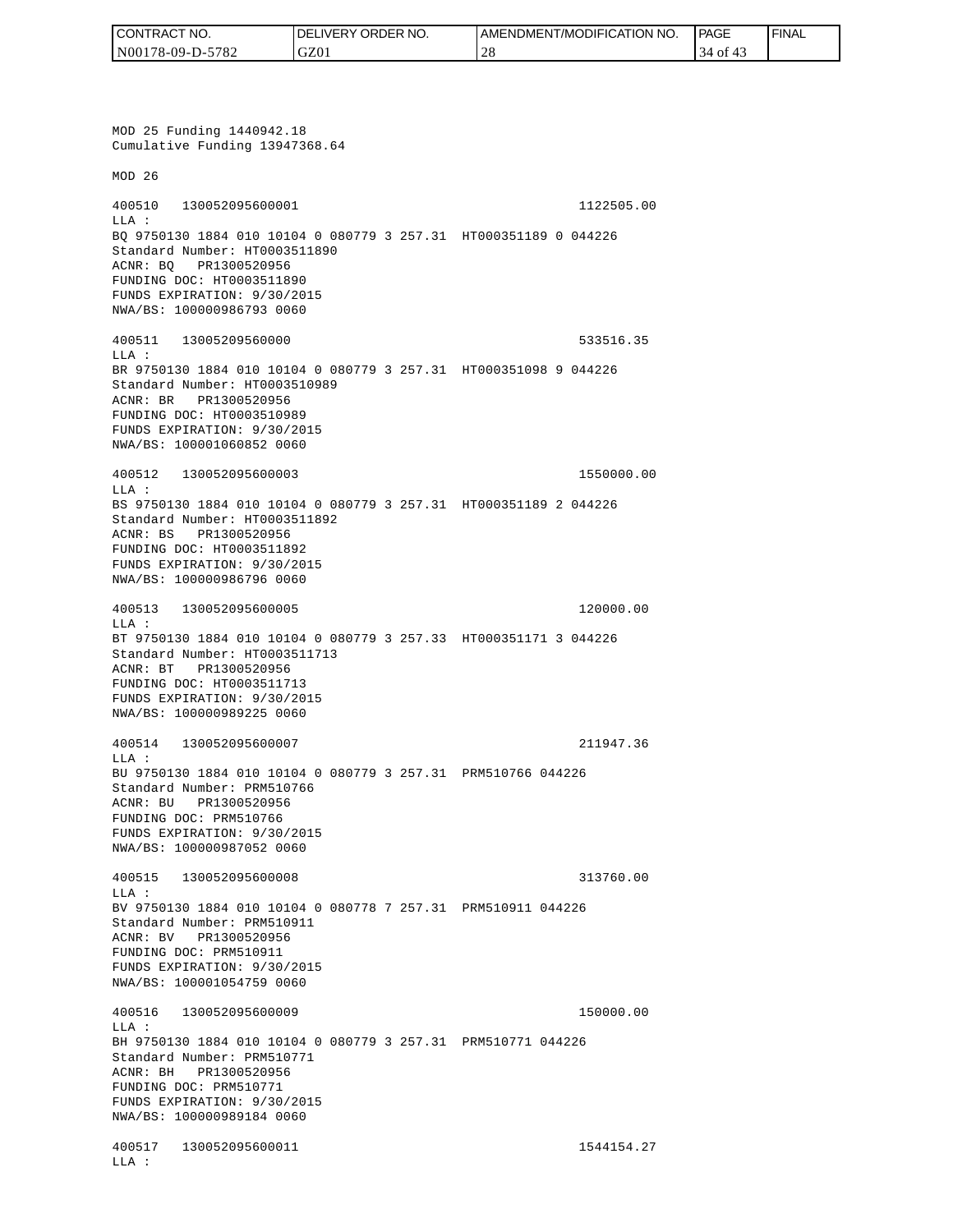| I CONTRACT NO.   | DELIVERY ORDER NO. | <b>I AMENDMENT/MODIFICATION NO.</b> | <b>PAGE</b> | <b>FINAL</b> |
|------------------|--------------------|-------------------------------------|-------------|--------------|
| N00178-09-D-5782 | GZ01               | $^{\circ}$ $\cap$ (<br>- 4 C        | 4 of        |              |

MOD 25 Funding 1440942.18 Cumulative Funding 13947368.64 MOD 26 400510 130052095600001 1122505.00 LLA : BQ 9750130 1884 010 10104 0 080779 3 257.31 HT000351189 0 044226 Standard Number: HT0003511890 ACNR: BQ PR1300520956 FUNDING DOC: HT0003511890 FUNDS EXPIRATION: 9/30/2015 NWA/BS: 100000986793 0060 400511 13005209560000 533516.35 LLA : BR 9750130 1884 010 10104 0 080779 3 257.31 HT000351098 9 044226 Standard Number: HT0003510989 ACNR: BR PR1300520956 FUNDING DOC: HT0003510989 FUNDS EXPIRATION: 9/30/2015 NWA/BS: 100001060852 0060 400512 130052095600003 1550000.00 LLA : BS 9750130 1884 010 10104 0 080779 3 257.31 HT000351189 2 044226 Standard Number: HT0003511892 ACNR: BS PR1300520956 FUNDING DOC: HT0003511892 FUNDS EXPIRATION: 9/30/2015 NWA/BS: 100000986796 0060 400513 130052095600005 120000.00 LLA : BT 9750130 1884 010 10104 0 080779 3 257.33 HT000351171 3 044226 Standard Number: HT0003511713 ACNR: BT PR1300520956 FUNDING DOC: HT0003511713 FUNDS EXPIRATION: 9/30/2015 NWA/BS: 100000989225 0060 400514 130052095600007 211947.36 LLA : BU 9750130 1884 010 10104 0 080779 3 257.31 PRM510766 044226 Standard Number: PRM510766 ACNR: BU PR1300520956 FUNDING DOC: PRM510766 FUNDS EXPIRATION: 9/30/2015 NWA/BS: 100000987052 0060 400515 130052095600008 313760.00  $T.T.A$  : BV 9750130 1884 010 10104 0 080778 7 257.31 PRM510911 044226 Standard Number: PRM510911 ACNR: BV PR1300520956 FUNDING DOC: PRM510911 FUNDS EXPIRATION: 9/30/2015 NWA/BS: 100001054759 0060 400516 130052095600009 150000.00 LLA : BH 9750130 1884 010 10104 0 080779 3 257.31 PRM510771 044226 Standard Number: PRM510771 ACNR: BH PR1300520956 FUNDING DOC: PRM510771 FUNDS EXPIRATION: 9/30/2015 NWA/BS: 100000989184 0060 400517 130052095600011 1544154.27 LLA :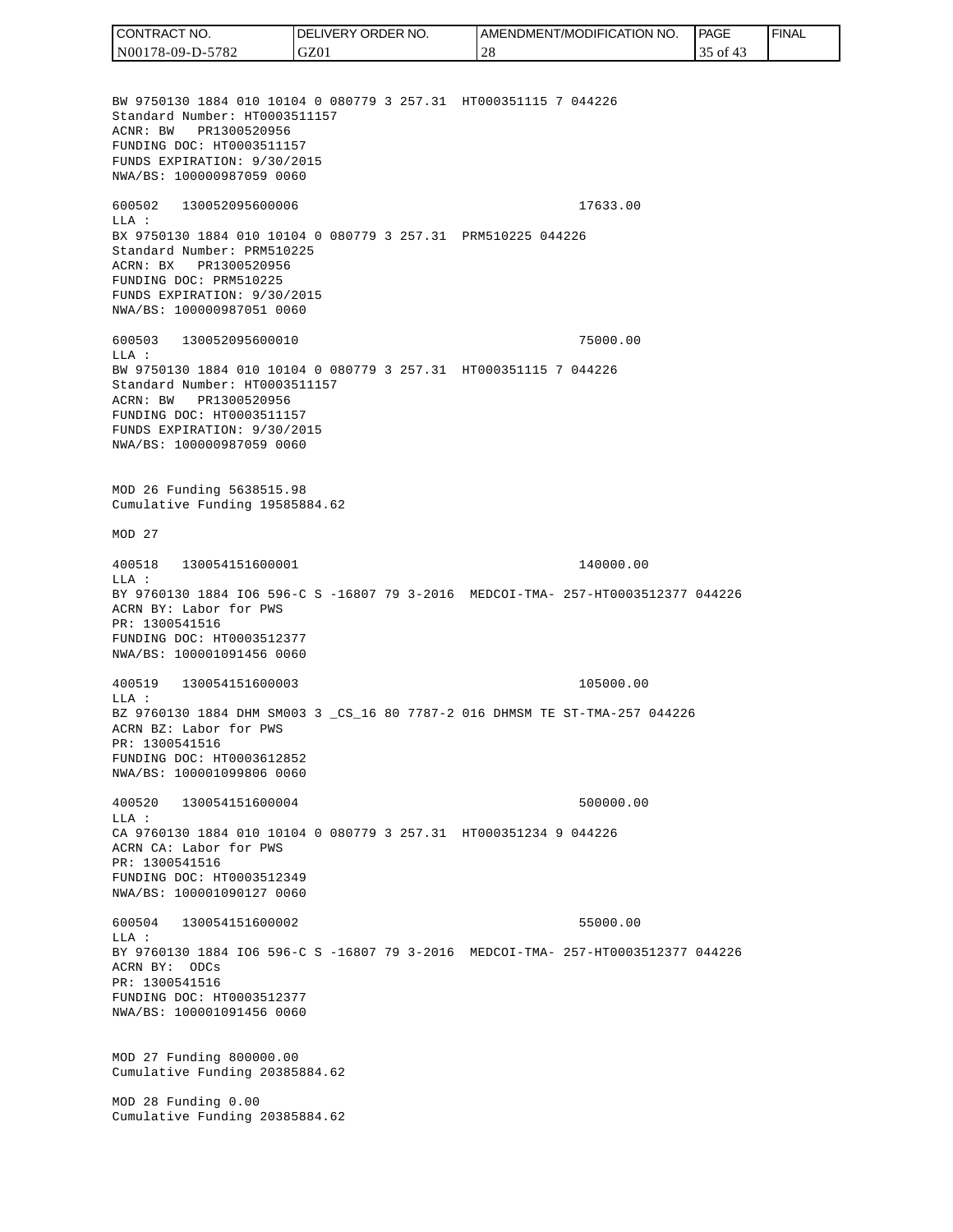BW 9750130 1884 010 10104 0 080779 3 257.31 HT000351115 7 044226 Standard Number: HT0003511157 ACNR: BW PR1300520956 FUNDING DOC: HT0003511157 FUNDS EXPIRATION: 9/30/2015 NWA/BS: 100000987059 0060 600502 130052095600006 17633.00 LLA : BX 9750130 1884 010 10104 0 080779 3 257.31 PRM510225 044226 Standard Number: PRM510225 ACRN: BX PR1300520956 FUNDING DOC: PRM510225 FUNDS EXPIRATION: 9/30/2015 NWA/BS: 100000987051 0060 600503 130052095600010 75000.00  $T.T.A$  : BW 9750130 1884 010 10104 0 080779 3 257.31 HT000351115 7 044226 Standard Number: HT0003511157 ACRN: BW PR1300520956 FUNDING DOC: HT0003511157 FUNDS EXPIRATION: 9/30/2015 NWA/BS: 100000987059 0060 MOD 26 Funding 5638515.98 Cumulative Funding 19585884.62 MOD 27 400518 130054151600001 140000.00 LLA : BY 9760130 1884 IO6 596-C S -16807 79 3-2016 MEDCOI-TMA- 257-HT0003512377 044226 ACRN BY: Labor for PWS PR: 1300541516 FUNDING DOC: HT0003512377 NWA/BS: 100001091456 0060 400519 130054151600003 105000.00 LLA : BZ 9760130 1884 DHM SM003 3 \_CS\_16 80 7787-2 016 DHMSM TE ST-TMA-257 044226 ACRN BZ: Labor for PWS PR: 1300541516 FUNDING DOC: HT0003612852 NWA/BS: 100001099806 0060 400520 130054151600004 500000.00  $L.L.A$  : CA 9760130 1884 010 10104 0 080779 3 257.31 HT000351234 9 044226 ACRN CA: Labor for PWS PR: 1300541516 FUNDING DOC: HT0003512349 NWA/BS: 100001090127 0060 600504 130054151600002 55000.00  $T.T.A$  : BY 9760130 1884 IO6 596-C S -16807 79 3-2016 MEDCOI-TMA- 257-HT0003512377 044226 ACRN BY: ODCs PR: 1300541516 FUNDING DOC: HT0003512377 NWA/BS: 100001091456 0060 MOD 27 Funding 800000.00 Cumulative Funding 20385884.62 MOD 28 Funding 0.00 Cumulative Funding 20385884.62 CONTRACT NO. N00178-09-D-5782 DELIVERY ORDER NO. GZ01 AMENDMENT/MODIFICATION NO. 28 **PAGE**  35 of 43 FINAL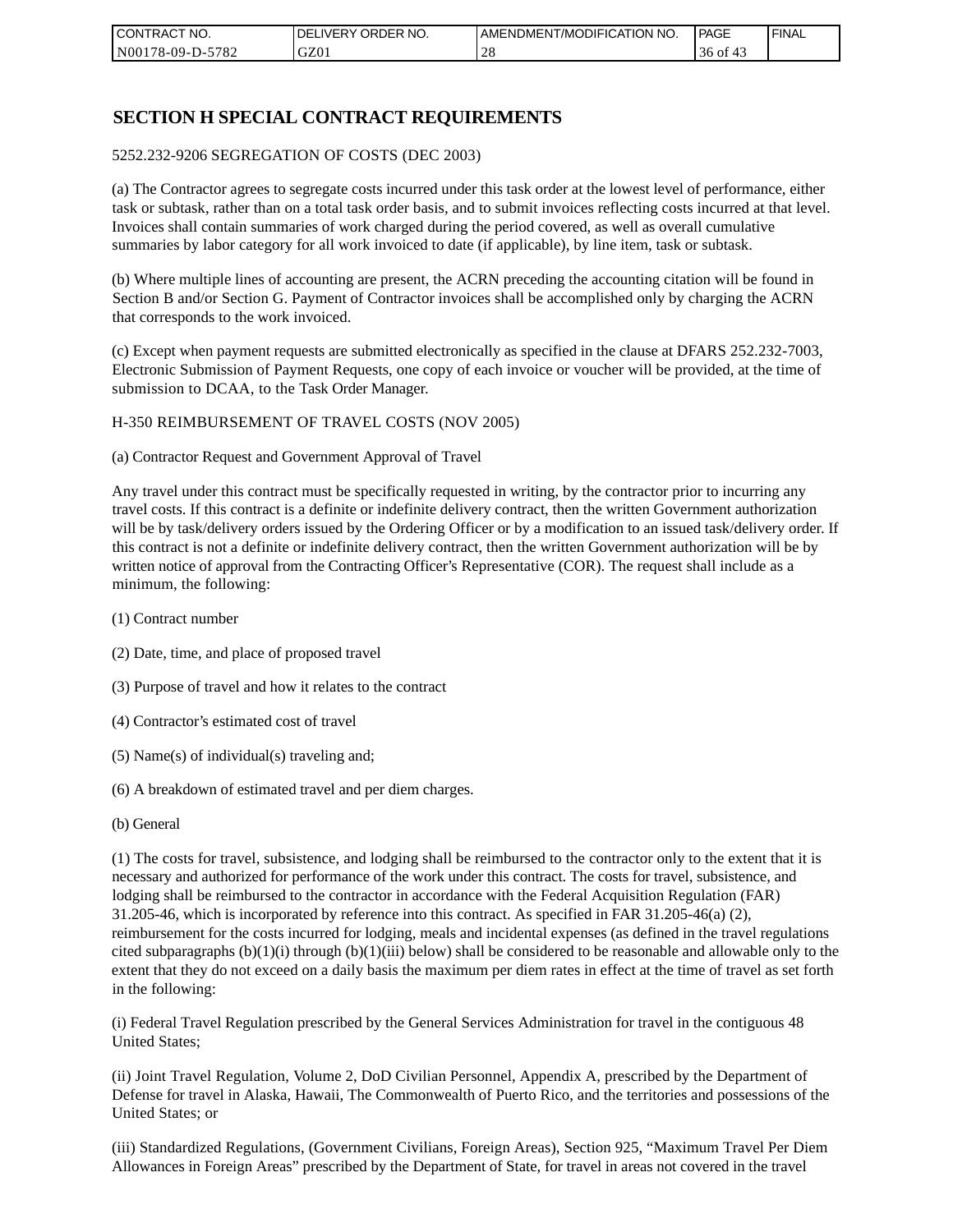| I CONTRACT NO.   | NO.<br>DELIVERY ORDER | AMENDMENT/MODIFICATION NO. | PAGE           | ' FINAL |
|------------------|-----------------------|----------------------------|----------------|---------|
| N00178-09-D-5782 | GZ01                  |                            | $36$ of<br>-41 |         |

## **SECTION H SPECIAL CONTRACT REQUIREMENTS**

#### 5252.232-9206 SEGREGATION OF COSTS (DEC 2003)

(a) The Contractor agrees to segregate costs incurred under this task order at the lowest level of performance, either task or subtask, rather than on a total task order basis, and to submit invoices reflecting costs incurred at that level. Invoices shall contain summaries of work charged during the period covered, as well as overall cumulative summaries by labor category for all work invoiced to date (if applicable), by line item, task or subtask.

(b) Where multiple lines of accounting are present, the ACRN preceding the accounting citation will be found in Section B and/or Section G. Payment of Contractor invoices shall be accomplished only by charging the ACRN that corresponds to the work invoiced.

(c) Except when payment requests are submitted electronically as specified in the clause at DFARS 252.232-7003, Electronic Submission of Payment Requests, one copy of each invoice or voucher will be provided, at the time of submission to DCAA, to the Task Order Manager.

#### H-350 REIMBURSEMENT OF TRAVEL COSTS (NOV 2005)

(a) Contractor Request and Government Approval of Travel

Any travel under this contract must be specifically requested in writing, by the contractor prior to incurring any travel costs. If this contract is a definite or indefinite delivery contract, then the written Government authorization will be by task/delivery orders issued by the Ordering Officer or by a modification to an issued task/delivery order. If this contract is not a definite or indefinite delivery contract, then the written Government authorization will be by written notice of approval from the Contracting Officer's Representative (COR). The request shall include as a minimum, the following:

- (1) Contract number
- (2) Date, time, and place of proposed travel
- (3) Purpose of travel and how it relates to the contract
- (4) Contractor's estimated cost of travel
- (5) Name(s) of individual(s) traveling and;
- (6) A breakdown of estimated travel and per diem charges.
- (b) General

(1) The costs for travel, subsistence, and lodging shall be reimbursed to the contractor only to the extent that it is necessary and authorized for performance of the work under this contract. The costs for travel, subsistence, and lodging shall be reimbursed to the contractor in accordance with the Federal Acquisition Regulation (FAR) 31.205-46, which is incorporated by reference into this contract. As specified in FAR 31.205-46(a) (2), reimbursement for the costs incurred for lodging, meals and incidental expenses (as defined in the travel regulations cited subparagraphs  $(b)(1)(i)$  through  $(b)(1)(iii)$  below) shall be considered to be reasonable and allowable only to the extent that they do not exceed on a daily basis the maximum per diem rates in effect at the time of travel as set forth in the following:

(i) Federal Travel Regulation prescribed by the General Services Administration for travel in the contiguous 48 United States;

(ii) Joint Travel Regulation, Volume 2, DoD Civilian Personnel, Appendix A, prescribed by the Department of Defense for travel in Alaska, Hawaii, The Commonwealth of Puerto Rico, and the territories and possessions of the United States; or

(iii) Standardized Regulations, (Government Civilians, Foreign Areas), Section 925, "Maximum Travel Per Diem Allowances in Foreign Areas" prescribed by the Department of State, for travel in areas not covered in the travel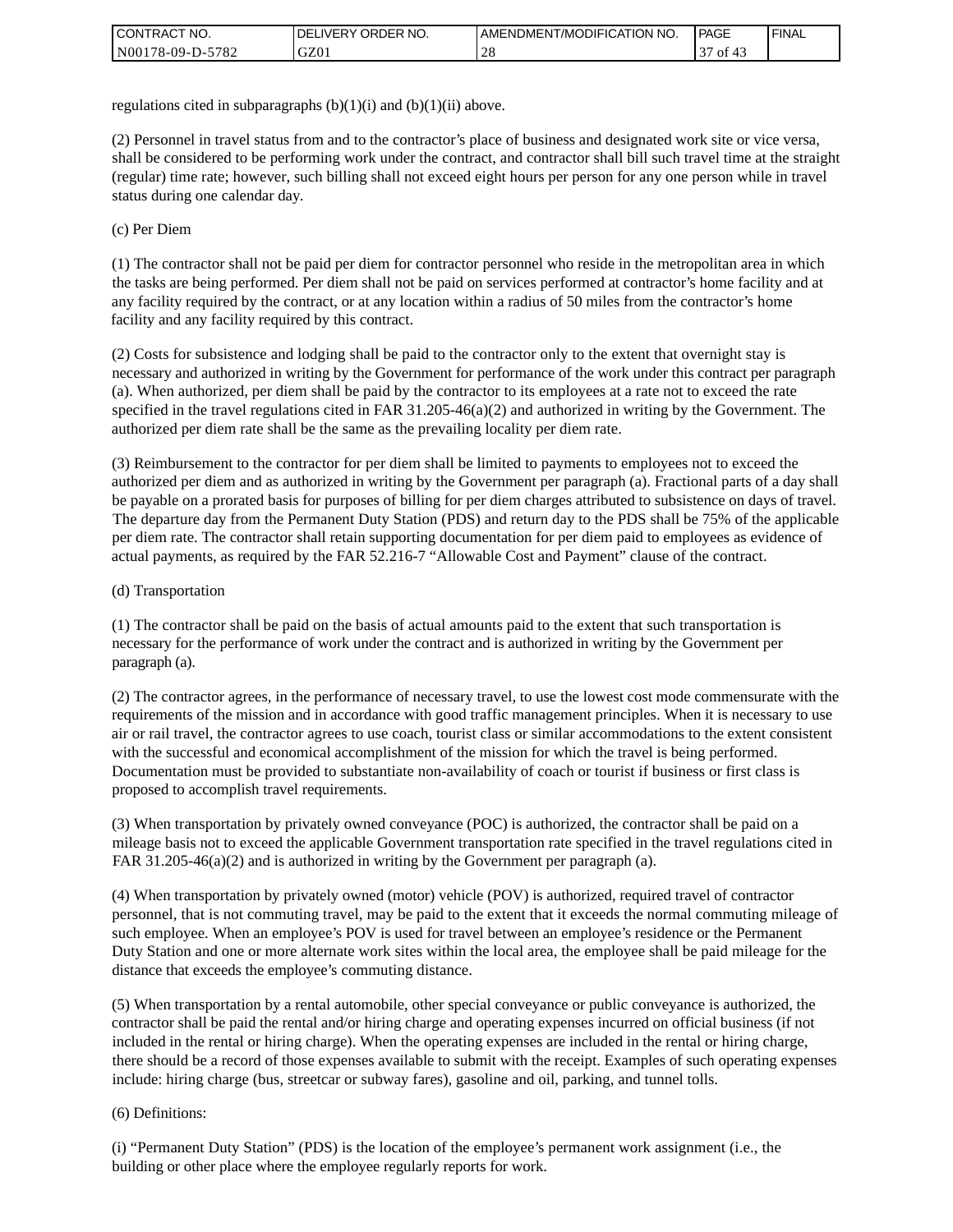| <b>I CONTRACT NO.</b> | ' ORDER NO.<br><b>DELIVERY</b> | I AMENDMENT/MODIFICATION NO. | <b>PAGE</b>  | <b>I FINAL</b> |
|-----------------------|--------------------------------|------------------------------|--------------|----------------|
| N00178-09-D-5782      | GZ01                           | $\cap$<br>∠∪                 | $\sim$<br>ΟĪ |                |

regulations cited in subparagraphs  $(b)(1)(i)$  and  $(b)(1)(ii)$  above.

(2) Personnel in travel status from and to the contractor's place of business and designated work site or vice versa, shall be considered to be performing work under the contract, and contractor shall bill such travel time at the straight (regular) time rate; however, such billing shall not exceed eight hours per person for any one person while in travel status during one calendar day.

(c) Per Diem

(1) The contractor shall not be paid per diem for contractor personnel who reside in the metropolitan area in which the tasks are being performed. Per diem shall not be paid on services performed at contractor's home facility and at any facility required by the contract, or at any location within a radius of 50 miles from the contractor's home facility and any facility required by this contract.

(2) Costs for subsistence and lodging shall be paid to the contractor only to the extent that overnight stay is necessary and authorized in writing by the Government for performance of the work under this contract per paragraph (a). When authorized, per diem shall be paid by the contractor to its employees at a rate not to exceed the rate specified in the travel regulations cited in FAR 31.205-46(a)(2) and authorized in writing by the Government. The authorized per diem rate shall be the same as the prevailing locality per diem rate.

(3) Reimbursement to the contractor for per diem shall be limited to payments to employees not to exceed the authorized per diem and as authorized in writing by the Government per paragraph (a). Fractional parts of a day shall be payable on a prorated basis for purposes of billing for per diem charges attributed to subsistence on days of travel. The departure day from the Permanent Duty Station (PDS) and return day to the PDS shall be 75% of the applicable per diem rate. The contractor shall retain supporting documentation for per diem paid to employees as evidence of actual payments, as required by the FAR 52.216-7 "Allowable Cost and Payment" clause of the contract.

### (d) Transportation

(1) The contractor shall be paid on the basis of actual amounts paid to the extent that such transportation is necessary for the performance of work under the contract and is authorized in writing by the Government per paragraph (a).

(2) The contractor agrees, in the performance of necessary travel, to use the lowest cost mode commensurate with the requirements of the mission and in accordance with good traffic management principles. When it is necessary to use air or rail travel, the contractor agrees to use coach, tourist class or similar accommodations to the extent consistent with the successful and economical accomplishment of the mission for which the travel is being performed. Documentation must be provided to substantiate non-availability of coach or tourist if business or first class is proposed to accomplish travel requirements.

(3) When transportation by privately owned conveyance (POC) is authorized, the contractor shall be paid on a mileage basis not to exceed the applicable Government transportation rate specified in the travel regulations cited in FAR 31.205-46(a)(2) and is authorized in writing by the Government per paragraph (a).

(4) When transportation by privately owned (motor) vehicle (POV) is authorized, required travel of contractor personnel, that is not commuting travel, may be paid to the extent that it exceeds the normal commuting mileage of such employee. When an employee's POV is used for travel between an employee's residence or the Permanent Duty Station and one or more alternate work sites within the local area, the employee shall be paid mileage for the distance that exceeds the employee's commuting distance.

(5) When transportation by a rental automobile, other special conveyance or public conveyance is authorized, the contractor shall be paid the rental and/or hiring charge and operating expenses incurred on official business (if not included in the rental or hiring charge). When the operating expenses are included in the rental or hiring charge, there should be a record of those expenses available to submit with the receipt. Examples of such operating expenses include: hiring charge (bus, streetcar or subway fares), gasoline and oil, parking, and tunnel tolls.

### (6) Definitions:

(i) "Permanent Duty Station" (PDS) is the location of the employee's permanent work assignment (i.e., the building or other place where the employee regularly reports for work.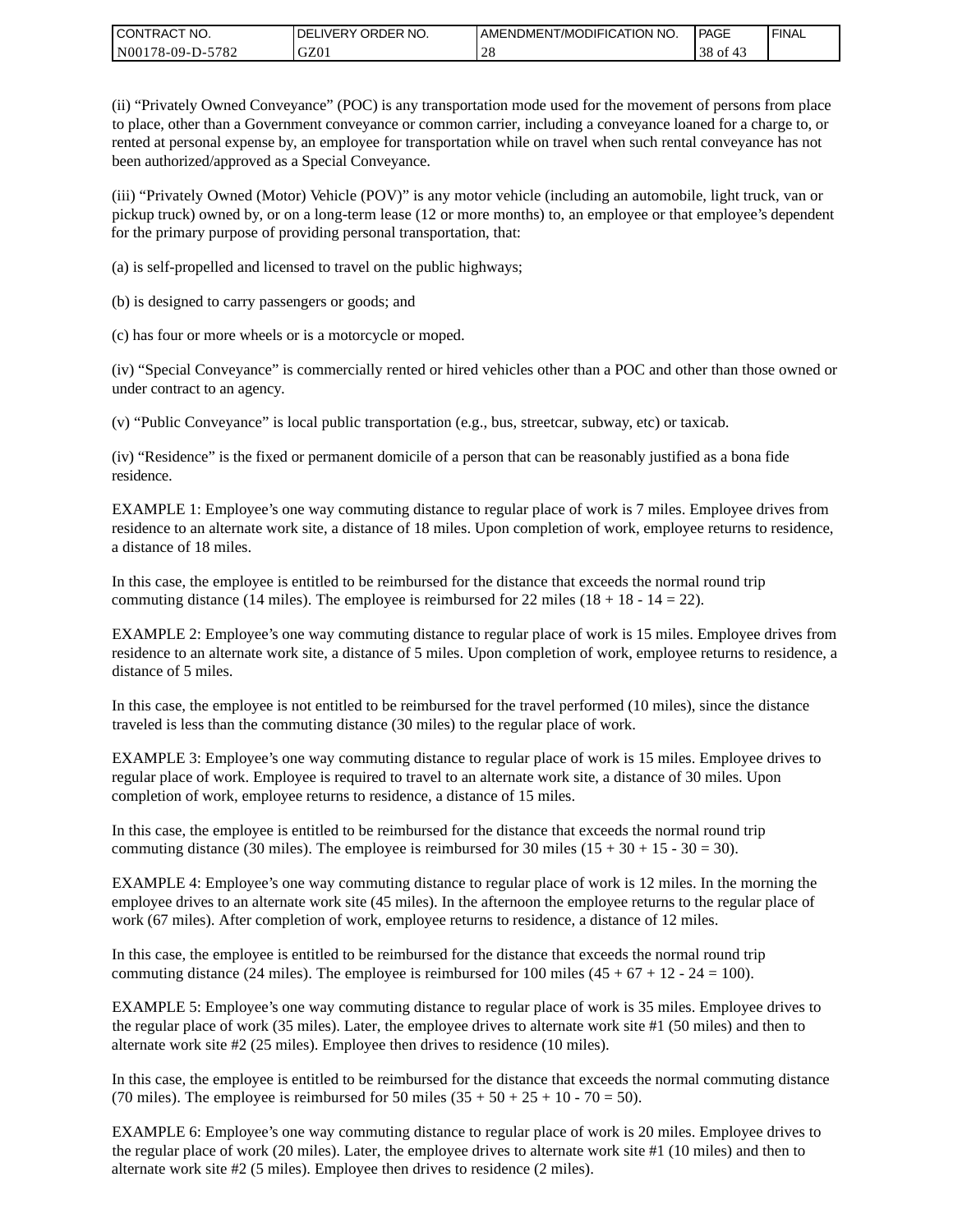| CONTRACT<br>CT NO.                        | NO.<br>' ORDER<br><b>DELIVERY</b> | AMENDMENT/MODIFICATION NO. | l PAGE  | <b>FINAL</b> |
|-------------------------------------------|-----------------------------------|----------------------------|---------|--------------|
| $-5782$<br>N001<br>'78-09-D- <sub>~</sub> | GZ0 <sub>1</sub>                  | $\sim$ 0                   | $38$ of |              |

(ii) "Privately Owned Conveyance" (POC) is any transportation mode used for the movement of persons from place to place, other than a Government conveyance or common carrier, including a conveyance loaned for a charge to, or rented at personal expense by, an employee for transportation while on travel when such rental conveyance has not been authorized/approved as a Special Conveyance.

(iii) "Privately Owned (Motor) Vehicle (POV)" is any motor vehicle (including an automobile, light truck, van or pickup truck) owned by, or on a long-term lease (12 or more months) to, an employee or that employee's dependent for the primary purpose of providing personal transportation, that:

(a) is self-propelled and licensed to travel on the public highways;

(b) is designed to carry passengers or goods; and

(c) has four or more wheels or is a motorcycle or moped.

(iv) "Special Conveyance" is commercially rented or hired vehicles other than a POC and other than those owned or under contract to an agency.

(v) "Public Conveyance" is local public transportation (e.g., bus, streetcar, subway, etc) or taxicab.

(iv) "Residence" is the fixed or permanent domicile of a person that can be reasonably justified as a bona fide residence.

EXAMPLE 1: Employee's one way commuting distance to regular place of work is 7 miles. Employee drives from residence to an alternate work site, a distance of 18 miles. Upon completion of work, employee returns to residence, a distance of 18 miles.

In this case, the employee is entitled to be reimbursed for the distance that exceeds the normal round trip commuting distance (14 miles). The employee is reimbursed for 22 miles (18 + 18 - 14 = 22).

EXAMPLE 2: Employee's one way commuting distance to regular place of work is 15 miles. Employee drives from residence to an alternate work site, a distance of 5 miles. Upon completion of work, employee returns to residence, a distance of 5 miles.

In this case, the employee is not entitled to be reimbursed for the travel performed (10 miles), since the distance traveled is less than the commuting distance (30 miles) to the regular place of work.

EXAMPLE 3: Employee's one way commuting distance to regular place of work is 15 miles. Employee drives to regular place of work. Employee is required to travel to an alternate work site, a distance of 30 miles. Upon completion of work, employee returns to residence, a distance of 15 miles.

In this case, the employee is entitled to be reimbursed for the distance that exceeds the normal round trip commuting distance (30 miles). The employee is reimbursed for 30 miles  $(15 + 30 + 15 - 30 = 30)$ .

EXAMPLE 4: Employee's one way commuting distance to regular place of work is 12 miles. In the morning the employee drives to an alternate work site (45 miles). In the afternoon the employee returns to the regular place of work (67 miles). After completion of work, employee returns to residence, a distance of 12 miles.

In this case, the employee is entitled to be reimbursed for the distance that exceeds the normal round trip commuting distance (24 miles). The employee is reimbursed for 100 miles  $(45 + 67 + 12 - 24 = 100)$ .

EXAMPLE 5: Employee's one way commuting distance to regular place of work is 35 miles. Employee drives to the regular place of work (35 miles). Later, the employee drives to alternate work site #1 (50 miles) and then to alternate work site #2 (25 miles). Employee then drives to residence (10 miles).

In this case, the employee is entitled to be reimbursed for the distance that exceeds the normal commuting distance (70 miles). The employee is reimbursed for 50 miles  $(35 + 50 + 25 + 10 - 70 = 50)$ .

EXAMPLE 6: Employee's one way commuting distance to regular place of work is 20 miles. Employee drives to the regular place of work (20 miles). Later, the employee drives to alternate work site #1 (10 miles) and then to alternate work site #2 (5 miles). Employee then drives to residence (2 miles).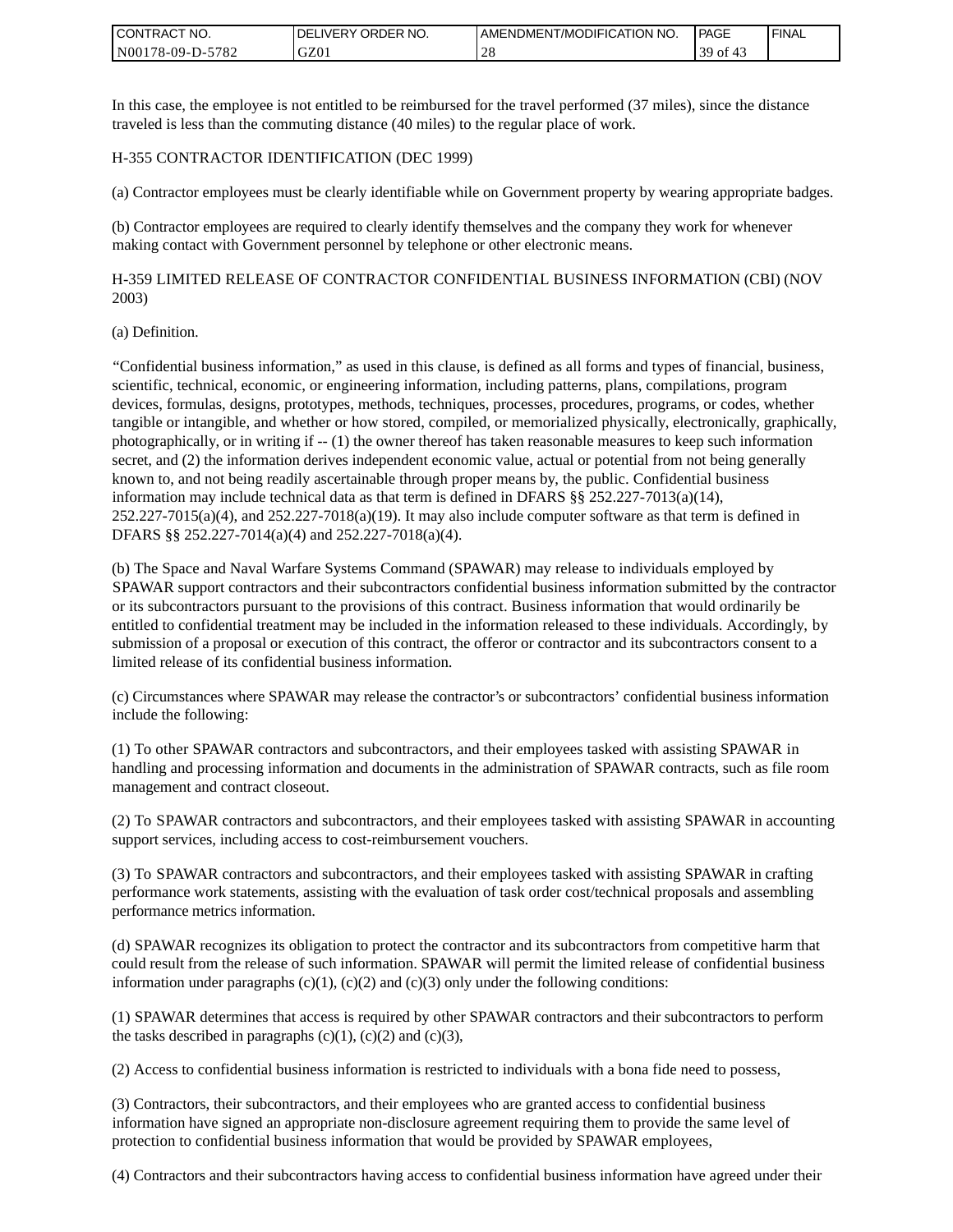| <b>I CONTRACT NO.</b>       | NO.<br>DELIVERY ORDER | AMENDMENT/MODIFICATION NO. | PAGE      | <b>I FINAL</b> |
|-----------------------------|-----------------------|----------------------------|-----------|----------------|
| 5782<br>N001<br>$78-09-D$ - | GZ01                  |                            | 39.<br>0Ť |                |

In this case, the employee is not entitled to be reimbursed for the travel performed (37 miles), since the distance traveled is less than the commuting distance (40 miles) to the regular place of work.

### H-355 CONTRACTOR IDENTIFICATION (DEC 1999)

(a) Contractor employees must be clearly identifiable while on Government property by wearing appropriate badges.

(b) Contractor employees are required to clearly identify themselves and the company they work for whenever making contact with Government personnel by telephone or other electronic means.

H-359 LIMITED RELEASE OF CONTRACTOR CONFIDENTIAL BUSINESS INFORMATION (CBI) (NOV 2003)

#### (a) Definition.

"Confidential business information," as used in this clause, is defined as all forms and types of financial, business, scientific, technical, economic, or engineering information, including patterns, plans, compilations, program devices, formulas, designs, prototypes, methods, techniques, processes, procedures, programs, or codes, whether tangible or intangible, and whether or how stored, compiled, or memorialized physically, electronically, graphically, photographically, or in writing if -- (1) the owner thereof has taken reasonable measures to keep such information secret, and (2) the information derives independent economic value, actual or potential from not being generally known to, and not being readily ascertainable through proper means by, the public. Confidential business information may include technical data as that term is defined in DFARS  $\S$ § 252.227-7013(a)(14),  $252.227-7015(a)(4)$ , and  $252.227-7018(a)(19)$ . It may also include computer software as that term is defined in DFARS §§ 252.227-7014(a)(4) and 252.227-7018(a)(4).

(b) The Space and Naval Warfare Systems Command (SPAWAR) may release to individuals employed by SPAWAR support contractors and their subcontractors confidential business information submitted by the contractor or its subcontractors pursuant to the provisions of this contract. Business information that would ordinarily be entitled to confidential treatment may be included in the information released to these individuals. Accordingly, by submission of a proposal or execution of this contract, the offeror or contractor and its subcontractors consent to a limited release of its confidential business information.

(c) Circumstances where SPAWAR may release the contractor's or subcontractors' confidential business information include the following:

(1) To other SPAWAR contractors and subcontractors, and their employees tasked with assisting SPAWAR in handling and processing information and documents in the administration of SPAWAR contracts, such as file room management and contract closeout.

(2) To SPAWAR contractors and subcontractors, and their employees tasked with assisting SPAWAR in accounting support services, including access to cost-reimbursement vouchers.

(3) To SPAWAR contractors and subcontractors, and their employees tasked with assisting SPAWAR in crafting performance work statements, assisting with the evaluation of task order cost/technical proposals and assembling performance metrics information.

(d) SPAWAR recognizes its obligation to protect the contractor and its subcontractors from competitive harm that could result from the release of such information. SPAWAR will permit the limited release of confidential business information under paragraphs  $(c)(1)$ ,  $(c)(2)$  and  $(c)(3)$  only under the following conditions:

(1) SPAWAR determines that access is required by other SPAWAR contractors and their subcontractors to perform the tasks described in paragraphs  $(c)(1)$ ,  $(c)(2)$  and  $(c)(3)$ ,

(2) Access to confidential business information is restricted to individuals with a bona fide need to possess,

(3) Contractors, their subcontractors, and their employees who are granted access to confidential business information have signed an appropriate non-disclosure agreement requiring them to provide the same level of protection to confidential business information that would be provided by SPAWAR employees,

(4) Contractors and their subcontractors having access to confidential business information have agreed under their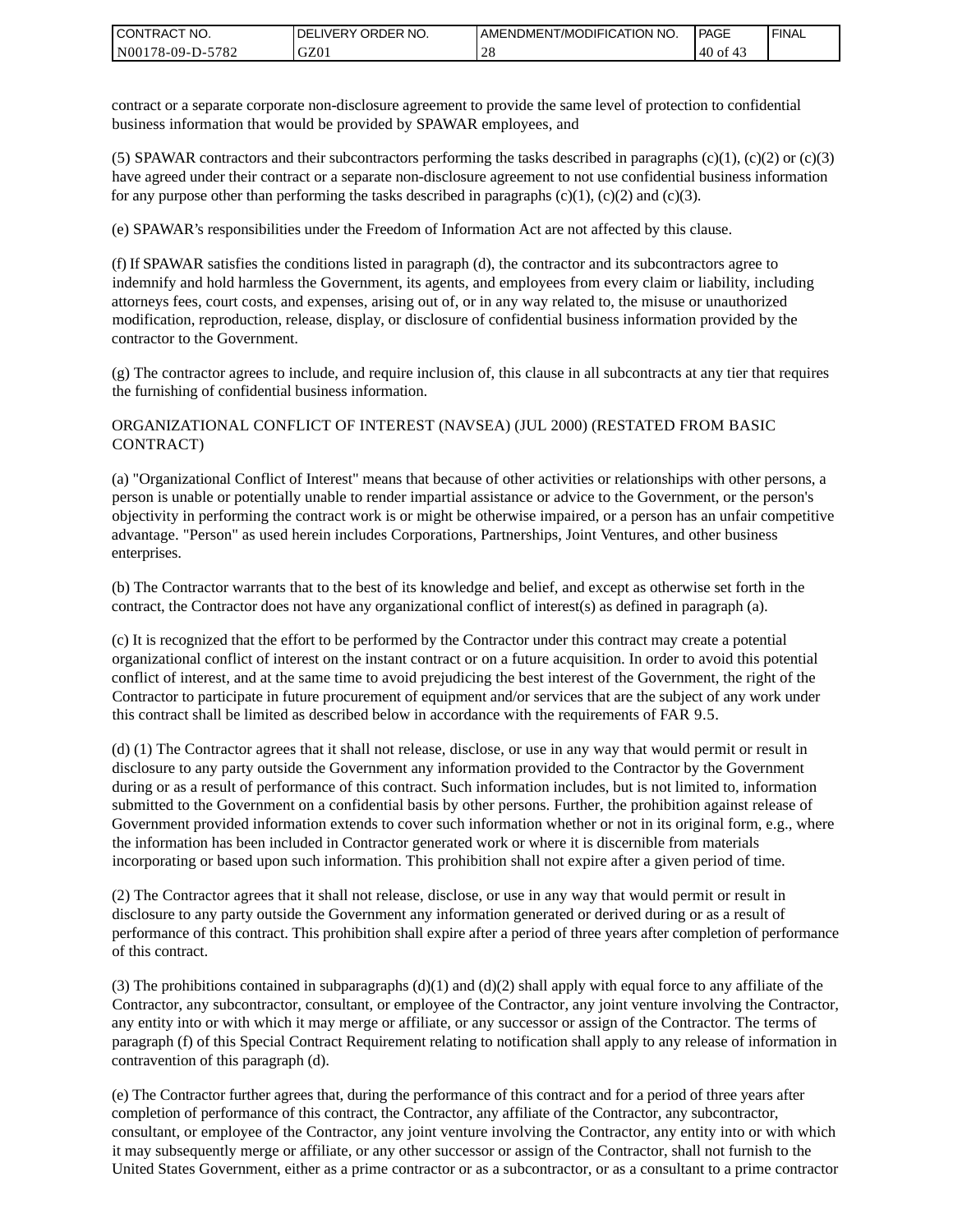| I CONTRACT NO.   | DELIVERY ORDER NO. | AMENDMENT/MODIFICATION NO. | PAGE   | ' FINAL |
|------------------|--------------------|----------------------------|--------|---------|
| N00178-09-D-5782 | GZ01               |                            | .40 of |         |

contract or a separate corporate non-disclosure agreement to provide the same level of protection to confidential business information that would be provided by SPAWAR employees, and

(5) SPAWAR contractors and their subcontractors performing the tasks described in paragraphs  $(c)(1)$ ,  $(c)(2)$  or  $(c)(3)$ have agreed under their contract or a separate non-disclosure agreement to not use confidential business information for any purpose other than performing the tasks described in paragraphs  $(c)(1)$ ,  $(c)(2)$  and  $(c)(3)$ .

(e) SPAWAR's responsibilities under the Freedom of Information Act are not affected by this clause.

(f) If SPAWAR satisfies the conditions listed in paragraph (d), the contractor and its subcontractors agree to indemnify and hold harmless the Government, its agents, and employees from every claim or liability, including attorneys fees, court costs, and expenses, arising out of, or in any way related to, the misuse or unauthorized modification, reproduction, release, display, or disclosure of confidential business information provided by the contractor to the Government.

(g) The contractor agrees to include, and require inclusion of, this clause in all subcontracts at any tier that requires the furnishing of confidential business information.

### ORGANIZATIONAL CONFLICT OF INTEREST (NAVSEA) (JUL 2000) (RESTATED FROM BASIC CONTRACT)

(a) "Organizational Conflict of Interest" means that because of other activities or relationships with other persons, a person is unable or potentially unable to render impartial assistance or advice to the Government, or the person's objectivity in performing the contract work is or might be otherwise impaired, or a person has an unfair competitive advantage. "Person" as used herein includes Corporations, Partnerships, Joint Ventures, and other business enterprises.

(b) The Contractor warrants that to the best of its knowledge and belief, and except as otherwise set forth in the contract, the Contractor does not have any organizational conflict of interest(s) as defined in paragraph (a).

(c) It is recognized that the effort to be performed by the Contractor under this contract may create a potential organizational conflict of interest on the instant contract or on a future acquisition. In order to avoid this potential conflict of interest, and at the same time to avoid prejudicing the best interest of the Government, the right of the Contractor to participate in future procurement of equipment and/or services that are the subject of any work under this contract shall be limited as described below in accordance with the requirements of FAR 9.5.

(d) (1) The Contractor agrees that it shall not release, disclose, or use in any way that would permit or result in disclosure to any party outside the Government any information provided to the Contractor by the Government during or as a result of performance of this contract. Such information includes, but is not limited to, information submitted to the Government on a confidential basis by other persons. Further, the prohibition against release of Government provided information extends to cover such information whether or not in its original form, e.g., where the information has been included in Contractor generated work or where it is discernible from materials incorporating or based upon such information. This prohibition shall not expire after a given period of time.

(2) The Contractor agrees that it shall not release, disclose, or use in any way that would permit or result in disclosure to any party outside the Government any information generated or derived during or as a result of performance of this contract. This prohibition shall expire after a period of three years after completion of performance of this contract.

(3) The prohibitions contained in subparagraphs  $(d)(1)$  and  $(d)(2)$  shall apply with equal force to any affiliate of the Contractor, any subcontractor, consultant, or employee of the Contractor, any joint venture involving the Contractor, any entity into or with which it may merge or affiliate, or any successor or assign of the Contractor. The terms of paragraph (f) of this Special Contract Requirement relating to notification shall apply to any release of information in contravention of this paragraph (d).

(e) The Contractor further agrees that, during the performance of this contract and for a period of three years after completion of performance of this contract, the Contractor, any affiliate of the Contractor, any subcontractor, consultant, or employee of the Contractor, any joint venture involving the Contractor, any entity into or with which it may subsequently merge or affiliate, or any other successor or assign of the Contractor, shall not furnish to the United States Government, either as a prime contractor or as a subcontractor, or as a consultant to a prime contractor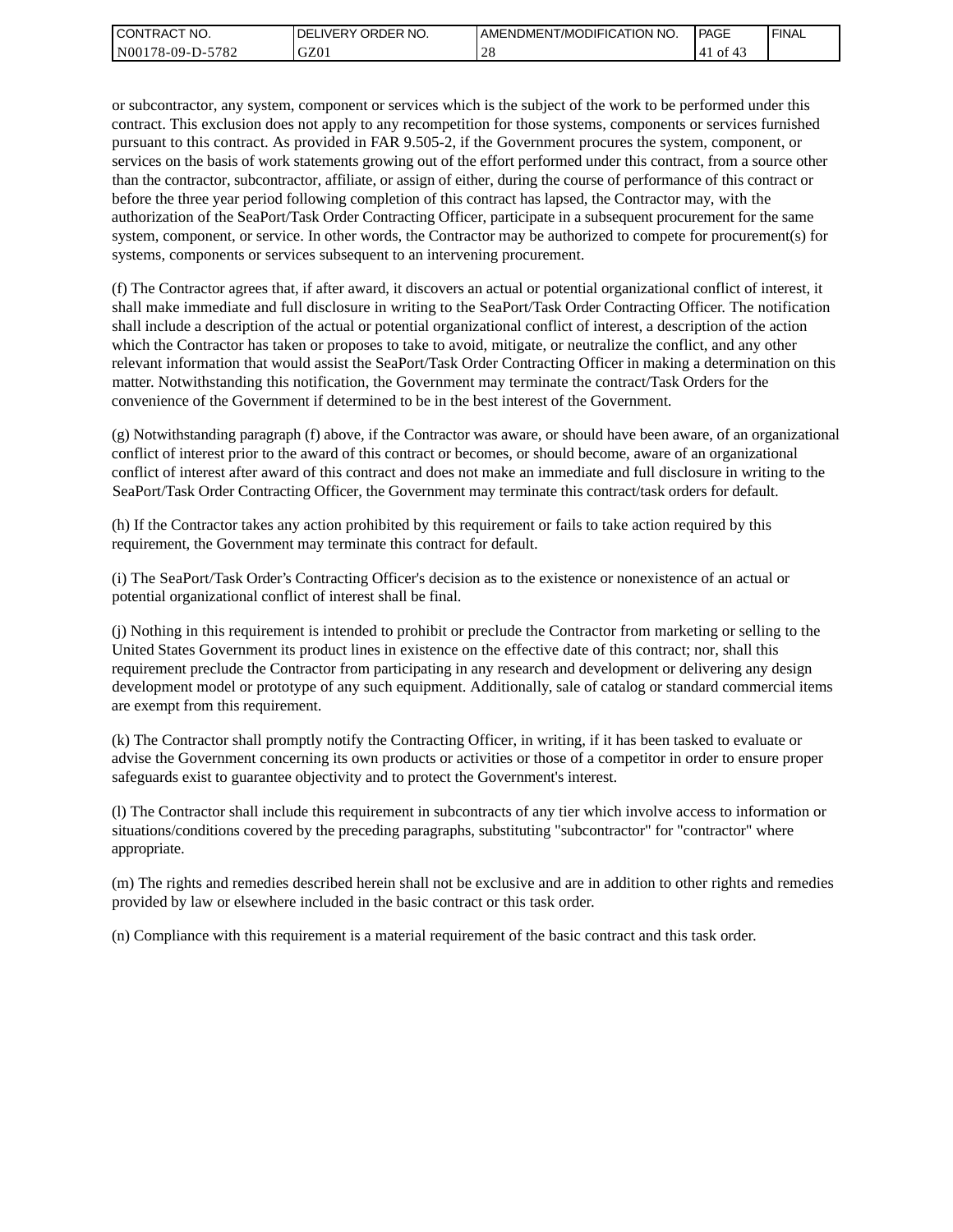| <b>I CONTRACT NO.</b> | <b>IDELIVERY ORDER NO.</b> | AMENDMENT/MODIFICATION NO. | PAGE      | 'FINAL |
|-----------------------|----------------------------|----------------------------|-----------|--------|
| N00178-09-D-5782      | GZ01                       |                            | of<br>'41 |        |

or subcontractor, any system, component or services which is the subject of the work to be performed under this contract. This exclusion does not apply to any recompetition for those systems, components or services furnished pursuant to this contract. As provided in FAR 9.505-2, if the Government procures the system, component, or services on the basis of work statements growing out of the effort performed under this contract, from a source other than the contractor, subcontractor, affiliate, or assign of either, during the course of performance of this contract or before the three year period following completion of this contract has lapsed, the Contractor may, with the authorization of the SeaPort/Task Order Contracting Officer, participate in a subsequent procurement for the same system, component, or service. In other words, the Contractor may be authorized to compete for procurement(s) for systems, components or services subsequent to an intervening procurement.

(f) The Contractor agrees that, if after award, it discovers an actual or potential organizational conflict of interest, it shall make immediate and full disclosure in writing to the SeaPort/Task Order Contracting Officer. The notification shall include a description of the actual or potential organizational conflict of interest, a description of the action which the Contractor has taken or proposes to take to avoid, mitigate, or neutralize the conflict, and any other relevant information that would assist the SeaPort/Task Order Contracting Officer in making a determination on this matter. Notwithstanding this notification, the Government may terminate the contract/Task Orders for the convenience of the Government if determined to be in the best interest of the Government.

(g) Notwithstanding paragraph (f) above, if the Contractor was aware, or should have been aware, of an organizational conflict of interest prior to the award of this contract or becomes, or should become, aware of an organizational conflict of interest after award of this contract and does not make an immediate and full disclosure in writing to the SeaPort/Task Order Contracting Officer, the Government may terminate this contract/task orders for default.

(h) If the Contractor takes any action prohibited by this requirement or fails to take action required by this requirement, the Government may terminate this contract for default.

(i) The SeaPort/Task Order's Contracting Officer's decision as to the existence or nonexistence of an actual or potential organizational conflict of interest shall be final.

(j) Nothing in this requirement is intended to prohibit or preclude the Contractor from marketing or selling to the United States Government its product lines in existence on the effective date of this contract; nor, shall this requirement preclude the Contractor from participating in any research and development or delivering any design development model or prototype of any such equipment. Additionally, sale of catalog or standard commercial items are exempt from this requirement.

(k) The Contractor shall promptly notify the Contracting Officer, in writing, if it has been tasked to evaluate or advise the Government concerning its own products or activities or those of a competitor in order to ensure proper safeguards exist to guarantee objectivity and to protect the Government's interest.

(l) The Contractor shall include this requirement in subcontracts of any tier which involve access to information or situations/conditions covered by the preceding paragraphs, substituting "subcontractor" for "contractor" where appropriate.

(m) The rights and remedies described herein shall not be exclusive and are in addition to other rights and remedies provided by law or elsewhere included in the basic contract or this task order.

(n) Compliance with this requirement is a material requirement of the basic contract and this task order.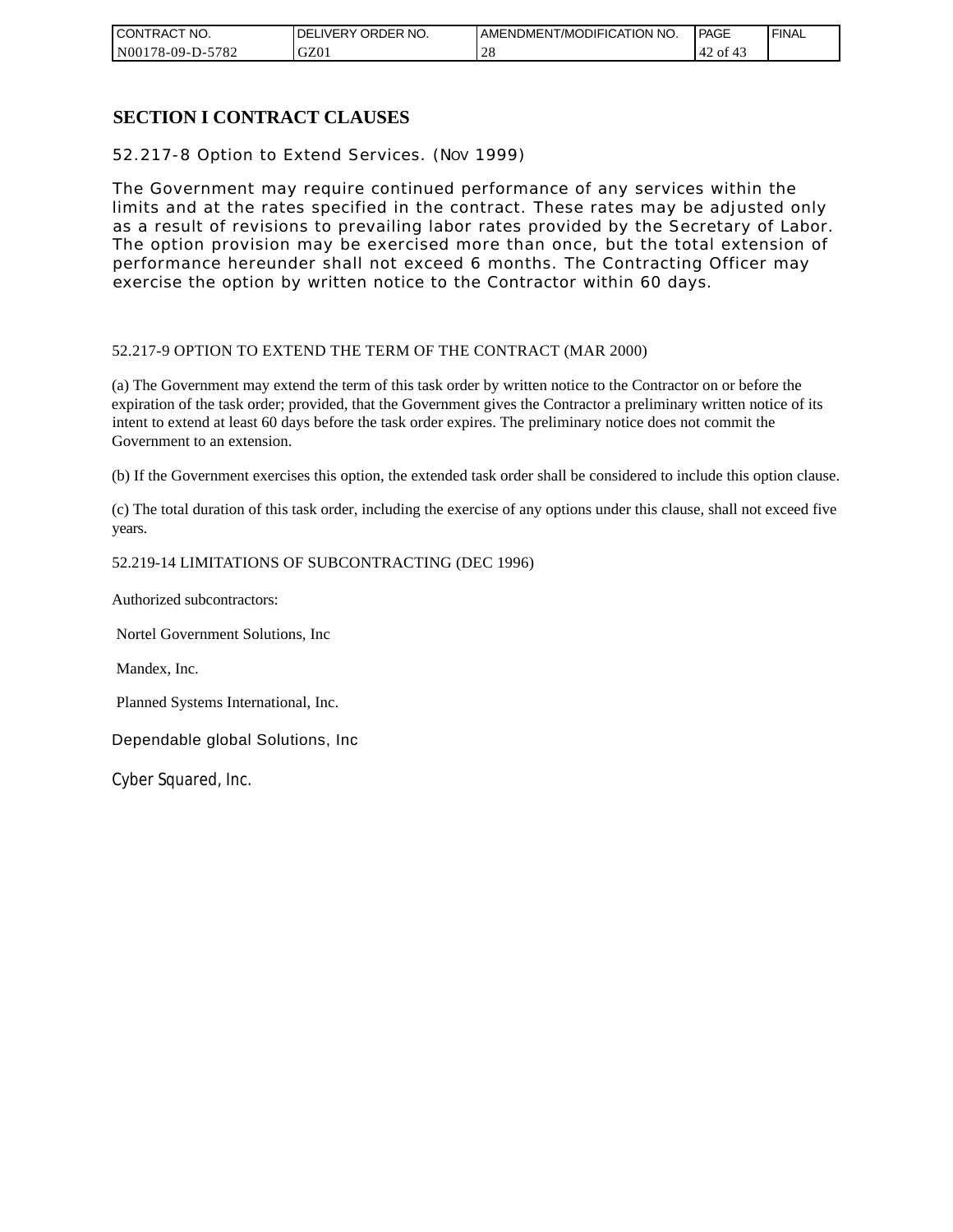| CONTRACT NO.          | NO.<br>ORDER<br><b>DELIVERY</b> | AMENDMENT/MODIFICATION NO. | <b>PAGE</b>    | ' FINAL |
|-----------------------|---------------------------------|----------------------------|----------------|---------|
| N00178-09-D-5<br>5782 | GZ0                             | ∠∪                         | 42<br>ΟĪ<br>41 |         |

## **SECTION I CONTRACT CLAUSES**

52.217-8 Option to Extend Services. (NOV 1999)

The Government may require continued performance of any services within the limits and at the rates specified in the contract. These rates may be adjusted only as a result of revisions to prevailing labor rates provided by the Secretary of Labor. The option provision may be exercised more than once, but the total extension of performance hereunder shall not exceed 6 months. The Contracting Officer may exercise the option by written notice to the Contractor within 60 days.

### 52.217-9 OPTION TO EXTEND THE TERM OF THE CONTRACT (MAR 2000)

(a) The Government may extend the term of this task order by written notice to the Contractor on or before the expiration of the task order; provided, that the Government gives the Contractor a preliminary written notice of its intent to extend at least 60 days before the task order expires. The preliminary notice does not commit the Government to an extension.

(b) If the Government exercises this option, the extended task order shall be considered to include this option clause.

(c) The total duration of this task order, including the exercise of any options under this clause, shall not exceed five years.

### 52.219-14 LIMITATIONS OF SUBCONTRACTING (DEC 1996)

Authorized subcontractors:

Nortel Government Solutions, Inc

Mandex, Inc.

Planned Systems International, Inc.

Dependable global Solutions, Inc

Cyber Squared, Inc.